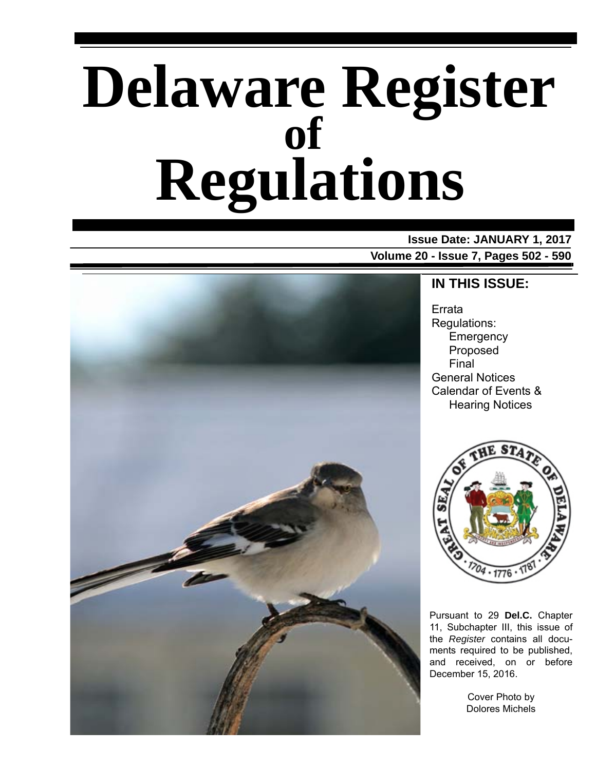# **Delaware Register Regulations of**

**Issue Date: JANUARY 1, 2017 Volume 20 - Issue 7, Pages 502 - 590**



### **IN THIS ISSUE:**

Errata Regulations: **Emergency** Proposed Final General Notices Calendar of Events & Hearing Notices



Pursuant to 29 **Del.C.** Chapter 11, Subchapter III, this issue of the *Register* contains all documents required to be published, and received, on or before December 15, 2016.

> Cover Photo by Dolores Michels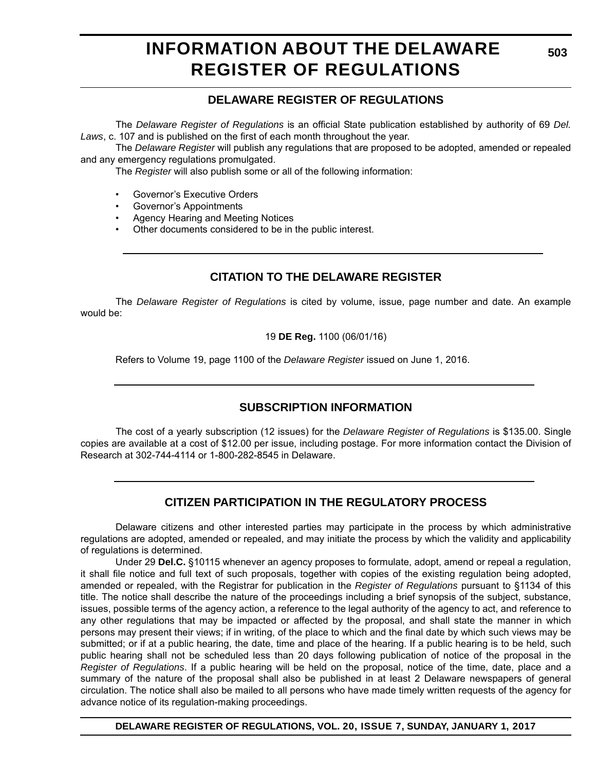# **INFORMATION ABOUT THE DELAWARE REGISTER OF REGULATIONS**

### **DELAWARE REGISTER OF REGULATIONS**

The *Delaware Register of Regulations* is an official State publication established by authority of 69 *Del. Laws*, c. 107 and is published on the first of each month throughout the year.

The *Delaware Register* will publish any regulations that are proposed to be adopted, amended or repealed and any emergency regulations promulgated.

The *Register* will also publish some or all of the following information:

- Governor's Executive Orders
- Governor's Appointments
- Agency Hearing and Meeting Notices
- Other documents considered to be in the public interest.

### **CITATION TO THE DELAWARE REGISTER**

The *Delaware Register of Regulations* is cited by volume, issue, page number and date. An example would be:

19 **DE Reg.** 1100 (06/01/16)

Refers to Volume 19, page 1100 of the *Delaware Register* issued on June 1, 2016.

### **SUBSCRIPTION INFORMATION**

The cost of a yearly subscription (12 issues) for the *Delaware Register of Regulations* is \$135.00. Single copies are available at a cost of \$12.00 per issue, including postage. For more information contact the Division of Research at 302-744-4114 or 1-800-282-8545 in Delaware.

### **CITIZEN PARTICIPATION IN THE REGULATORY PROCESS**

Delaware citizens and other interested parties may participate in the process by which administrative regulations are adopted, amended or repealed, and may initiate the process by which the validity and applicability of regulations is determined.

Under 29 **Del.C.** §10115 whenever an agency proposes to formulate, adopt, amend or repeal a regulation, it shall file notice and full text of such proposals, together with copies of the existing regulation being adopted, amended or repealed, with the Registrar for publication in the *Register of Regulations* pursuant to §1134 of this title. The notice shall describe the nature of the proceedings including a brief synopsis of the subject, substance, issues, possible terms of the agency action, a reference to the legal authority of the agency to act, and reference to any other regulations that may be impacted or affected by the proposal, and shall state the manner in which persons may present their views; if in writing, of the place to which and the final date by which such views may be submitted; or if at a public hearing, the date, time and place of the hearing. If a public hearing is to be held, such public hearing shall not be scheduled less than 20 days following publication of notice of the proposal in the *Register of Regulations*. If a public hearing will be held on the proposal, notice of the time, date, place and a summary of the nature of the proposal shall also be published in at least 2 Delaware newspapers of general circulation. The notice shall also be mailed to all persons who have made timely written requests of the agency for advance notice of its regulation-making proceedings.

**DELAWARE REGISTER OF REGULATIONS, VOL. 20, ISSUE 7, SUNDAY, JANUARY 1, 2017**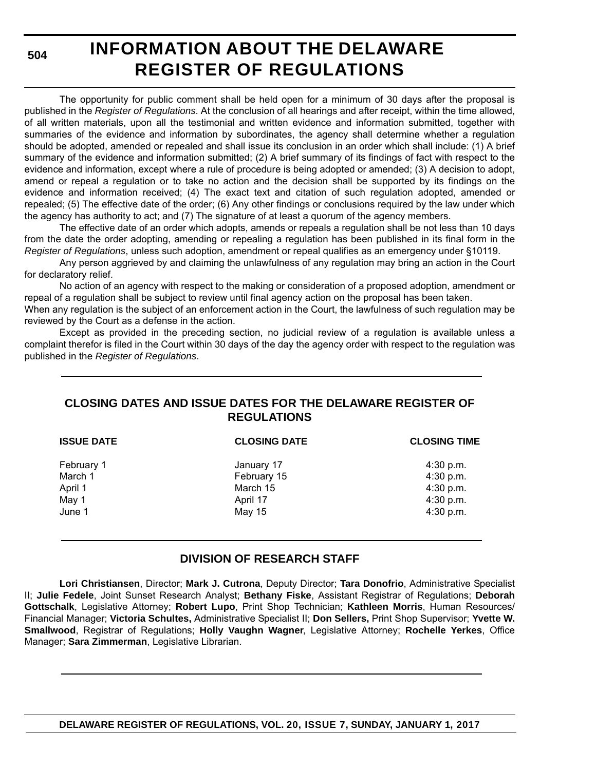**504**

# **INFORMATION ABOUT THE DELAWARE REGISTER OF REGULATIONS**

The opportunity for public comment shall be held open for a minimum of 30 days after the proposal is published in the *Register of Regulations*. At the conclusion of all hearings and after receipt, within the time allowed, of all written materials, upon all the testimonial and written evidence and information submitted, together with summaries of the evidence and information by subordinates, the agency shall determine whether a regulation should be adopted, amended or repealed and shall issue its conclusion in an order which shall include: (1) A brief summary of the evidence and information submitted; (2) A brief summary of its findings of fact with respect to the evidence and information, except where a rule of procedure is being adopted or amended; (3) A decision to adopt, amend or repeal a regulation or to take no action and the decision shall be supported by its findings on the evidence and information received; (4) The exact text and citation of such regulation adopted, amended or repealed; (5) The effective date of the order; (6) Any other findings or conclusions required by the law under which the agency has authority to act; and (7) The signature of at least a quorum of the agency members.

The effective date of an order which adopts, amends or repeals a regulation shall be not less than 10 days from the date the order adopting, amending or repealing a regulation has been published in its final form in the *Register of Regulations*, unless such adoption, amendment or repeal qualifies as an emergency under §10119.

Any person aggrieved by and claiming the unlawfulness of any regulation may bring an action in the Court for declaratory relief.

No action of an agency with respect to the making or consideration of a proposed adoption, amendment or repeal of a regulation shall be subject to review until final agency action on the proposal has been taken.

When any regulation is the subject of an enforcement action in the Court, the lawfulness of such regulation may be reviewed by the Court as a defense in the action.

Except as provided in the preceding section, no judicial review of a regulation is available unless a complaint therefor is filed in the Court within 30 days of the day the agency order with respect to the regulation was published in the *Register of Regulations*.

### **CLOSING DATES AND ISSUE DATES FOR THE DELAWARE REGISTER OF REGULATIONS**

| <b>ISSUE DATE</b> | <b>CLOSING DATE</b> | <b>CLOSING TIME</b> |
|-------------------|---------------------|---------------------|
| February 1        | January 17          | $4:30$ p.m.         |
| March 1           | February 15         | 4:30 p.m.           |
| April 1           | March 15            | 4:30 p.m.           |
| May 1             | April 17            | 4:30 p.m.           |
| June 1            | May 15              | 4:30 p.m.           |

### **DIVISION OF RESEARCH STAFF**

**Lori Christiansen**, Director; **Mark J. Cutrona**, Deputy Director; **Tara Donofrio**, Administrative Specialist II; **Julie Fedele**, Joint Sunset Research Analyst; **Bethany Fiske**, Assistant Registrar of Regulations; **Deborah Gottschalk**, Legislative Attorney; **Robert Lupo**, Print Shop Technician; **Kathleen Morris**, Human Resources/ Financial Manager; **Victoria Schultes,** Administrative Specialist II; **Don Sellers,** Print Shop Supervisor; **Yvette W. Smallwood**, Registrar of Regulations; **Holly Vaughn Wagner**, Legislative Attorney; **Rochelle Yerkes**, Office Manager; **Sara Zimmerman**, Legislative Librarian.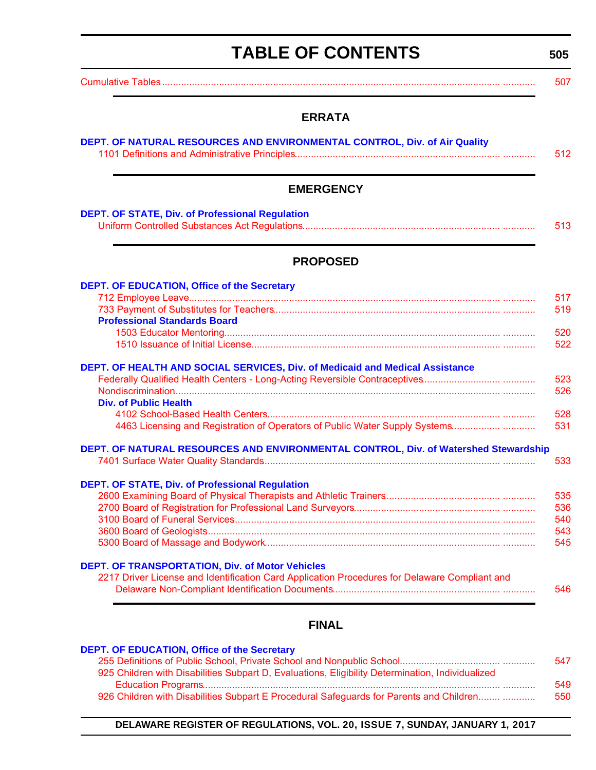# **TABLE OF CONTENTS**

<span id="page-3-0"></span>[Cumulative Tables............................................................................................................................. ............ 507](#page-5-0)

### **ERRATA**

| <b>EMERGENCY</b>                                                                                                                                                                            |  |
|---------------------------------------------------------------------------------------------------------------------------------------------------------------------------------------------|--|
| <b>DEPT. OF STATE, Div. of Professional Regulation</b>                                                                                                                                      |  |
| <b>PROPOSED</b>                                                                                                                                                                             |  |
| <b>DEPT. OF EDUCATION, Office of the Secretary</b>                                                                                                                                          |  |
|                                                                                                                                                                                             |  |
| <b>Professional Standards Board</b>                                                                                                                                                         |  |
|                                                                                                                                                                                             |  |
|                                                                                                                                                                                             |  |
| DEPT. OF HEALTH AND SOCIAL SERVICES, Div. of Medicaid and Medical Assistance<br><b>Div. of Public Health</b><br>4463 Licensing and Registration of Operators of Public Water Supply Systems |  |
| DEPT. OF NATURAL RESOURCES AND ENVIRONMENTAL CONTROL, Div. of Watershed Stewardship                                                                                                         |  |
| <b>DEPT. OF STATE, Div. of Professional Regulation</b>                                                                                                                                      |  |
|                                                                                                                                                                                             |  |
|                                                                                                                                                                                             |  |
|                                                                                                                                                                                             |  |
|                                                                                                                                                                                             |  |
|                                                                                                                                                                                             |  |

### **FINAL**

| DEPT. OF EDUCATION, Office of the Secretary |  |
|---------------------------------------------|--|
|---------------------------------------------|--|

|                                                                                                  | 547 |
|--------------------------------------------------------------------------------------------------|-----|
| 925 Children with Disabilities Subpart D, Evaluations, Eligibility Determination, Individualized |     |
|                                                                                                  | 549 |
| 926 Children with Disabilities Subpart E Procedural Safeguards for Parents and Children          | 550 |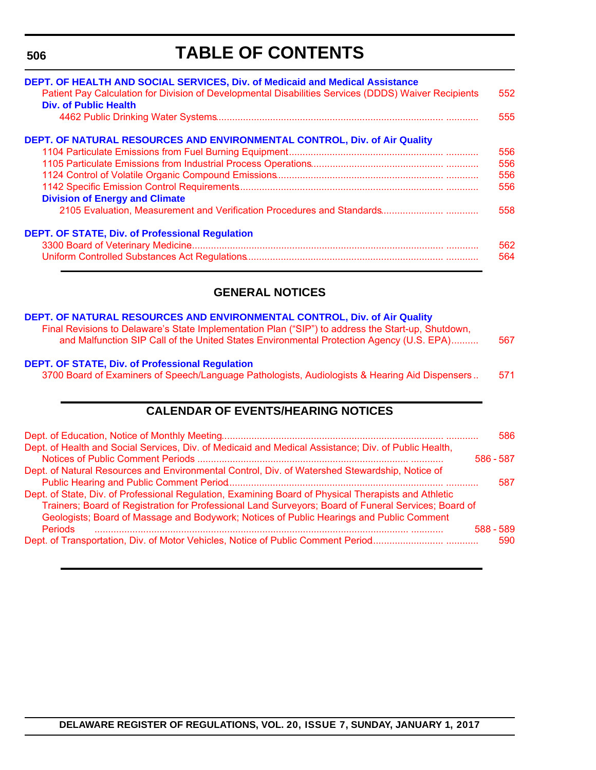#### **506**

# **TABLE OF CONTENTS**

| DEPT. OF HEALTH AND SOCIAL SERVICES, Div. of Medicaid and Medical Assistance<br>Patient Pay Calculation for Division of Developmental Disabilities Services (DDDS) Waiver Recipients<br>Div. of Public Health | 552<br>555 |
|---------------------------------------------------------------------------------------------------------------------------------------------------------------------------------------------------------------|------------|
| DEPT. OF NATURAL RESOURCES AND ENVIRONMENTAL CONTROL, Div. of Air Quality                                                                                                                                     |            |
|                                                                                                                                                                                                               | 556        |
|                                                                                                                                                                                                               | 556        |
|                                                                                                                                                                                                               | 556        |
|                                                                                                                                                                                                               | 556        |
| <b>Division of Energy and Climate</b>                                                                                                                                                                         |            |
|                                                                                                                                                                                                               | 558        |
| <b>DEPT. OF STATE, Div. of Professional Regulation</b>                                                                                                                                                        |            |
|                                                                                                                                                                                                               | 562        |
|                                                                                                                                                                                                               | 564        |

### **GENERAL NOTICES**

### **[DEPT. OF NATURAL RESOURCES AND ENVIRONMENTAL CONTROL, Div. of Air Quality](http://www.dnrec.delaware.gov/air/Pages/Default.aspx)**

| Final Revisions to Delaware's State Implementation Plan ("SIP") to address the Start-up, Shutdown, |     |
|----------------------------------------------------------------------------------------------------|-----|
| and Malfunction SIP Call of the United States Environmental Protection Agency (U.S. EPA)           | 567 |
|                                                                                                    |     |
| <b>FPT OF STATE Divide Professional Requisition:</b>                                               |     |

#### **[DEPT. OF STATE, Div. of Professional Regulation](http://dpr.delaware.gov/)**

[3700 Board of Examiners of Speech/Language Pathologists, Audiologists & Hearing Aid Dispensers .. 571](#page-69-0)

### **CALENDAR OF EVENTS/HEARING NOTICES**

|                                                                                                      |           | 586 |
|------------------------------------------------------------------------------------------------------|-----------|-----|
| Dept. of Health and Social Services, Div. of Medicaid and Medical Assistance; Div. of Public Health, |           |     |
|                                                                                                      | 586 - 587 |     |
| Dept. of Natural Resources and Environmental Control, Div. of Watershed Stewardship, Notice of       |           |     |
|                                                                                                      |           | 587 |
| Dept. of State, Div. of Professional Regulation, Examining Board of Physical Therapists and Athletic |           |     |
| Trainers; Board of Registration for Professional Land Surveyors; Board of Funeral Services; Board of |           |     |
| Geologists; Board of Massage and Bodywork; Notices of Public Hearings and Public Comment             |           |     |
| <b>Periods</b>                                                                                       | 588 - 589 |     |
|                                                                                                      |           | 590 |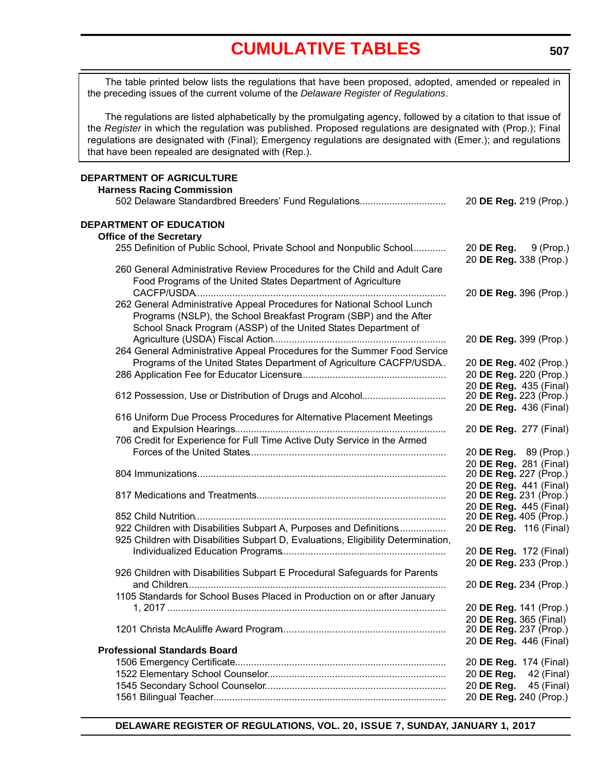# **[CUMULATIVE TABLES](#page-3-0)**

<span id="page-5-0"></span>The table printed below lists the regulations that have been proposed, adopted, amended or repealed in the preceding issues of the current volume of the *Delaware Register of Regulations*.

The regulations are listed alphabetically by the promulgating agency, followed by a citation to that issue of the *Register* in which the regulation was published. Proposed regulations are designated with (Prop.); Final regulations are designated with (Final); Emergency regulations are designated with (Emer.); and regulations that have been repealed are designated with (Rep.).

#### **DEPARTMENT OF AGRICULTURE Harness Racing Commission**

| Tianicss Kaung Commission                                                                                                                                                                                     |                                                       |
|---------------------------------------------------------------------------------------------------------------------------------------------------------------------------------------------------------------|-------------------------------------------------------|
| 502 Delaware Standardbred Breeders' Fund Regulations                                                                                                                                                          | 20 DE Reg. 219 (Prop.)                                |
| DEPARTMENT OF EDUCATION                                                                                                                                                                                       |                                                       |
| <b>Office of the Secretary</b>                                                                                                                                                                                |                                                       |
| 255 Definition of Public School, Private School and Nonpublic School                                                                                                                                          | 20 <b>DE Reg.</b> 9 (Prop.)<br>20 DE Reg. 338 (Prop.) |
| 260 General Administrative Review Procedures for the Child and Adult Care                                                                                                                                     |                                                       |
| Food Programs of the United States Department of Agriculture                                                                                                                                                  |                                                       |
|                                                                                                                                                                                                               | 20 DE Reg. 396 (Prop.)                                |
| 262 General Administrative Appeal Procedures for National School Lunch<br>Programs (NSLP), the School Breakfast Program (SBP) and the After<br>School Snack Program (ASSP) of the United States Department of |                                                       |
|                                                                                                                                                                                                               | 20 DE Reg. 399 (Prop.)                                |
| 264 General Administrative Appeal Procedures for the Summer Food Service                                                                                                                                      |                                                       |
|                                                                                                                                                                                                               |                                                       |
| Programs of the United States Department of Agriculture CACFP/USDA.                                                                                                                                           | 20 DE Reg. 402 (Prop.)                                |
|                                                                                                                                                                                                               | 20 DE Reg. 220 (Prop.)                                |
|                                                                                                                                                                                                               | 20 DE Reg. 435 (Final)                                |
| 612 Possession, Use or Distribution of Drugs and Alcohol                                                                                                                                                      | 20 DE Reg. 223 (Prop.)                                |
|                                                                                                                                                                                                               | 20 DE Reg. 436 (Final)                                |
| 616 Uniform Due Process Procedures for Alternative Placement Meetings                                                                                                                                         | 20 DE Reg. 277 (Final)                                |
| 706 Credit for Experience for Full Time Active Duty Service in the Armed                                                                                                                                      |                                                       |
|                                                                                                                                                                                                               | 20 DE Reg. 89 (Prop.)                                 |
|                                                                                                                                                                                                               | 20 DE Reg. 281 (Final)                                |
|                                                                                                                                                                                                               | 20 DE Reg. 227 (Prop.)                                |
|                                                                                                                                                                                                               | 20 DE Reg. 441 (Final)                                |
|                                                                                                                                                                                                               | 20 DE Reg. 231 (Prop.)                                |
|                                                                                                                                                                                                               | 20 DE Reg. 445 (Final)                                |
|                                                                                                                                                                                                               | 20 DE Reg. 405 (Prop.)                                |
| 922 Children with Disabilities Subpart A, Purposes and Definitions                                                                                                                                            | 20 DE Reg. 116 (Final)                                |
| 925 Children with Disabilities Subpart D, Evaluations, Eligibility Determination,                                                                                                                             |                                                       |
|                                                                                                                                                                                                               | 20 DE Reg. 172 (Final)                                |
|                                                                                                                                                                                                               | 20 DE Reg. 233 (Prop.)                                |
| 926 Children with Disabilities Subpart E Procedural Safeguards for Parents                                                                                                                                    |                                                       |
|                                                                                                                                                                                                               | 20 DE Reg. 234 (Prop.)                                |
| 1105 Standards for School Buses Placed in Production on or after January                                                                                                                                      |                                                       |
|                                                                                                                                                                                                               | 20 DE Reg. 141 (Prop.)                                |
|                                                                                                                                                                                                               | 20 DE Reg. 365 (Final)                                |
|                                                                                                                                                                                                               | 20 DE Reg. 237 (Prop.)                                |
|                                                                                                                                                                                                               | 20 DE Reg. 446 (Final)                                |
| <b>Professional Standards Board</b>                                                                                                                                                                           |                                                       |
|                                                                                                                                                                                                               | 20 DE Reg. 174 (Final)                                |
|                                                                                                                                                                                                               | 20 DE Reg.<br>42 (Final)                              |
|                                                                                                                                                                                                               | 45 (Final)<br>20 DE Reg.                              |
|                                                                                                                                                                                                               | 20 DE Reg. 240 (Prop.)                                |
|                                                                                                                                                                                                               |                                                       |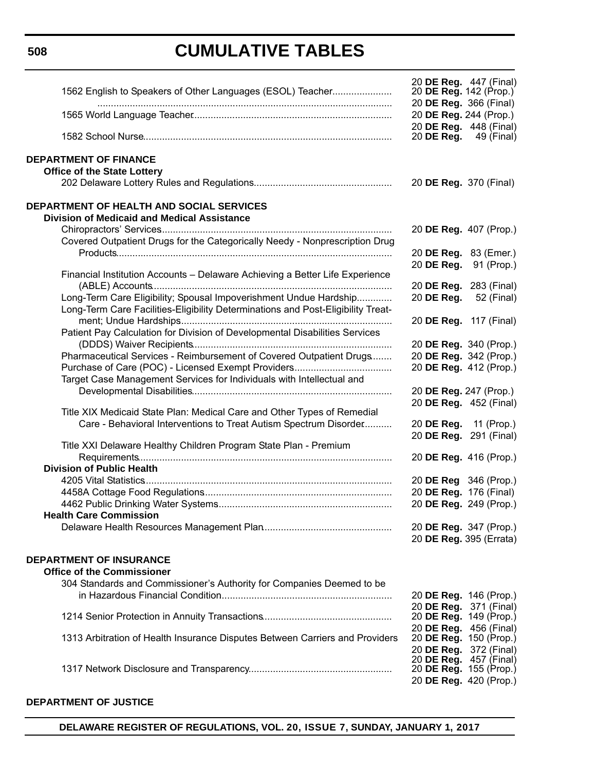**508**

# **CUMULATIVE TABLES**

| 1562 English to Speakers of Other Languages (ESOL) Teacher                                            | 20 DE Reg. 447 (Final)<br>20 DE Reg. 142 (Prop.)<br>20 DE Reg. 366 (Final) |
|-------------------------------------------------------------------------------------------------------|----------------------------------------------------------------------------|
|                                                                                                       | 20 DE Reg. 244 (Prop.)                                                     |
|                                                                                                       | 20 DE Reg. 448 (Final)<br>20 <b>DE Reg.</b> 49 (Final)                     |
| <b>DEPARTMENT OF FINANCE</b><br><b>Office of the State Lottery</b>                                    |                                                                            |
|                                                                                                       | 20 DE Reg. 370 (Final)                                                     |
| <b>DEPARTMENT OF HEALTH AND SOCIAL SERVICES</b><br><b>Division of Medicaid and Medical Assistance</b> |                                                                            |
|                                                                                                       | 20 DE Reg. 407 (Prop.)                                                     |
| Covered Outpatient Drugs for the Categorically Needy - Nonprescription Drug                           | 20 DE Reg. 83 (Emer.)                                                      |
|                                                                                                       | 20 DE Reg.<br>91 (Prop.)                                                   |
| Financial Institution Accounts - Delaware Achieving a Better Life Experience                          | 20 DE Reg. 283 (Final)                                                     |
| Long-Term Care Eligibility; Spousal Impoverishment Undue Hardship                                     | 20 DE Reg.<br>52 (Final)                                                   |
| Long-Term Care Facilities-Eligibility Determinations and Post-Eligibility Treat-                      |                                                                            |
| Patient Pay Calculation for Division of Developmental Disabilities Services                           | 20 DE Reg. 117 (Final)                                                     |
|                                                                                                       | 20 DE Reg. 340 (Prop.)                                                     |
| Pharmaceutical Services - Reimbursement of Covered Outpatient Drugs                                   | 20 DE Reg. 342 (Prop.)                                                     |
| Target Case Management Services for Individuals with Intellectual and                                 | 20 DE Reg. 412 (Prop.)                                                     |
|                                                                                                       | 20 DE Reg. 247 (Prop.)                                                     |
| Title XIX Medicaid State Plan: Medical Care and Other Types of Remedial                               | 20 DE Reg. 452 (Final)                                                     |
| Care - Behavioral Interventions to Treat Autism Spectrum Disorder                                     | 20 DE Reg. 11 (Prop.)                                                      |
| Title XXI Delaware Healthy Children Program State Plan - Premium                                      | 20 DE Reg. 291 (Final)                                                     |
| <b>Division of Public Health</b>                                                                      | 20 DE Reg. 416 (Prop.)                                                     |
|                                                                                                       | 20 DE Reg 346 (Prop.)                                                      |
|                                                                                                       | 20 DE Reg. 176 (Final)                                                     |
|                                                                                                       | 20 DE Reg. 249 (Prop.)                                                     |
| <b>Health Care Commission</b>                                                                         |                                                                            |
|                                                                                                       | 20 DE Reg. 347 (Prop.)<br>20 DE Reg. 395 (Errata)                          |
| <b>DEPARTMENT OF INSURANCE</b>                                                                        |                                                                            |
| <b>Office of the Commissioner</b>                                                                     |                                                                            |
| 304 Standards and Commissioner's Authority for Companies Deemed to be                                 |                                                                            |
|                                                                                                       | 20 DE Reg. 146 (Prop.)                                                     |
|                                                                                                       | 20 DE Reg. 371 (Final)                                                     |
|                                                                                                       | 20 DE Reg. 149 (Prop.)                                                     |
| 1313 Arbitration of Health Insurance Disputes Between Carriers and Providers                          | 20 DE Reg. 456 (Final)<br>20 DE Reg. 150 (Prop.)<br>20 DE Reg. 372 (Final) |
|                                                                                                       | 20 DE Reg. 457 (Final)<br>20 DE Reg. 155 (Prop.)<br>20 DE Reg. 420 (Prop.) |

### **DEPARTMENT OF JUSTICE**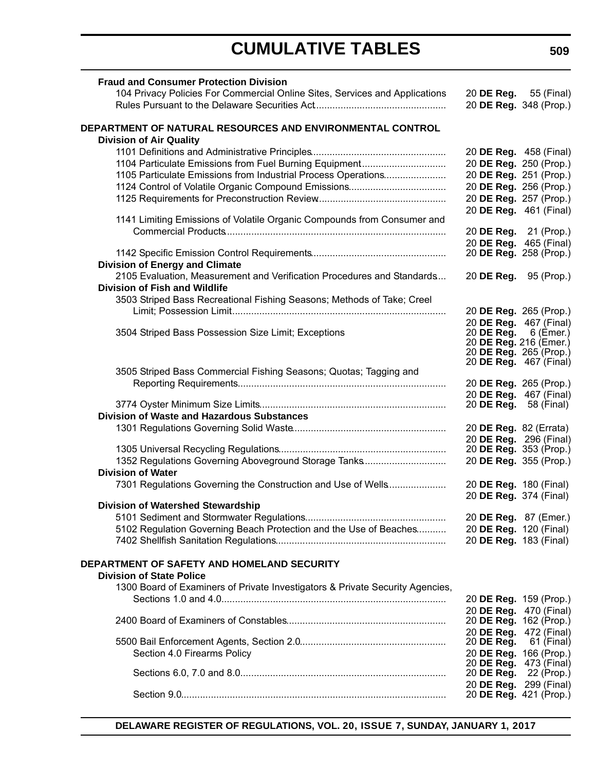# **CUMULATIVE TABLES**

| <b>Fraud and Consumer Protection Division</b>                                 |                                                  |            |
|-------------------------------------------------------------------------------|--------------------------------------------------|------------|
| 104 Privacy Policies For Commercial Online Sites, Services and Applications   | 20 DE Reg. 55 (Final)                            |            |
|                                                                               | 20 DE Reg. 348 (Prop.)                           |            |
|                                                                               |                                                  |            |
| DEPARTMENT OF NATURAL RESOURCES AND ENVIRONMENTAL CONTROL                     |                                                  |            |
| <b>Division of Air Quality</b>                                                |                                                  |            |
|                                                                               | 20 DE Reg. 458 (Final)                           |            |
| 1104 Particulate Emissions from Fuel Burning Equipment                        | 20 DE Reg. 250 (Prop.)                           |            |
|                                                                               |                                                  |            |
| 1105 Particulate Emissions from Industrial Process Operations                 | 20 DE Reg. 251 (Prop.)                           |            |
|                                                                               | 20 DE Reg. 256 (Prop.)                           |            |
|                                                                               | 20 DE Reg. 257 (Prop.)                           |            |
|                                                                               | 20 DE Reg. 461 (Final)                           |            |
| 1141 Limiting Emissions of Volatile Organic Compounds from Consumer and       |                                                  |            |
|                                                                               | 20 DE Reg. 21 (Prop.)                            |            |
|                                                                               | 20 DE Reg. 465 (Final)                           |            |
|                                                                               | 20 DE Reg. 258 (Prop.)                           |            |
| <b>Division of Energy and Climate</b>                                         |                                                  |            |
| 2105 Evaluation, Measurement and Verification Procedures and Standards        | 20 DE Reg. 95 (Prop.)                            |            |
| <b>Division of Fish and Wildlife</b>                                          |                                                  |            |
| 3503 Striped Bass Recreational Fishing Seasons; Methods of Take; Creel        |                                                  |            |
|                                                                               | 20 DE Reg. 265 (Prop.)                           |            |
|                                                                               | 20 DE Reg. 467 (Final)                           |            |
| 3504 Striped Bass Possession Size Limit; Exceptions                           | 20 DE Reg.                                       | 6 (Èmer.)  |
|                                                                               | 20 DE Reg. 216 (Emer.)                           |            |
|                                                                               | 20 DE Reg. 265 (Prop.)                           |            |
|                                                                               | 20 DE Reg. 467 (Final)                           |            |
| 3505 Striped Bass Commercial Fishing Seasons; Quotas; Tagging and             |                                                  |            |
|                                                                               | 20 DE Reg. 265 (Prop.)                           |            |
|                                                                               | 20 DE Reg. 467 (Final)                           |            |
|                                                                               | 20 <b>DE Reg.</b> 58 (Final)                     |            |
| <b>Division of Waste and Hazardous Substances</b>                             |                                                  |            |
|                                                                               | 20 DE Reg. 82 (Errata)                           |            |
|                                                                               | 20 DE Reg. 296 (Final)                           |            |
|                                                                               | 20 DE Reg. 353 (Prop.)                           |            |
| 1352 Regulations Governing Aboveground Storage Tanks                          | 20 DE Reg. 355 (Prop.)                           |            |
| <b>Division of Water</b>                                                      |                                                  |            |
| 7301 Regulations Governing the Construction and Use of Wells                  | 20 DE Reg. 180 (Final)                           |            |
|                                                                               | 20 DE Reg. 374 (Final)                           |            |
| <b>Division of Watershed Stewardship</b>                                      |                                                  |            |
|                                                                               | 20 DE Reg. 87 (Emer.)                            |            |
| 5102 Regulation Governing Beach Protection and the Use of Beaches             | 20 DE Reg. 120 (Final)                           |            |
|                                                                               | 20 DE Reg. 183 (Final)                           |            |
|                                                                               |                                                  |            |
| DEPARTMENT OF SAFETY AND HOMELAND SECURITY                                    |                                                  |            |
| <b>Division of State Police</b>                                               |                                                  |            |
|                                                                               |                                                  |            |
| 1300 Board of Examiners of Private Investigators & Private Security Agencies, |                                                  |            |
|                                                                               | 20 DE Reg. 159 (Prop.)                           |            |
|                                                                               | 20 DE Req. 470 (Final)                           |            |
|                                                                               | 20 DE Reg. 162 (Prop.)                           |            |
|                                                                               | 20 DE Reg. 472 (Final)                           |            |
|                                                                               | 20 DE Reg.                                       | 61 (Final) |
| Section 4.0 Firearms Policy                                                   | 20 DE Reg. 166 (Prop.)                           |            |
|                                                                               | 20 DE Reg. 473 (Final)                           |            |
|                                                                               | 20 DE Reg.                                       | 22 (Prop.) |
|                                                                               | 20 DE Reg. 299 (Final)<br>20 DE Reg. 421 (Prop.) |            |
|                                                                               |                                                  |            |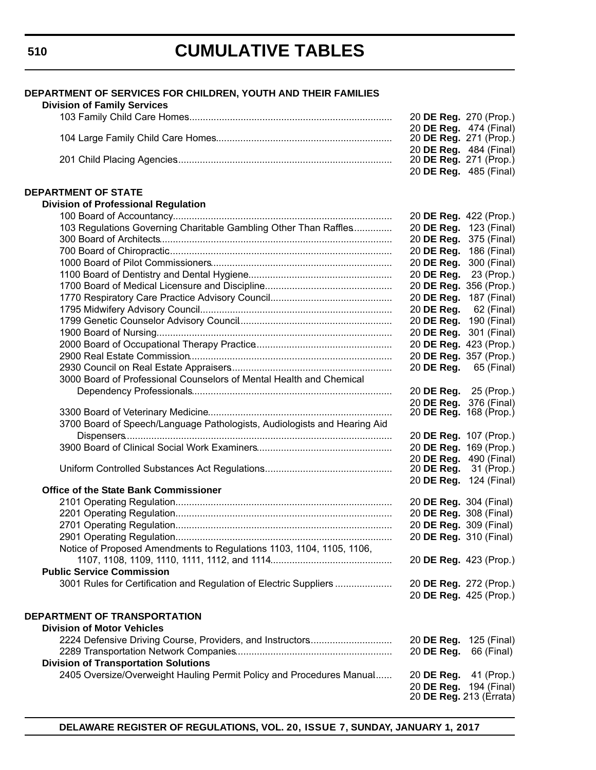# **CUMULATIVE TABLES**

| DEPARTMENT OF SERVICES FOR CHILDREN, YOUTH AND THEIR FAMILIES<br><b>Division of Family Services</b>                 |                              |                           |
|---------------------------------------------------------------------------------------------------------------------|------------------------------|---------------------------|
|                                                                                                                     | 20 DE Reg. 270 (Prop.)       |                           |
|                                                                                                                     | 20 DE Reg. 474 (Final)       |                           |
|                                                                                                                     | 20 DE Reg. 271 (Prop.)       |                           |
|                                                                                                                     | 20 DE Reg. 484 (Final)       |                           |
|                                                                                                                     | 20 DE Reg. 271 (Prop.)       |                           |
|                                                                                                                     |                              | 20 DE Reg. 485 (Final)    |
| <b>DEPARTMENT OF STATE</b>                                                                                          |                              |                           |
| <b>Division of Professional Regulation</b>                                                                          |                              |                           |
|                                                                                                                     | 20 DE Reg. 422 (Prop.)       |                           |
| 103 Regulations Governing Charitable Gambling Other Than Raffles                                                    | 20 DE Reg. 123 (Final)       |                           |
|                                                                                                                     | 20 DE Reg.                   | 375 (Final)               |
|                                                                                                                     | 20 DE Reg.                   | 186 (Final)               |
|                                                                                                                     | 20 DE Reg. 300 (Final)       |                           |
|                                                                                                                     | 20 DE Reg.                   | 23 (Prop.)                |
|                                                                                                                     | 20 DE Reg. 356 (Prop.)       |                           |
|                                                                                                                     | 20 DE Reg. 187 (Final)       |                           |
|                                                                                                                     | 20 DE Reg.                   | 62 (Final)                |
|                                                                                                                     | 20 DE Reg. 190 (Final)       |                           |
|                                                                                                                     | 20 DE Reg. 301 (Final)       |                           |
|                                                                                                                     | 20 DE Reg. 423 (Prop.)       |                           |
|                                                                                                                     | 20 DE Reg. 357 (Prop.)       |                           |
|                                                                                                                     | 20 DE Reg.                   | 65 (Final)                |
| 3000 Board of Professional Counselors of Mental Health and Chemical                                                 |                              |                           |
|                                                                                                                     | 20 DE Reg. 25 (Prop.)        |                           |
|                                                                                                                     | 20 DE Reg. 376 (Final)       |                           |
|                                                                                                                     |                              | 20 DE Reg. 168 (Prop.)    |
| 3700 Board of Speech/Language Pathologists, Audiologists and Hearing Aid                                            |                              |                           |
|                                                                                                                     | 20 DE Reg. 107 (Prop.)       |                           |
|                                                                                                                     | 20 DE Reg. 169 (Prop.)       |                           |
|                                                                                                                     |                              | 20 DE Reg. 490 (Final)    |
|                                                                                                                     | 20 <b>DE Reg.</b> 31 (Prop.) |                           |
|                                                                                                                     | 20 DE Reg. 124 (Final)       |                           |
| <b>Office of the State Bank Commissioner</b>                                                                        |                              |                           |
|                                                                                                                     | 20 DE Reg. 304 (Final)       |                           |
|                                                                                                                     | 20 DE Reg. 308 (Final)       |                           |
|                                                                                                                     | 20 DE Reg. 309 (Final)       |                           |
|                                                                                                                     | 20 DE Reg. 310 (Final)       |                           |
| Notice of Proposed Amendments to Regulations 1103, 1104, 1105, 1106,                                                |                              |                           |
|                                                                                                                     | 20 DE Reg. 423 (Prop.)       |                           |
| <b>Public Service Commission</b>                                                                                    |                              |                           |
| 3001 Rules for Certification and Regulation of Electric Suppliers                                                   | 20 DE Reg. 272 (Prop.)       |                           |
|                                                                                                                     | 20 DE Reg. 425 (Prop.)       |                           |
|                                                                                                                     |                              |                           |
| DEPARTMENT OF TRANSPORTATION<br><b>Division of Motor Vehicles</b>                                                   |                              |                           |
| 2224 Defensive Driving Course, Providers, and Instructors                                                           |                              |                           |
|                                                                                                                     | 20 DE Reg. 125 (Final)       | 66 (Final)                |
|                                                                                                                     | 20 DE Reg.                   |                           |
| <b>Division of Transportation Solutions</b><br>2405 Oversize/Overweight Hauling Permit Policy and Procedures Manual |                              |                           |
|                                                                                                                     | 20 DE Reg.<br>20 DE Reg.     | 41 (Prop.)<br>194 (Final) |
|                                                                                                                     | 20 DE Reg. 213 (Errata)      |                           |
|                                                                                                                     |                              |                           |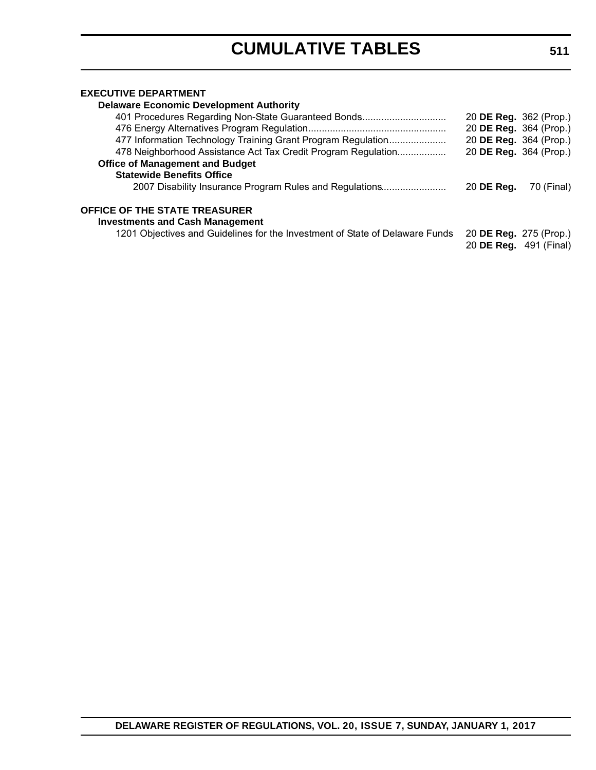### **EXECUTIVE DEPARTMENT**

| <b>Delaware Economic Development Authority</b>                                 |                               |            |
|--------------------------------------------------------------------------------|-------------------------------|------------|
| 401 Procedures Regarding Non-State Guaranteed Bonds                            | 20 DE Reg. 362 (Prop.)        |            |
|                                                                                | 20 DE Reg. 364 (Prop.)        |            |
| 477 Information Technology Training Grant Program Regulation                   | 20 DE Reg. 364 (Prop.)        |            |
| 478 Neighborhood Assistance Act Tax Credit Program Regulation                  | 20 DE Reg. 364 (Prop.)        |            |
| <b>Office of Management and Budget</b>                                         |                               |            |
| <b>Statewide Benefits Office</b>                                               |                               |            |
| 2007 Disability Insurance Program Rules and Regulations                        | 20 DE Reg.                    | 70 (Final) |
| <b>OFFICE OF THE STATE TREASURER</b><br><b>Investments and Cash Management</b> |                               |            |
| 1201 Objectives and Guidelines for the Investment of State of Delaware Funds   | 20 DE Reg. 275 (Prop.)        |            |
|                                                                                | 20 <b>DE Reg.</b> 491 (Final) |            |
|                                                                                |                               |            |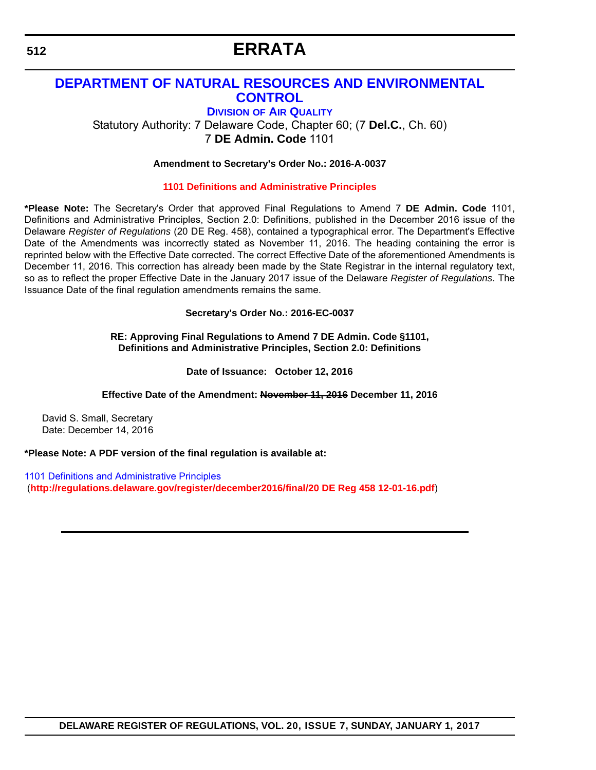# **ERRATA**

### <span id="page-10-0"></span>**[DEPARTMENT OF NATURAL RESOURCES AND ENVIRONMENTAL](http://www.dnrec.delaware.gov/air/Pages/Default.aspx)  CONTROL**

**DIVISION OF AIR QUALITY**

Statutory Authority: 7 Delaware Code, Chapter 60; (7 **Del.C.**, Ch. 60) 7 **DE Admin. Code** 1101

#### **Amendment to Secretary's Order No.: 2016-A-0037**

#### **[1101 Definitions and Administrative Principles](#page-3-0)**

**\*Please Note:** The Secretary's Order that approved Final Regulations to Amend 7 **DE Admin. Code** 1101, Definitions and Administrative Principles, Section 2.0: Definitions, published in the December 2016 issue of the Delaware *Register of Regulations* (20 DE Reg. 458), contained a typographical error. The Department's Effective Date of the Amendments was incorrectly stated as November 11, 2016. The heading containing the error is reprinted below with the Effective Date corrected. The correct Effective Date of the aforementioned Amendments is December 11, 2016. This correction has already been made by the State Registrar in the internal regulatory text, so as to reflect the proper Effective Date in the January 2017 issue of the Delaware *Register of Regulations*. The Issuance Date of the final regulation amendments remains the same.

#### **Secretary's Order No.: 2016-EC-0037**

**RE: Approving Final Regulations to Amend 7 DE Admin. Code §1101, Definitions and Administrative Principles, Section 2.0: Definitions**

**Date of Issuance: October 12, 2016**

**Effective Date of the Amendment: November 11, 2016 December 11, 2016**

David S. Small, Secretary Date: December 14, 2016

**\*Please Note: A PDF version of the final regulation is available at:**

[1101 Definitions and Administrative Principles](http://regulations.delaware.gov/register/december2016/final/20 DE Reg 458 12-01-16.pdf) (**[http://regulations.delaware.gov/register/december2016/final/2](http://regulations.delaware.gov/register/december2016/final/20 DE Reg 458 12-01-16.pdf)0 DE Reg 458 12-01-16.pdf**)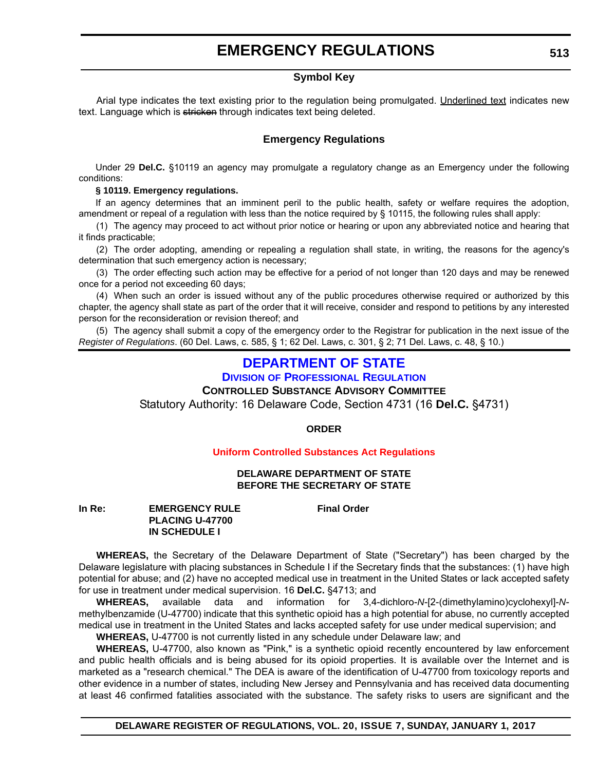#### **Symbol Key**

<span id="page-11-0"></span>Arial type indicates the text existing prior to the regulation being promulgated. Underlined text indicates new text. Language which is stricken through indicates text being deleted.

### **Emergency Regulations**

Under 29 **Del.C.** §10119 an agency may promulgate a regulatory change as an Emergency under the following conditions:

#### **§ 10119. Emergency regulations.**

If an agency determines that an imminent peril to the public health, safety or welfare requires the adoption, amendment or repeal of a regulation with less than the notice required by § 10115, the following rules shall apply:

(1) The agency may proceed to act without prior notice or hearing or upon any abbreviated notice and hearing that it finds practicable;

(2) The order adopting, amending or repealing a regulation shall state, in writing, the reasons for the agency's determination that such emergency action is necessary;

(3) The order effecting such action may be effective for a period of not longer than 120 days and may be renewed once for a period not exceeding 60 days;

(4) When such an order is issued without any of the public procedures otherwise required or authorized by this chapter, the agency shall state as part of the order that it will receive, consider and respond to petitions by any interested person for the reconsideration or revision thereof; and

(5) The agency shall submit a copy of the emergency order to the Registrar for publication in the next issue of the *Register of Regulations*. (60 Del. Laws, c. 585, § 1; 62 Del. Laws, c. 301, § 2; 71 Del. Laws, c. 48, § 10.)

### **[DEPARTMENT OF STATE](http://dpr.delaware.gov/)**

**DIVISION OF PROFESSIONAL REGULATION**

**CONTROLLED SUBSTANCE ADVISORY COMMITTEE**

Statutory Authority: 16 Delaware Code, Section 4731 (16 **Del.C.** §4731)

**ORDER**

#### **[Uniform Controlled Substances Act Regulations](#page-3-0)**

#### **DELAWARE DEPARTMENT OF STATE BEFORE THE SECRETARY OF STATE**

**In Re:** EMERGENCY RULE Final Order **PLACING U-47700 IN SCHEDULE I**

**WHEREAS,** the Secretary of the Delaware Department of State ("Secretary") has been charged by the Delaware legislature with placing substances in Schedule I if the Secretary finds that the substances: (1) have high potential for abuse; and (2) have no accepted medical use in treatment in the United States or lack accepted safety for use in treatment under medical supervision. 16 **Del.C.** §4713; and

**WHEREAS,** available data and information for 3,4-dichloro-*N*-[2-(dimethylamino)cyclohexyl]-*N*methylbenzamide (U-47700) indicate that this synthetic opioid has a high potential for abuse, no currently accepted medical use in treatment in the United States and lacks accepted safety for use under medical supervision; and

**WHEREAS,** U-47700 is not currently listed in any schedule under Delaware law; and

**WHEREAS,** U-47700, also known as "Pink," is a synthetic opioid recently encountered by law enforcement and public health officials and is being abused for its opioid properties. It is available over the Internet and is marketed as a "research chemical." The DEA is aware of the identification of U-47700 from toxicology reports and other evidence in a number of states, including New Jersey and Pennsylvania and has received data documenting at least 46 confirmed fatalities associated with the substance. The safety risks to users are significant and the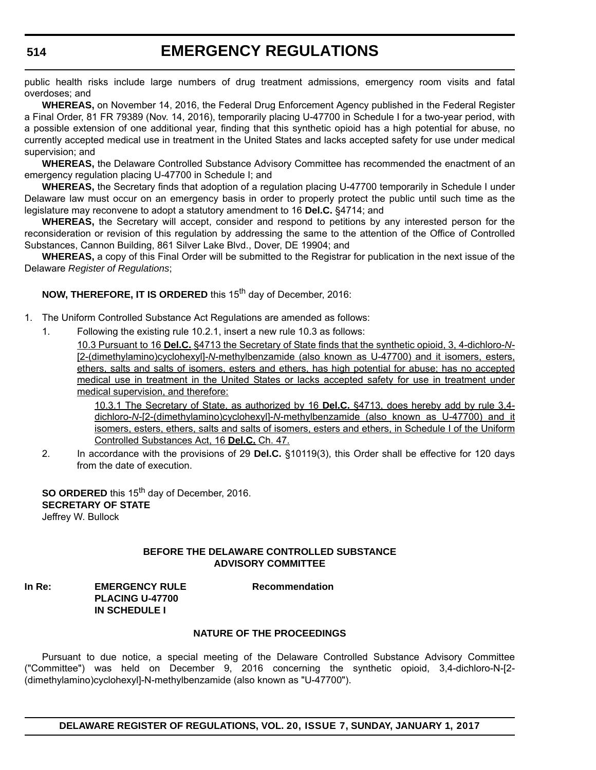public health risks include large numbers of drug treatment admissions, emergency room visits and fatal overdoses; and

**WHEREAS,** on November 14, 2016, the Federal Drug Enforcement Agency published in the Federal Register a Final Order, 81 FR 79389 (Nov. 14, 2016), temporarily placing U-47700 in Schedule I for a two-year period, with a possible extension of one additional year, finding that this synthetic opioid has a high potential for abuse, no currently accepted medical use in treatment in the United States and lacks accepted safety for use under medical supervision; and

**WHEREAS,** the Delaware Controlled Substance Advisory Committee has recommended the enactment of an emergency regulation placing U-47700 in Schedule I; and

**WHEREAS,** the Secretary finds that adoption of a regulation placing U-47700 temporarily in Schedule I under Delaware law must occur on an emergency basis in order to properly protect the public until such time as the legislature may reconvene to adopt a statutory amendment to 16 **Del.C.** §4714; and

**WHEREAS,** the Secretary will accept, consider and respond to petitions by any interested person for the reconsideration or revision of this regulation by addressing the same to the attention of the Office of Controlled Substances, Cannon Building, 861 Silver Lake Blvd., Dover, DE 19904; and

**WHEREAS,** a copy of this Final Order will be submitted to the Registrar for publication in the next issue of the Delaware *Register of Regulations*;

**NOW, THEREFORE, IT IS ORDERED** this 15<sup>th</sup> day of December, 2016:

1. The Uniform Controlled Substance Act Regulations are amended as follows:

1. Following the existing rule 10.2.1, insert a new rule 10.3 as follows:

10.3 Pursuant to 16 **Del.C.** §4713 the Secretary of State finds that the synthetic opioid, 3, 4-dichloro-*N*- [2-(dimethylamino)cyclohexyl]-*N*-methylbenzamide (also known as U-47700) and it isomers, esters, ethers, salts and salts of isomers, esters and ethers, has high potential for abuse; has no accepted medical use in treatment in the United States or lacks accepted safety for use in treatment under medical supervision, and therefore:

10.3.1 The Secretary of State, as authorized by 16 **Del.C.** §4713, does hereby add by rule 3,4 dichloro-*N*-[2-(dimethylamino)cyclohexyl]-*N*-methylbenzamide (also known as U-47700) and it isomers, esters, ethers, salts and salts of isomers, esters and ethers, in Schedule I of the Uniform Controlled Substances Act, 16 **Del.C.** Ch. 47.

2. In accordance with the provisions of 29 **Del.C.** §10119(3), this Order shall be effective for 120 days from the date of execution.

**SO ORDERED** this 15<sup>th</sup> day of December, 2016. **SECRETARY OF STATE** Jeffrey W. Bullock

#### **BEFORE THE DELAWARE CONTROLLED SUBSTANCE ADVISORY COMMITTEE**

**In Re:** EMERGENCY RULE Recommendation **PLACING U-47700 IN SCHEDULE I**

#### **NATURE OF THE PROCEEDINGS**

Pursuant to due notice, a special meeting of the Delaware Controlled Substance Advisory Committee ("Committee") was held on December 9, 2016 concerning the synthetic opioid, 3,4-dichloro-N-[2- (dimethylamino)cyclohexyl]-N-methylbenzamide (also known as "U-47700").

**DELAWARE REGISTER OF REGULATIONS, VOL. 20, ISSUE 7, SUNDAY, JANUARY 1, 2017**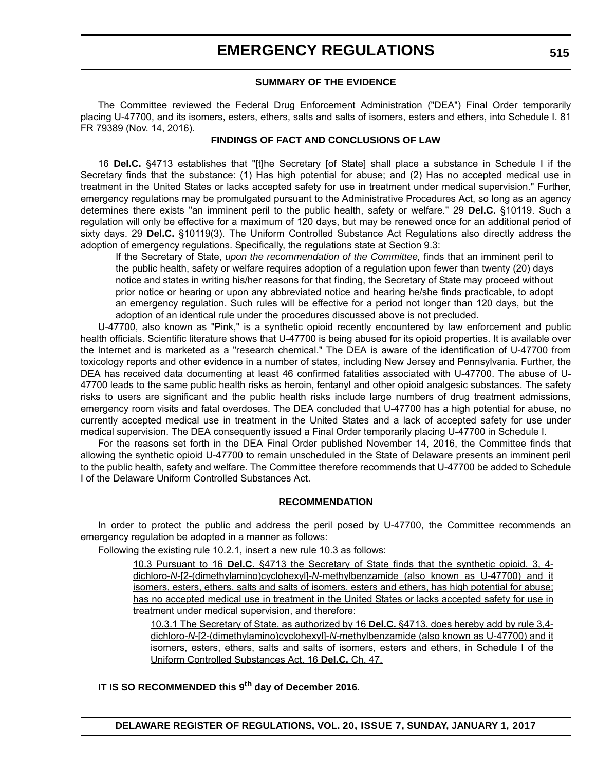#### **SUMMARY OF THE EVIDENCE**

The Committee reviewed the Federal Drug Enforcement Administration ("DEA") Final Order temporarily placing U-47700, and its isomers, esters, ethers, salts and salts of isomers, esters and ethers, into Schedule I. 81 FR 79389 (Nov. 14, 2016).

#### **FINDINGS OF FACT AND CONCLUSIONS OF LAW**

16 **Del.C.** §4713 establishes that "[t]he Secretary [of State] shall place a substance in Schedule I if the Secretary finds that the substance: (1) Has high potential for abuse; and (2) Has no accepted medical use in treatment in the United States or lacks accepted safety for use in treatment under medical supervision." Further, emergency regulations may be promulgated pursuant to the Administrative Procedures Act, so long as an agency determines there exists "an imminent peril to the public health, safety or welfare." 29 **Del.C.** §10119. Such a regulation will only be effective for a maximum of 120 days, but may be renewed once for an additional period of sixty days. 29 **Del.C.** §10119(3). The Uniform Controlled Substance Act Regulations also directly address the adoption of emergency regulations. Specifically, the regulations state at Section 9.3:

If the Secretary of State, *upon the recommendation of the Committee,* finds that an imminent peril to the public health, safety or welfare requires adoption of a regulation upon fewer than twenty (20) days notice and states in writing his/her reasons for that finding, the Secretary of State may proceed without prior notice or hearing or upon any abbreviated notice and hearing he/she finds practicable, to adopt an emergency regulation. Such rules will be effective for a period not longer than 120 days, but the adoption of an identical rule under the procedures discussed above is not precluded.

U-47700, also known as "Pink," is a synthetic opioid recently encountered by law enforcement and public health officials. Scientific literature shows that U-47700 is being abused for its opioid properties. It is available over the Internet and is marketed as a "research chemical." The DEA is aware of the identification of U-47700 from toxicology reports and other evidence in a number of states, including New Jersey and Pennsylvania. Further, the DEA has received data documenting at least 46 confirmed fatalities associated with U-47700. The abuse of U-47700 leads to the same public health risks as heroin, fentanyl and other opioid analgesic substances. The safety risks to users are significant and the public health risks include large numbers of drug treatment admissions, emergency room visits and fatal overdoses. The DEA concluded that U-47700 has a high potential for abuse, no currently accepted medical use in treatment in the United States and a lack of accepted safety for use under medical supervision. The DEA consequently issued a Final Order temporarily placing U-47700 in Schedule I.

For the reasons set forth in the DEA Final Order published November 14, 2016, the Committee finds that allowing the synthetic opioid U-47700 to remain unscheduled in the State of Delaware presents an imminent peril to the public health, safety and welfare. The Committee therefore recommends that U-47700 be added to Schedule I of the Delaware Uniform Controlled Substances Act.

#### **RECOMMENDATION**

In order to protect the public and address the peril posed by U-47700, the Committee recommends an emergency regulation be adopted in a manner as follows:

Following the existing rule 10.2.1, insert a new rule 10.3 as follows:

10.3 Pursuant to 16 **Del.C.** §4713 the Secretary of State finds that the synthetic opioid, 3, 4 dichloro-*N*-[2-(dimethylamino)cyclohexyl]-*N*-methylbenzamide (also known as U-47700) and it isomers, esters, ethers, salts and salts of isomers, esters and ethers, has high potential for abuse; has no accepted medical use in treatment in the United States or lacks accepted safety for use in treatment under medical supervision, and therefore:

10.3.1 The Secretary of State, as authorized by 16 **Del.C.** §4713, does hereby add by rule 3,4 dichloro-*N*-[2-(dimethylamino)cyclohexyl]-*N*-methylbenzamide (also known as U-47700) and it isomers, esters, ethers, salts and salts of isomers, esters and ethers, in Schedule I of the Uniform Controlled Substances Act, 16 **Del.C.** Ch. 47.

**IT IS SO RECOMMENDED this 9th day of December 2016.**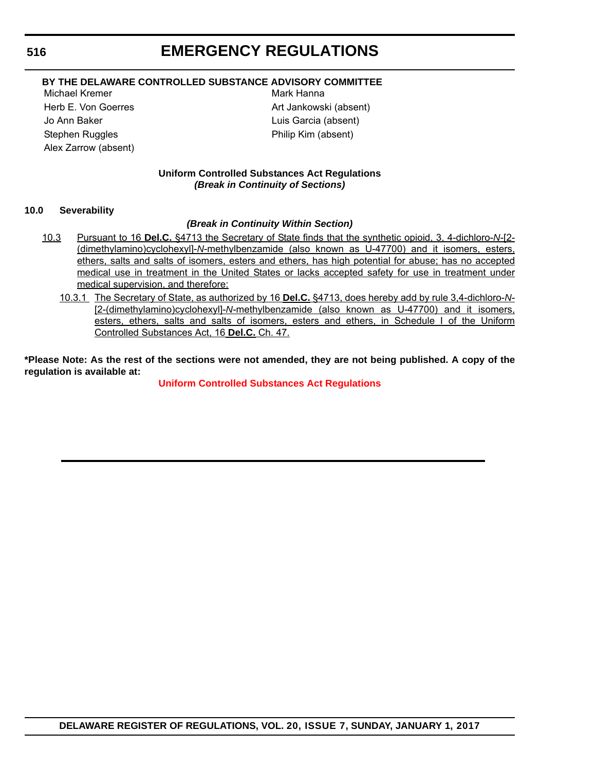### **BY THE DELAWARE CONTROLLED SUBSTANCE ADVISORY COMMITTEE**

Michael Kremer **Mark Hanna** Jo Ann Baker Luis Garcia (absent) Stephen Ruggles **Philip Kim (absent)** Alex Zarrow (absent)

Herb E. Von Goerres **Art Jankowski** (absent)

#### **Uniform Controlled Substances Act Regulations** *(Break in Continuity of Sections)*

#### **10.0 Severability**

#### *(Break in Continuity Within Section)*

- 10.3 Pursuant to 16 **Del.C.** §4713 the Secretary of State finds that the synthetic opioid, 3, 4-dichloro-*N*-[2- (dimethylamino)cyclohexyl]-*N*-methylbenzamide (also known as U-47700) and it isomers, esters, ethers, salts and salts of isomers, esters and ethers, has high potential for abuse; has no accepted medical use in treatment in the United States or lacks accepted safety for use in treatment under medical supervision, and therefore:
	- 10.3.1 The Secretary of State, as authorized by 16 **Del.C.** §4713, does hereby add by rule 3,4-dichloro-*N* [2-(dimethylamino)cyclohexyl]-*N*-methylbenzamide (also known as U-47700) and it isomers, esters, ethers, salts and salts of isomers, esters and ethers, in Schedule I of the Uniform Controlled Substances Act, 16 **Del.C.** Ch. 47.

**\*Please Note: As the rest of the sections were not amended, they are not being published. A copy of the regulation is available at:**

**[Uniform Controlled Substances Act Regulations](http://regulations.delaware.gov/register/january2017/emergency/20 DE Reg 513 01-01-17.htm)**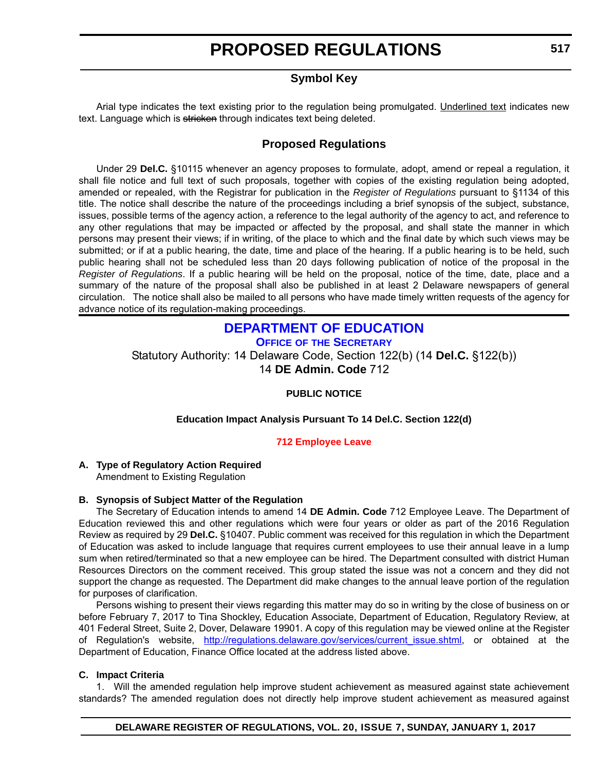### **Symbol Key**

<span id="page-15-0"></span>Arial type indicates the text existing prior to the regulation being promulgated. Underlined text indicates new text. Language which is stricken through indicates text being deleted.

### **Proposed Regulations**

Under 29 **Del.C.** §10115 whenever an agency proposes to formulate, adopt, amend or repeal a regulation, it shall file notice and full text of such proposals, together with copies of the existing regulation being adopted, amended or repealed, with the Registrar for publication in the *Register of Regulations* pursuant to §1134 of this title. The notice shall describe the nature of the proceedings including a brief synopsis of the subject, substance, issues, possible terms of the agency action, a reference to the legal authority of the agency to act, and reference to any other regulations that may be impacted or affected by the proposal, and shall state the manner in which persons may present their views; if in writing, of the place to which and the final date by which such views may be submitted; or if at a public hearing, the date, time and place of the hearing. If a public hearing is to be held, such public hearing shall not be scheduled less than 20 days following publication of notice of the proposal in the *Register of Regulations*. If a public hearing will be held on the proposal, notice of the time, date, place and a summary of the nature of the proposal shall also be published in at least 2 Delaware newspapers of general circulation. The notice shall also be mailed to all persons who have made timely written requests of the agency for advance notice of its regulation-making proceedings.

### **[DEPARTMENT OF EDUCATION](http://www.doe.k12.de.us/)**

**OFFICE OF THE SECRETARY**

Statutory Authority: 14 Delaware Code, Section 122(b) (14 **Del.C.** §122(b)) 14 **DE Admin. Code** 712

#### **PUBLIC NOTICE**

#### **Education Impact Analysis Pursuant To 14 Del.C. Section 122(d)**

#### **[712 Employee Leave](#page-3-0)**

#### **A. Type of Regulatory Action Required**

Amendment to Existing Regulation

#### **B. Synopsis of Subject Matter of the Regulation**

The Secretary of Education intends to amend 14 **DE Admin. Code** 712 Employee Leave. The Department of Education reviewed this and other regulations which were four years or older as part of the 2016 Regulation Review as required by 29 **Del.C.** §10407. Public comment was received for this regulation in which the Department of Education was asked to include language that requires current employees to use their annual leave in a lump sum when retired/terminated so that a new employee can be hired. The Department consulted with district Human Resources Directors on the comment received. This group stated the issue was not a concern and they did not support the change as requested. The Department did make changes to the annual leave portion of the regulation for purposes of clarification.

Persons wishing to present their views regarding this matter may do so in writing by the close of business on or before February 7, 2017 to Tina Shockley, Education Associate, Department of Education, Regulatory Review, at 401 Federal Street, Suite 2, Dover, Delaware 19901. A copy of this regulation may be viewed online at the Register of Regulation's website, [http://regulations.delaware.gov/services/current\\_issue.shtml](http://regulations.delaware.gov/services/current_issue.shtml), or obtained at the Department of Education, Finance Office located at the address listed above.

#### **C. Impact Criteria**

1. Will the amended regulation help improve student achievement as measured against state achievement standards? The amended regulation does not directly help improve student achievement as measured against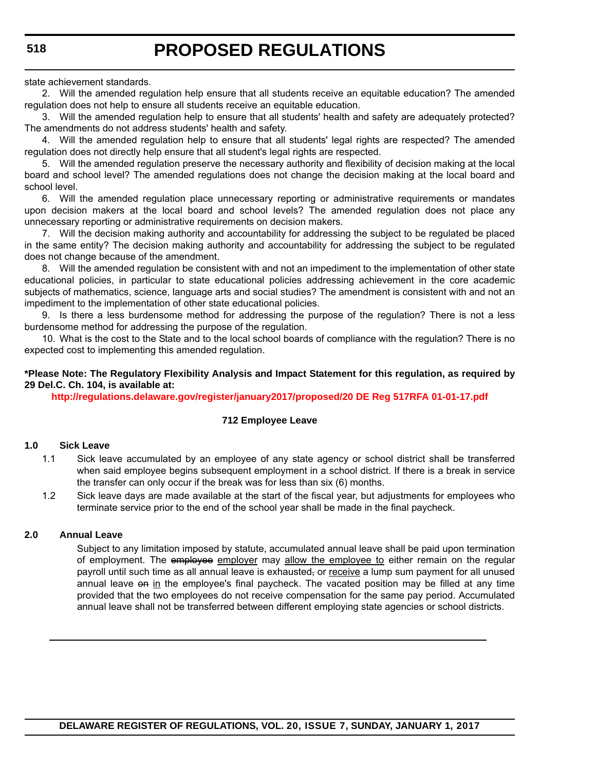state achievement standards.

2. Will the amended regulation help ensure that all students receive an equitable education? The amended regulation does not help to ensure all students receive an equitable education.

3. Will the amended regulation help to ensure that all students' health and safety are adequately protected? The amendments do not address students' health and safety.

4. Will the amended regulation help to ensure that all students' legal rights are respected? The amended regulation does not directly help ensure that all student's legal rights are respected.

5. Will the amended regulation preserve the necessary authority and flexibility of decision making at the local board and school level? The amended regulations does not change the decision making at the local board and school level.

6. Will the amended regulation place unnecessary reporting or administrative requirements or mandates upon decision makers at the local board and school levels? The amended regulation does not place any unnecessary reporting or administrative requirements on decision makers.

7. Will the decision making authority and accountability for addressing the subject to be regulated be placed in the same entity? The decision making authority and accountability for addressing the subject to be regulated does not change because of the amendment.

8. Will the amended regulation be consistent with and not an impediment to the implementation of other state educational policies, in particular to state educational policies addressing achievement in the core academic subjects of mathematics, science, language arts and social studies? The amendment is consistent with and not an impediment to the implementation of other state educational policies.

9. Is there a less burdensome method for addressing the purpose of the regulation? There is not a less burdensome method for addressing the purpose of the regulation.

10. What is the cost to the State and to the local school boards of compliance with the regulation? There is no expected cost to implementing this amended regulation.

#### **\*Please Note: The Regulatory Flexibility Analysis and Impact Statement for this regulation, as required by 29 Del.C. Ch. 104, is available at:**

**<http://regulations.delaware.gov/register/january2017/proposed/20 DE Reg 517RFA 01-01-17.pdf>**

#### **712 Employee Leave**

#### **1.0 Sick Leave**

- 1.1 Sick leave accumulated by an employee of any state agency or school district shall be transferred when said employee begins subsequent employment in a school district. If there is a break in service the transfer can only occur if the break was for less than six (6) months.
- 1.2 Sick leave days are made available at the start of the fiscal year, but adjustments for employees who terminate service prior to the end of the school year shall be made in the final paycheck.

#### **2.0 Annual Leave**

Subject to any limitation imposed by statute, accumulated annual leave shall be paid upon termination of employment. The employee employer may allow the employee to either remain on the regular payroll until such time as all annual leave is exhausted, or receive a lump sum payment for all unused annual leave on in the employee's final paycheck. The vacated position may be filled at any time provided that the two employees do not receive compensation for the same pay period. Accumulated annual leave shall not be transferred between different employing state agencies or school districts.

**DELAWARE REGISTER OF REGULATIONS, VOL. 20, ISSUE 7, SUNDAY, JANUARY 1, 2017**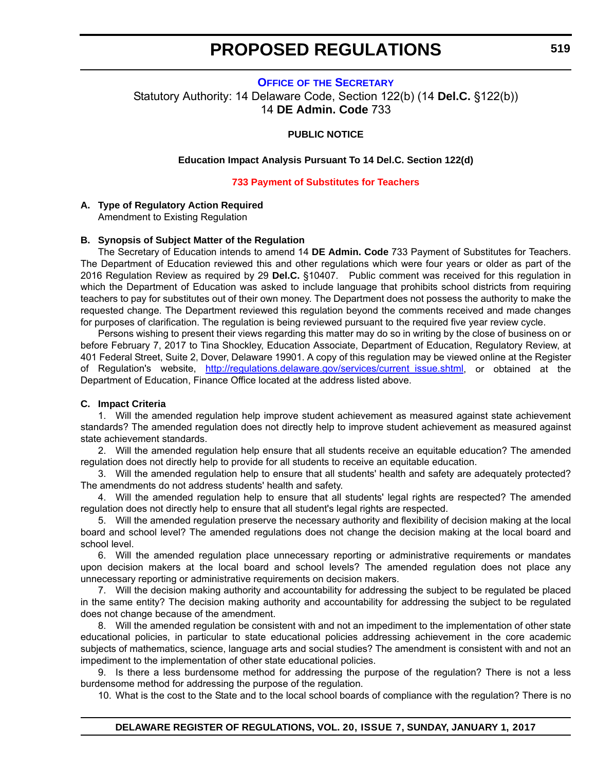#### <span id="page-17-0"></span>**OFFICE OF [THE SECRETARY](http://www.doe.k12.de.us/)** Statutory Authority: 14 Delaware Code, Section 122(b) (14 **Del.C.** §122(b)) 14 **DE Admin. Code** 733

#### **PUBLIC NOTICE**

#### **Education Impact Analysis Pursuant To 14 Del.C. Section 122(d)**

#### **[733 Payment of Substitutes for Teachers](#page-3-0)**

#### **A. Type of Regulatory Action Required**

Amendment to Existing Regulation

#### **B. Synopsis of Subject Matter of the Regulation**

The Secretary of Education intends to amend 14 **DE Admin. Code** 733 Payment of Substitutes for Teachers. The Department of Education reviewed this and other regulations which were four years or older as part of the 2016 Regulation Review as required by 29 **Del.C.** §10407. Public comment was received for this regulation in which the Department of Education was asked to include language that prohibits school districts from requiring teachers to pay for substitutes out of their own money. The Department does not possess the authority to make the requested change. The Department reviewed this regulation beyond the comments received and made changes for purposes of clarification. The regulation is being reviewed pursuant to the required five year review cycle.

Persons wishing to present their views regarding this matter may do so in writing by the close of business on or before February 7, 2017 to Tina Shockley, Education Associate, Department of Education, Regulatory Review, at 401 Federal Street, Suite 2, Dover, Delaware 19901. A copy of this regulation may be viewed online at the Register of Regulation's website, [http://regulations.delaware.gov/services/current\\_issue.shtml](http://regulations.delaware.gov/services/current_issue.shtml), or obtained at the Department of Education, Finance Office located at the address listed above.

#### **C. Impact Criteria**

1. Will the amended regulation help improve student achievement as measured against state achievement standards? The amended regulation does not directly help to improve student achievement as measured against state achievement standards.

2. Will the amended regulation help ensure that all students receive an equitable education? The amended regulation does not directly help to provide for all students to receive an equitable education.

3. Will the amended regulation help to ensure that all students' health and safety are adequately protected? The amendments do not address students' health and safety.

4. Will the amended regulation help to ensure that all students' legal rights are respected? The amended regulation does not directly help to ensure that all student's legal rights are respected.

5. Will the amended regulation preserve the necessary authority and flexibility of decision making at the local board and school level? The amended regulations does not change the decision making at the local board and school level.

6. Will the amended regulation place unnecessary reporting or administrative requirements or mandates upon decision makers at the local board and school levels? The amended regulation does not place any unnecessary reporting or administrative requirements on decision makers.

7. Will the decision making authority and accountability for addressing the subject to be regulated be placed in the same entity? The decision making authority and accountability for addressing the subject to be regulated does not change because of the amendment.

8. Will the amended regulation be consistent with and not an impediment to the implementation of other state educational policies, in particular to state educational policies addressing achievement in the core academic subjects of mathematics, science, language arts and social studies? The amendment is consistent with and not an impediment to the implementation of other state educational policies.

9. Is there a less burdensome method for addressing the purpose of the regulation? There is not a less burdensome method for addressing the purpose of the regulation.

10. What is the cost to the State and to the local school boards of compliance with the regulation? There is no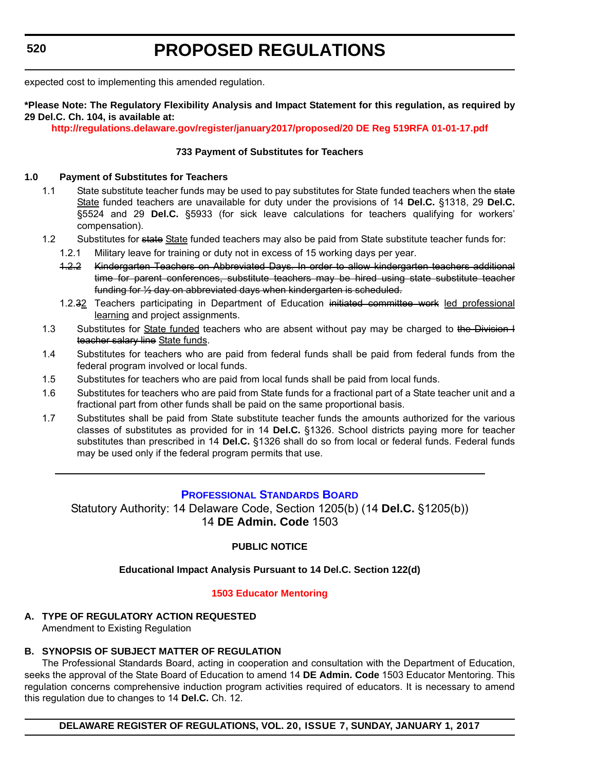<span id="page-18-0"></span>expected cost to implementing this amended regulation.

#### **\*Please Note: The Regulatory Flexibility Analysis and Impact Statement for this regulation, as required by 29 Del.C. Ch. 104, is available at:**

**<http://regulations.delaware.gov/register/january2017/proposed/20 DE Reg 519RFA 01-01-17.pdf>**

#### **733 Payment of Substitutes for Teachers**

#### **1.0 Payment of Substitutes for Teachers**

- 1.1 State substitute teacher funds may be used to pay substitutes for State funded teachers when the state State funded teachers are unavailable for duty under the provisions of 14 **Del.C.** §1318, 29 **Del.C.** §5524 and 29 **Del.C.** §5933 (for sick leave calculations for teachers qualifying for workers' compensation).
- 1.2 Substitutes for state State funded teachers may also be paid from State substitute teacher funds for:
	- 1.2.1 Military leave for training or duty not in excess of 15 working days per year.
	- 1.2.2 Kindergarten Teachers on Abbreviated Days. In order to allow kindergarten teachers additional time for parent conferences, substitute teachers may be hired using state substitute teacher funding for ½ day on abbreviated days when kindergarten is scheduled.
	- 1.2.32 Teachers participating in Department of Education initiated committee work led professional learning and project assignments.
- 1.3 Substitutes for **State funded teachers who are absent without pay may be charged to the Division I** teacher salary line State funds.
- 1.4 Substitutes for teachers who are paid from federal funds shall be paid from federal funds from the federal program involved or local funds.
- 1.5 Substitutes for teachers who are paid from local funds shall be paid from local funds.
- 1.6 Substitutes for teachers who are paid from State funds for a fractional part of a State teacher unit and a fractional part from other funds shall be paid on the same proportional basis.
- 1.7 Substitutes shall be paid from State substitute teacher funds the amounts authorized for the various classes of substitutes as provided for in 14 **Del.C.** §1326. School districts paying more for teacher substitutes than prescribed in 14 **Del.C.** §1326 shall do so from local or federal funds. Federal funds may be used only if the federal program permits that use.

#### **[PROFESSIONAL STANDARDS BOARD](http://www.doe.k12.de.us/domain/172)**

Statutory Authority: 14 Delaware Code, Section 1205(b) (14 **Del.C.** §1205(b)) 14 **DE Admin. Code** 1503

#### **PUBLIC NOTICE**

#### **Educational Impact Analysis Pursuant to 14 Del.C. Section 122(d)**

#### **[1503 Educator Mentoring](#page-3-0)**

**A. TYPE OF REGULATORY ACTION REQUESTED** Amendment to Existing Regulation

#### **B. SYNOPSIS OF SUBJECT MATTER OF REGULATION**

The Professional Standards Board, acting in cooperation and consultation with the Department of Education, seeks the approval of the State Board of Education to amend 14 **DE Admin. Code** 1503 Educator Mentoring. This regulation concerns comprehensive induction program activities required of educators. It is necessary to amend this regulation due to changes to 14 **Del.C.** Ch. 12.

**DELAWARE REGISTER OF REGULATIONS, VOL. 20, ISSUE 7, SUNDAY, JANUARY 1, 2017**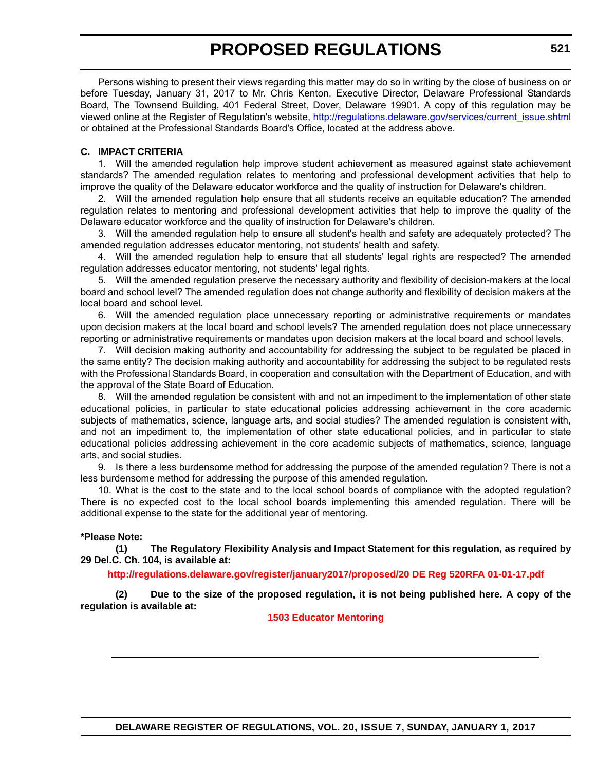Persons wishing to present their views regarding this matter may do so in writing by the close of business on or before Tuesday, January 31, 2017 to Mr. Chris Kenton, Executive Director, Delaware Professional Standards Board, The Townsend Building, 401 Federal Street, Dover, Delaware 19901. A copy of this regulation may be viewed online at the Register of Regulation's website, [http://regulations.delaware.gov/services/current\\_issue.shtml](http://regulations.delaware.gov/services/current_issue.shtml) or obtained at the Professional Standards Board's Office, located at the address above.

#### **C. IMPACT CRITERIA**

1. Will the amended regulation help improve student achievement as measured against state achievement standards? The amended regulation relates to mentoring and professional development activities that help to improve the quality of the Delaware educator workforce and the quality of instruction for Delaware's children.

2. Will the amended regulation help ensure that all students receive an equitable education? The amended regulation relates to mentoring and professional development activities that help to improve the quality of the Delaware educator workforce and the quality of instruction for Delaware's children.

3. Will the amended regulation help to ensure all student's health and safety are adequately protected? The amended regulation addresses educator mentoring, not students' health and safety.

4. Will the amended regulation help to ensure that all students' legal rights are respected? The amended regulation addresses educator mentoring, not students' legal rights.

5. Will the amended regulation preserve the necessary authority and flexibility of decision-makers at the local board and school level? The amended regulation does not change authority and flexibility of decision makers at the local board and school level.

6. Will the amended regulation place unnecessary reporting or administrative requirements or mandates upon decision makers at the local board and school levels? The amended regulation does not place unnecessary reporting or administrative requirements or mandates upon decision makers at the local board and school levels.

7. Will decision making authority and accountability for addressing the subject to be regulated be placed in the same entity? The decision making authority and accountability for addressing the subject to be regulated rests with the Professional Standards Board, in cooperation and consultation with the Department of Education, and with the approval of the State Board of Education.

8. Will the amended regulation be consistent with and not an impediment to the implementation of other state educational policies, in particular to state educational policies addressing achievement in the core academic subjects of mathematics, science, language arts, and social studies? The amended regulation is consistent with, and not an impediment to, the implementation of other state educational policies, and in particular to state educational policies addressing achievement in the core academic subjects of mathematics, science, language arts, and social studies.

9. Is there a less burdensome method for addressing the purpose of the amended regulation? There is not a less burdensome method for addressing the purpose of this amended regulation.

10. What is the cost to the state and to the local school boards of compliance with the adopted regulation? There is no expected cost to the local school boards implementing this amended regulation. There will be additional expense to the state for the additional year of mentoring.

#### **\*Please Note:**

**(1) The Regulatory Flexibility Analysis and Impact Statement for this regulation, as required by 29 Del.C. Ch. 104, is available at:**

**<http://regulations.delaware.gov/register/january2017/proposed/20 DE Reg 520RFA 01-01-17.pdf>**

**(2) Due to the size of the proposed regulation, it is not being published here. A copy of the regulation is available at:**

**[1503 Educator Mentoring](http://regulations.delaware.gov/register/january2017/proposed/20 DE Reg 520 01-01-17.htm)**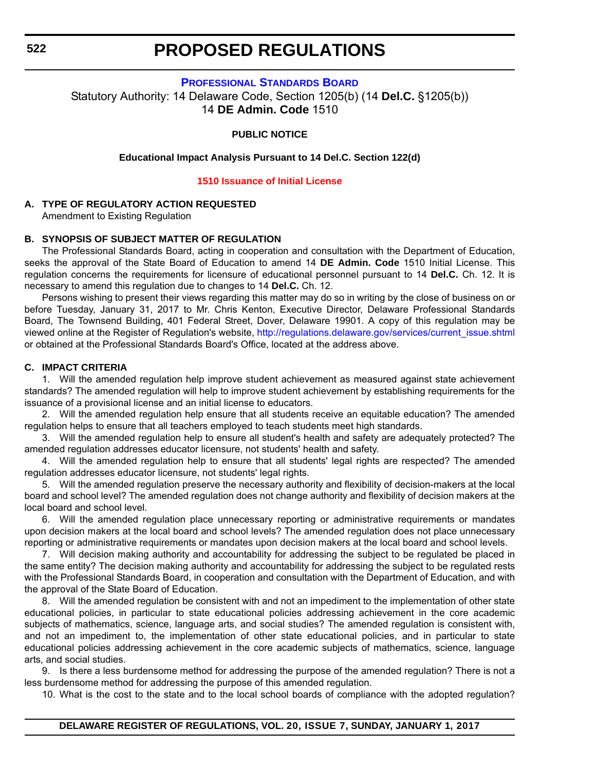#### **[PROFESSIONAL STANDARDS BOARD](http://www.doe.k12.de.us/domain/172)**

<span id="page-20-0"></span>Statutory Authority: 14 Delaware Code, Section 1205(b) (14 **Del.C.** §1205(b)) 14 **DE Admin. Code** 1510

#### **PUBLIC NOTICE**

#### **Educational Impact Analysis Pursuant to 14 Del.C. Section 122(d)**

#### **[1510 Issuance of Initial License](#page-3-0)**

#### **A. TYPE OF REGULATORY ACTION REQUESTED**

Amendment to Existing Regulation

#### **B. SYNOPSIS OF SUBJECT MATTER OF REGULATION**

The Professional Standards Board, acting in cooperation and consultation with the Department of Education, seeks the approval of the State Board of Education to amend 14 **DE Admin. Code** 1510 Initial License. This regulation concerns the requirements for licensure of educational personnel pursuant to 14 **Del.C.** Ch. 12. It is necessary to amend this regulation due to changes to 14 **Del.C.** Ch. 12.

Persons wishing to present their views regarding this matter may do so in writing by the close of business on or before Tuesday, January 31, 2017 to Mr. Chris Kenton, Executive Director, Delaware Professional Standards Board, The Townsend Building, 401 Federal Street, Dover, Delaware 19901. A copy of this regulation may be viewed online at the Register of Regulation's website, [http://regulations.delaware.gov/services/current\\_issue.shtml](http://regulations.delaware.gov/services/current_issue.shtml) or obtained at the Professional Standards Board's Office, located at the address above.

#### **C. IMPACT CRITERIA**

1. Will the amended regulation help improve student achievement as measured against state achievement standards? The amended regulation will help to improve student achievement by establishing requirements for the issuance of a provisional license and an initial license to educators.

2. Will the amended regulation help ensure that all students receive an equitable education? The amended regulation helps to ensure that all teachers employed to teach students meet high standards.

3. Will the amended regulation help to ensure all student's health and safety are adequately protected? The amended regulation addresses educator licensure, not students' health and safety.

4. Will the amended regulation help to ensure that all students' legal rights are respected? The amended regulation addresses educator licensure, not students' legal rights.

5. Will the amended regulation preserve the necessary authority and flexibility of decision-makers at the local board and school level? The amended regulation does not change authority and flexibility of decision makers at the local board and school level.

6. Will the amended regulation place unnecessary reporting or administrative requirements or mandates upon decision makers at the local board and school levels? The amended regulation does not place unnecessary reporting or administrative requirements or mandates upon decision makers at the local board and school levels.

7. Will decision making authority and accountability for addressing the subject to be regulated be placed in the same entity? The decision making authority and accountability for addressing the subject to be regulated rests with the Professional Standards Board, in cooperation and consultation with the Department of Education, and with the approval of the State Board of Education.

8. Will the amended regulation be consistent with and not an impediment to the implementation of other state educational policies, in particular to state educational policies addressing achievement in the core academic subjects of mathematics, science, language arts, and social studies? The amended regulation is consistent with, and not an impediment to, the implementation of other state educational policies, and in particular to state educational policies addressing achievement in the core academic subjects of mathematics, science, language arts, and social studies.

9. Is there a less burdensome method for addressing the purpose of the amended regulation? There is not a less burdensome method for addressing the purpose of this amended regulation.

10. What is the cost to the state and to the local school boards of compliance with the adopted regulation?

**DELAWARE REGISTER OF REGULATIONS, VOL. 20, ISSUE 7, SUNDAY, JANUARY 1, 2017**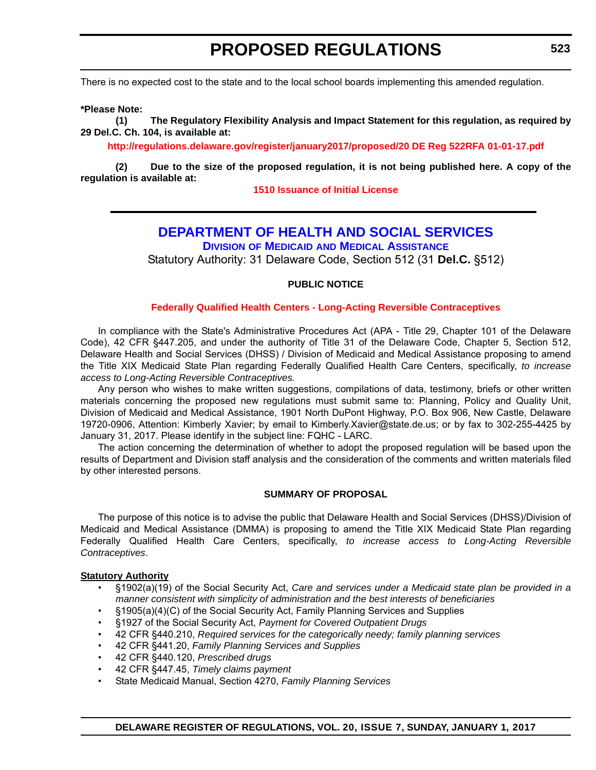<span id="page-21-0"></span>There is no expected cost to the state and to the local school boards implementing this amended regulation.

**\*Please Note:** 

**(1) The Regulatory Flexibility Analysis and Impact Statement for this regulation, as required by 29 Del.C. Ch. 104, is available at:**

**<http://regulations.delaware.gov/register/january2017/proposed/20 DE Reg 522RFA 01-01-17.pdf>**

**(2) Due to the size of the proposed regulation, it is not being published here. A copy of the regulation is available at:**

#### **[1510 Issuance of Initial License](http://regulations.delaware.gov/register/january2017/proposed/20 DE Reg 522 01-01-17.htm)**

# **[DEPARTMENT OF HEALTH AND SOCIAL SERVICES](http://www.dhss.delaware.gov/dhss/dmma/)**

**DIVISION OF MEDICAID AND MEDICAL ASSISTANCE**

Statutory Authority: 31 Delaware Code, Section 512 (31 **Del.C.** §512)

#### **PUBLIC NOTICE**

#### **[Federally Qualified Health Centers - Long-Acting Reversible Contraceptives](#page-3-0)**

In compliance with the State's Administrative Procedures Act (APA - Title 29, Chapter 101 of the Delaware Code), 42 CFR §447.205, and under the authority of Title 31 of the Delaware Code, Chapter 5, Section 512, Delaware Health and Social Services (DHSS) / Division of Medicaid and Medical Assistance proposing to amend the Title XIX Medicaid State Plan regarding Federally Qualified Health Care Centers, specifically, *to increase access to Long-Acting Reversible Contraceptives.*

Any person who wishes to make written suggestions, compilations of data, testimony, briefs or other written materials concerning the proposed new regulations must submit same to: Planning, Policy and Quality Unit, Division of Medicaid and Medical Assistance, 1901 North DuPont Highway, P.O. Box 906, New Castle, Delaware 19720-0906, Attention: Kimberly Xavier; by email to Kimberly.Xavier@state.de.us; or by fax to 302-255-4425 by January 31, 2017. Please identify in the subject line: FQHC - LARC.

The action concerning the determination of whether to adopt the proposed regulation will be based upon the results of Department and Division staff analysis and the consideration of the comments and written materials filed by other interested persons.

#### **SUMMARY OF PROPOSAL**

The purpose of this notice is to advise the public that Delaware Health and Social Services (DHSS)/Division of Medicaid and Medical Assistance (DMMA) is proposing to amend the Title XIX Medicaid State Plan regarding Federally Qualified Health Care Centers, specifically, *to increase access to Long-Acting Reversible Contraceptives*.

#### **Statutory Authority**

- §1902(a)(19) of the Social Security Act, *Care and services under a Medicaid state plan be provided in a manner consistent with simplicity of administration and the best interests of beneficiaries*
- §1905(a)(4)(C) of the Social Security Act, Family Planning Services and Supplies
- §1927 of the Social Security Act, *Payment for Covered Outpatient Drugs*
- 42 CFR §440.210, *Required services for the categorically needy; family planning services*
- 42 CFR §441.20, *Family Planning Services and Supplies*
- 42 CFR §440.120, *Prescribed drugs*
- 42 CFR §447.45, *Timely claims payment*
- State Medicaid Manual, Section 4270, *Family Planning Services*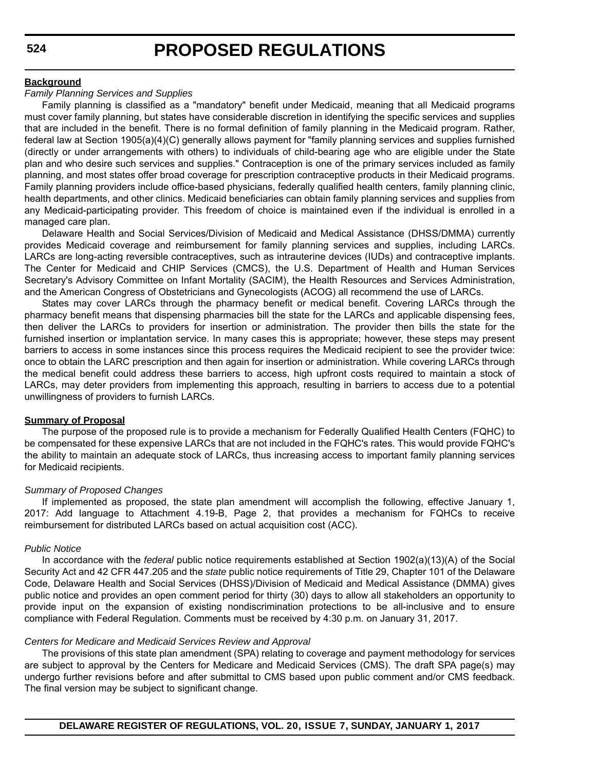#### **Background**

#### *Family Planning Services and Supplies*

Family planning is classified as a "mandatory" benefit under Medicaid, meaning that all Medicaid programs must cover family planning, but states have considerable discretion in identifying the specific services and supplies that are included in the benefit. There is no formal definition of family planning in the Medicaid program. Rather, federal law at Section 1905(a)(4)(C) generally allows payment for "family planning services and supplies furnished (directly or under arrangements with others) to individuals of child-bearing age who are eligible under the State plan and who desire such services and supplies." Contraception is one of the primary services included as family planning, and most states offer broad coverage for prescription contraceptive products in their Medicaid programs. Family planning providers include office-based physicians, federally qualified health centers, family planning clinic, health departments, and other clinics. Medicaid beneficiaries can obtain family planning services and supplies from any Medicaid-participating provider. This freedom of choice is maintained even if the individual is enrolled in a managed care plan.

Delaware Health and Social Services/Division of Medicaid and Medical Assistance (DHSS/DMMA) currently provides Medicaid coverage and reimbursement for family planning services and supplies, including LARCs. LARCs are long-acting reversible contraceptives, such as intrauterine devices (IUDs) and contraceptive implants. The Center for Medicaid and CHIP Services (CMCS), the U.S. Department of Health and Human Services Secretary's Advisory Committee on Infant Mortality (SACIM), the Health Resources and Services Administration, and the American Congress of Obstetricians and Gynecologists (ACOG) all recommend the use of LARCs.

States may cover LARCs through the pharmacy benefit or medical benefit. Covering LARCs through the pharmacy benefit means that dispensing pharmacies bill the state for the LARCs and applicable dispensing fees, then deliver the LARCs to providers for insertion or administration. The provider then bills the state for the furnished insertion or implantation service. In many cases this is appropriate; however, these steps may present barriers to access in some instances since this process requires the Medicaid recipient to see the provider twice: once to obtain the LARC prescription and then again for insertion or administration. While covering LARCs through the medical benefit could address these barriers to access, high upfront costs required to maintain a stock of LARCs, may deter providers from implementing this approach, resulting in barriers to access due to a potential unwillingness of providers to furnish LARCs.

#### **Summary of Proposal**

The purpose of the proposed rule is to provide a mechanism for Federally Qualified Health Centers (FQHC) to be compensated for these expensive LARCs that are not included in the FQHC's rates. This would provide FQHC's the ability to maintain an adequate stock of LARCs, thus increasing access to important family planning services for Medicaid recipients.

#### *Summary of Proposed Changes*

If implemented as proposed, the state plan amendment will accomplish the following, effective January 1, 2017: Add language to Attachment 4.19-B, Page 2, that provides a mechanism for FQHCs to receive reimbursement for distributed LARCs based on actual acquisition cost (ACC).

#### *Public Notice*

In accordance with the *federal* public notice requirements established at Section 1902(a)(13)(A) of the Social Security Act and 42 CFR 447.205 and the *state* public notice requirements of Title 29, Chapter 101 of the Delaware Code, Delaware Health and Social Services (DHSS)/Division of Medicaid and Medical Assistance (DMMA) gives public notice and provides an open comment period for thirty (30) days to allow all stakeholders an opportunity to provide input on the expansion of existing nondiscrimination protections to be all-inclusive and to ensure compliance with Federal Regulation. Comments must be received by 4:30 p.m. on January 31, 2017.

#### *Centers for Medicare and Medicaid Services Review and Approval*

The provisions of this state plan amendment (SPA) relating to coverage and payment methodology for services are subject to approval by the Centers for Medicare and Medicaid Services (CMS). The draft SPA page(s) may undergo further revisions before and after submittal to CMS based upon public comment and/or CMS feedback. The final version may be subject to significant change.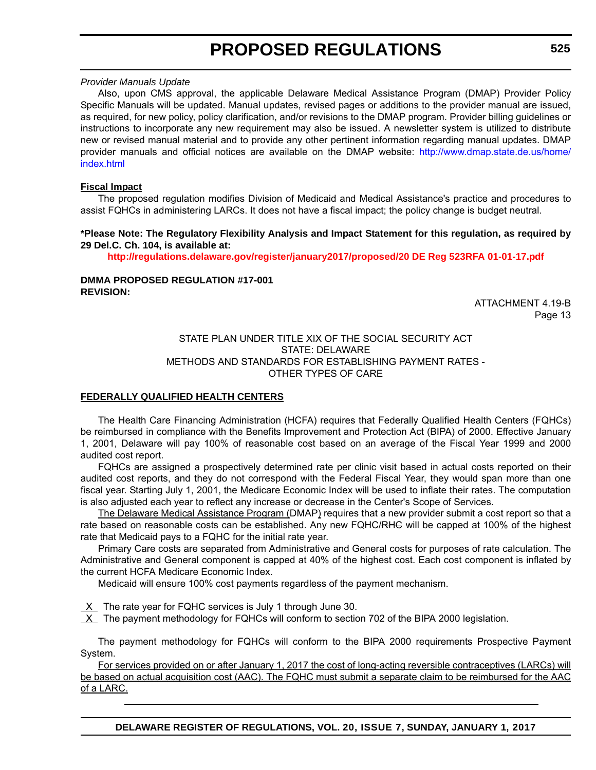#### *Provider Manuals Update*

Also, upon CMS approval, the applicable Delaware Medical Assistance Program (DMAP) Provider Policy Specific Manuals will be updated. Manual updates, revised pages or additions to the provider manual are issued, as required, for new policy, policy clarification, and/or revisions to the DMAP program. Provider billing guidelines or instructions to incorporate any new requirement may also be issued. A newsletter system is utilized to distribute new or revised manual material and to provide any other pertinent information regarding manual updates. DMAP provider manuals and official notices are available on the DMAP website: [http://www.dmap.state.de.us/home/](http://www.dmap.state.de.us/home/index.html) [index.html](http://www.dmap.state.de.us/home/index.html)

#### **Fiscal Impact**

The proposed regulation modifies Division of Medicaid and Medical Assistance's practice and procedures to assist FQHCs in administering LARCs. It does not have a fiscal impact; the policy change is budget neutral.

#### **\*Please Note: The Regulatory Flexibility Analysis and Impact Statement for this regulation, as required by 29 Del.C. Ch. 104, is available at:**

**<http://regulations.delaware.gov/register/january2017/proposed/20 DE Reg 523RFA 01-01-17.pdf>**

#### **DMMA PROPOSED REGULATION #17-001 REVISION:**

ATTACHMENT 4.19-B Page 13

#### STATE PLAN UNDER TITLE XIX OF THE SOCIAL SECURITY ACT STATE: DELAWARE METHODS AND STANDARDS FOR ESTABLISHING PAYMENT RATES - OTHER TYPES OF CARE

#### **FEDERALLY QUALIFIED HEALTH CENTERS**

The Health Care Financing Administration (HCFA) requires that Federally Qualified Health Centers (FQHCs) be reimbursed in compliance with the Benefits Improvement and Protection Act (BIPA) of 2000. Effective January 1, 2001, Delaware will pay 100% of reasonable cost based on an average of the Fiscal Year 1999 and 2000 audited cost report.

FQHCs are assigned a prospectively determined rate per clinic visit based in actual costs reported on their audited cost reports, and they do not correspond with the Federal Fiscal Year, they would span more than one fiscal year. Starting July 1, 2001, the Medicare Economic Index will be used to inflate their rates. The computation is also adjusted each year to reflect any increase or decrease in the Center's Scope of Services.

The Delaware Medical Assistance Program (DMAP) requires that a new provider submit a cost report so that a rate based on reasonable costs can be established. Any new FQHC/RHG will be capped at 100% of the highest rate that Medicaid pays to a FQHC for the initial rate year.

Primary Care costs are separated from Administrative and General costs for purposes of rate calculation. The Administrative and General component is capped at 40% of the highest cost. Each cost component is inflated by the current HCFA Medicare Economic Index.

Medicaid will ensure 100% cost payments regardless of the payment mechanism.

 $X$  The rate year for FQHC services is July 1 through June 30.

X The payment methodology for FQHCs will conform to section 702 of the BIPA 2000 legislation.

The payment methodology for FQHCs will conform to the BIPA 2000 requirements Prospective Payment System.

For services provided on or after January 1, 2017 the cost of long-acting reversible contraceptives (LARCs) will be based on actual acquisition cost (AAC). The FQHC must submit a separate claim to be reimbursed for the AAC of a LARC.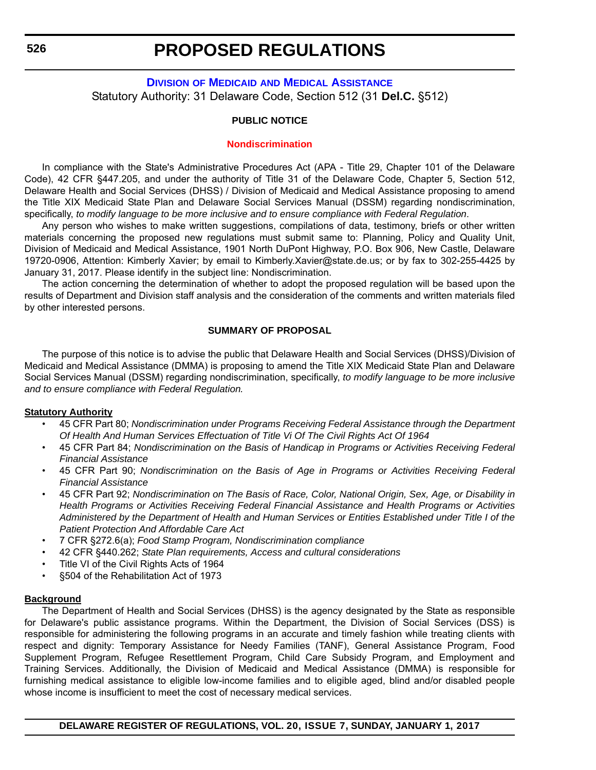### <span id="page-24-0"></span>**DIVISION OF MEDICAID [AND MEDICAL ASSISTANCE](http://www.dhss.delaware.gov/dhss/dmma/)** Statutory Authority: 31 Delaware Code, Section 512 (31 **Del.C.** §512)

#### **PUBLIC NOTICE**

#### **[Nondiscrimination](#page-3-0)**

In compliance with the State's Administrative Procedures Act (APA - Title 29, Chapter 101 of the Delaware Code), 42 CFR §447.205, and under the authority of Title 31 of the Delaware Code, Chapter 5, Section 512, Delaware Health and Social Services (DHSS) / Division of Medicaid and Medical Assistance proposing to amend the Title XIX Medicaid State Plan and Delaware Social Services Manual (DSSM) regarding nondiscrimination, specifically, *to modify language to be more inclusive and to ensure compliance with Federal Regulation*.

Any person who wishes to make written suggestions, compilations of data, testimony, briefs or other written materials concerning the proposed new regulations must submit same to: Planning, Policy and Quality Unit, Division of Medicaid and Medical Assistance, 1901 North DuPont Highway, P.O. Box 906, New Castle, Delaware 19720-0906, Attention: Kimberly Xavier; by email to Kimberly.Xavier@state.de.us; or by fax to 302-255-4425 by January 31, 2017. Please identify in the subject line: Nondiscrimination.

The action concerning the determination of whether to adopt the proposed regulation will be based upon the results of Department and Division staff analysis and the consideration of the comments and written materials filed by other interested persons.

#### **SUMMARY OF PROPOSAL**

The purpose of this notice is to advise the public that Delaware Health and Social Services (DHSS)/Division of Medicaid and Medical Assistance (DMMA) is proposing to amend the Title XIX Medicaid State Plan and Delaware Social Services Manual (DSSM) regarding nondiscrimination, specifically, *to modify language to be more inclusive and to ensure compliance with Federal Regulation.*

#### **Statutory Authority**

- 45 CFR Part 80; *Nondiscrimination under Programs Receiving Federal Assistance through the Department Of Health And Human Services Effectuation of Title Vi Of The Civil Rights Act Of 1964*
- 45 CFR Part 84; *Nondiscrimination on the Basis of Handicap in Programs or Activities Receiving Federal Financial Assistance*
- 45 CFR Part 90; *Nondiscrimination on the Basis of Age in Programs or Activities Receiving Federal Financial Assistance*
- 45 CFR Part 92; *Nondiscrimination on The Basis of Race, Color, National Origin, Sex, Age, or Disability in Health Programs or Activities Receiving Federal Financial Assistance and Health Programs or Activities Administered by the Department of Health and Human Services or Entities Established under Title I of the Patient Protection And Affordable Care Act*
- 7 CFR §272.6(a); *Food Stamp Program, Nondiscrimination compliance*
- 42 CFR §440.262; *State Plan requirements, Access and cultural considerations*
- Title VI of the Civil Rights Acts of 1964
- §504 of the Rehabilitation Act of 1973

#### **Background**

The Department of Health and Social Services (DHSS) is the agency designated by the State as responsible for Delaware's public assistance programs. Within the Department, the Division of Social Services (DSS) is responsible for administering the following programs in an accurate and timely fashion while treating clients with respect and dignity: Temporary Assistance for Needy Families (TANF), General Assistance Program, Food Supplement Program, Refugee Resettlement Program, Child Care Subsidy Program, and Employment and Training Services. Additionally, the Division of Medicaid and Medical Assistance (DMMA) is responsible for furnishing medical assistance to eligible low-income families and to eligible aged, blind and/or disabled people whose income is insufficient to meet the cost of necessary medical services.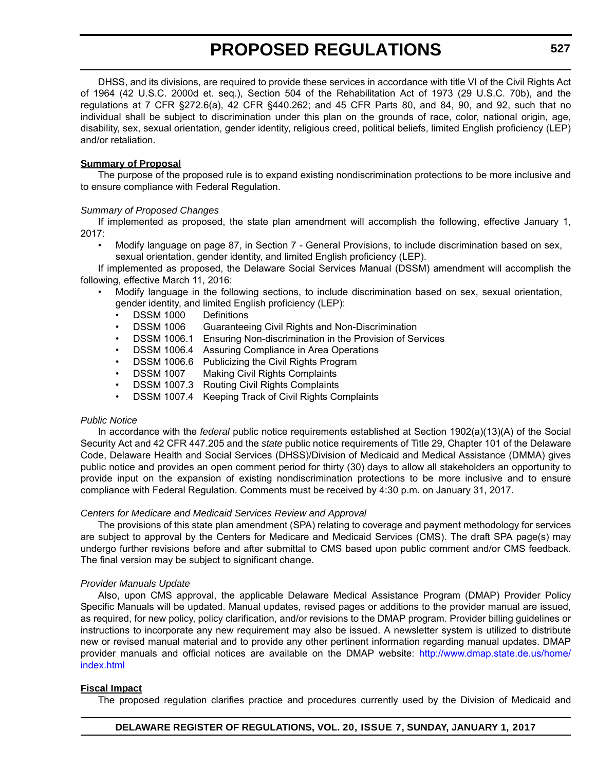DHSS, and its divisions, are required to provide these services in accordance with title VI of the Civil Rights Act of 1964 (42 U.S.C. 2000d et. seq.), Section 504 of the Rehabilitation Act of 1973 (29 U.S.C. 70b), and the regulations at 7 CFR §272.6(a), 42 CFR §440.262; and 45 CFR Parts 80, and 84, 90, and 92, such that no individual shall be subject to discrimination under this plan on the grounds of race, color, national origin, age, disability, sex, sexual orientation, gender identity, religious creed, political beliefs, limited English proficiency (LEP) and/or retaliation.

#### **Summary of Proposal**

The purpose of the proposed rule is to expand existing nondiscrimination protections to be more inclusive and to ensure compliance with Federal Regulation.

#### *Summary of Proposed Changes*

If implemented as proposed, the state plan amendment will accomplish the following, effective January 1, 2017:

• Modify language on page 87, in Section 7 - General Provisions, to include discrimination based on sex, sexual orientation, gender identity, and limited English proficiency (LEP).

If implemented as proposed, the Delaware Social Services Manual (DSSM) amendment will accomplish the following, effective March 11, 2016:

- Modify language in the following sections, to include discrimination based on sex, sexual orientation, gender identity, and limited English proficiency (LEP):
	- DSSM 1000 Definitions
	- DSSM 1006 Guaranteeing Civil Rights and Non-Discrimination
	- DSSM 1006.1 Ensuring Non-discrimination in the Provision of Services
	- DSSM 1006.4 Assuring Compliance in Area Operations
	- DSSM 1006.6 Publicizing the Civil Rights Program
	- DSSM 1007 Making Civil Rights Complaints
	- DSSM 1007.3 Routing Civil Rights Complaints
	- DSSM 1007.4 Keeping Track of Civil Rights Complaints

#### *Public Notice*

In accordance with the *federal* public notice requirements established at Section 1902(a)(13)(A) of the Social Security Act and 42 CFR 447.205 and the *state* public notice requirements of Title 29, Chapter 101 of the Delaware Code, Delaware Health and Social Services (DHSS)/Division of Medicaid and Medical Assistance (DMMA) gives public notice and provides an open comment period for thirty (30) days to allow all stakeholders an opportunity to provide input on the expansion of existing nondiscrimination protections to be more inclusive and to ensure compliance with Federal Regulation. Comments must be received by 4:30 p.m. on January 31, 2017.

#### *Centers for Medicare and Medicaid Services Review and Approval*

The provisions of this state plan amendment (SPA) relating to coverage and payment methodology for services are subject to approval by the Centers for Medicare and Medicaid Services (CMS). The draft SPA page(s) may undergo further revisions before and after submittal to CMS based upon public comment and/or CMS feedback. The final version may be subject to significant change.

#### *Provider Manuals Update*

Also, upon CMS approval, the applicable Delaware Medical Assistance Program (DMAP) Provider Policy Specific Manuals will be updated. Manual updates, revised pages or additions to the provider manual are issued, as required, for new policy, policy clarification, and/or revisions to the DMAP program. Provider billing guidelines or instructions to incorporate any new requirement may also be issued. A newsletter system is utilized to distribute new or revised manual material and to provide any other pertinent information regarding manual updates. DMAP provider manuals and official notices are available on the DMAP website: [http://www.dmap.state.de.us/home/](http://www.dmap.state.de.us/home/index.html) [index.html](http://www.dmap.state.de.us/home/index.html)

#### **Fiscal Impact**

The proposed regulation clarifies practice and procedures currently used by the Division of Medicaid and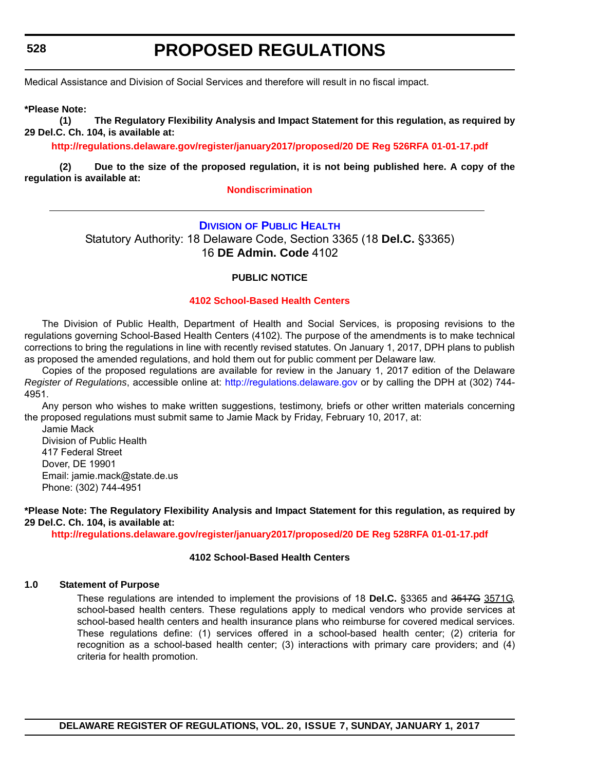<span id="page-26-0"></span>**528**

# **PROPOSED REGULATIONS**

Medical Assistance and Division of Social Services and therefore will result in no fiscal impact.

**\*Please Note:** 

**(1) The Regulatory Flexibility Analysis and Impact Statement for this regulation, as required by 29 Del.C. Ch. 104, is available at:**

**<http://regulations.delaware.gov/register/january2017/proposed/20 DE Reg 526RFA 01-01-17.pdf>**

**(2) Due to the size of the proposed regulation, it is not being published here. A copy of the regulation is available at:**

#### **[Nondiscrimination](http://regulations.delaware.gov/register/january2017/proposed/20 DE Reg 526 01-01-17.htm)**

#### **DIVISION [OF PUBLIC HEALTH](http://www.dhss.delaware.gov/dhss/dph/index.html)**

Statutory Authority: 18 Delaware Code, Section 3365 (18 **Del.C.** §3365) 16 **DE Admin. Code** 4102

#### **PUBLIC NOTICE**

#### **[4102 School-Based Health Centers](#page-3-0)**

The Division of Public Health, Department of Health and Social Services, is proposing revisions to the regulations governing School-Based Health Centers (4102). The purpose of the amendments is to make technical corrections to bring the regulations in line with recently revised statutes. On January 1, 2017, DPH plans to publish as proposed the amended regulations, and hold them out for public comment per Delaware law.

Copies of the proposed regulations are available for review in the January 1, 2017 edition of the Delaware *Register of Regulations*, accessible online at: <http://regulations.delaware.gov> or by calling the DPH at (302) 744- 4951.

Any person who wishes to make written suggestions, testimony, briefs or other written materials concerning the proposed regulations must submit same to Jamie Mack by Friday, February 10, 2017, at:

Jamie Mack Division of Public Health 417 Federal Street Dover, DE 19901 Email: jamie.mack@state.de.us Phone: (302) 744-4951

**\*Please Note: The Regulatory Flexibility Analysis and Impact Statement for this regulation, as required by 29 Del.C. Ch. 104, is available at:**

**<http://regulations.delaware.gov/register/january2017/proposed/20 DE Reg 528RFA 01-01-17.pdf>**

#### **4102 School-Based Health Centers**

#### **1.0 Statement of Purpose**

These regulations are intended to implement the provisions of 18 **Del.C.** §3365 and 3517G 3571G, school-based health centers. These regulations apply to medical vendors who provide services at school-based health centers and health insurance plans who reimburse for covered medical services. These regulations define: (1) services offered in a school-based health center; (2) criteria for recognition as a school-based health center; (3) interactions with primary care providers; and (4) criteria for health promotion.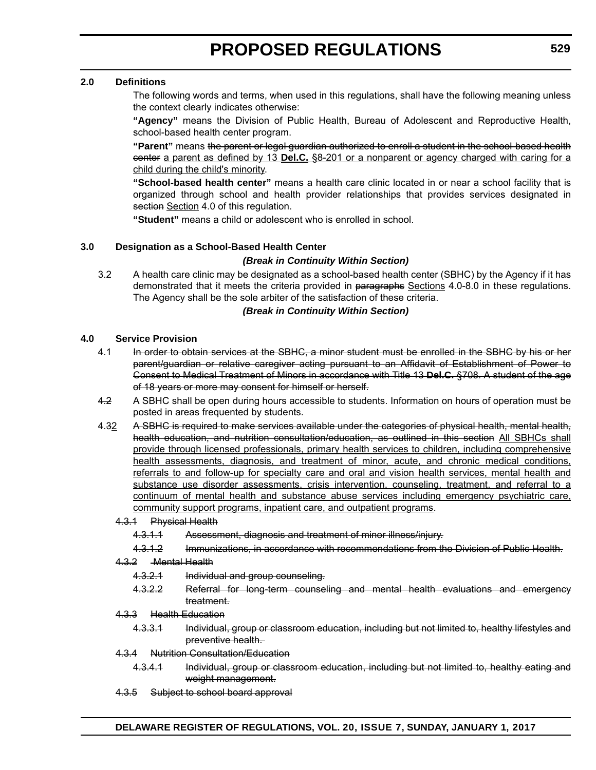#### **2.0 Definitions**

The following words and terms, when used in this regulations, shall have the following meaning unless the context clearly indicates otherwise:

**"Agency"** means the Division of Public Health, Bureau of Adolescent and Reproductive Health, school-based health center program.

**"Parent"** means the parent or legal guardian authorized to enroll a student in the school-based health center a parent as defined by 13 **Del.C.** §8-201 or a nonparent or agency charged with caring for a child during the child's minority.

**"School-based health center"** means a health care clinic located in or near a school facility that is organized through school and health provider relationships that provides services designated in section Section 4.0 of this regulation.

**"Student"** means a child or adolescent who is enrolled in school.

#### **3.0 Designation as a School-Based Health Center**

#### *(Break in Continuity Within Section)*

3.2 A health care clinic may be designated as a school-based health center (SBHC) by the Agency if it has demonstrated that it meets the criteria provided in paragraphs Sections 4.0-8.0 in these regulations. The Agency shall be the sole arbiter of the satisfaction of these criteria.

#### *(Break in Continuity Within Section)*

#### **4.0 Service Provision**

- 4.1 In order to obtain services at the SBHC, a minor student must be enrolled in the SBHC by his or her parent/guardian or relative caregiver acting pursuant to an Affidavit of Establishment of Power to Consent to Medical Treatment of Minors in accordance with Title 13 **Del.C.** §708. A student of the age of 18 years or more may consent for himself or herself.
- 4.2 A SBHC shall be open during hours accessible to students. Information on hours of operation must be posted in areas frequented by students.
- 4.32 A SBHC is required to make services available under the categories of physical health, mental health, health education, and nutrition consultation/education, as outlined in this section All SBHCs shall provide through licensed professionals, primary health services to children, including comprehensive health assessments, diagnosis, and treatment of minor, acute, and chronic medical conditions, referrals to and follow-up for specialty care and oral and vision health services, mental health and substance use disorder assessments, crisis intervention, counseling, treatment, and referral to a continuum of mental health and substance abuse services including emergency psychiatric care, community support programs, inpatient care, and outpatient programs.
	- 4.3.1 Physical Health
		- 4.3.1.1 Assessment, diagnosis and treatment of minor illness/injury.
		- 4.3.1.2 Immunizations, in accordance with recommendations from the Division of Public Health.
	- 4.3.2 Mental Health
		- 4.3.2.1 Individual and group counseling.
		- 4.3.2.2 Referral for long-term counseling and mental health evaluations and emergency treatment.
	- 4.3.3 Health Education
		- 4.3.3.1 Individual, group or classroom education, including but not limited to, healthy lifestyles and preventive health.
	- 4.3.4 Nutrition Consultation/Education
		- 4.3.4.1 Individual, group or classroom education, including but not limited to, healthy eating and weight management.
	- 4.3.5 Subject to school board approval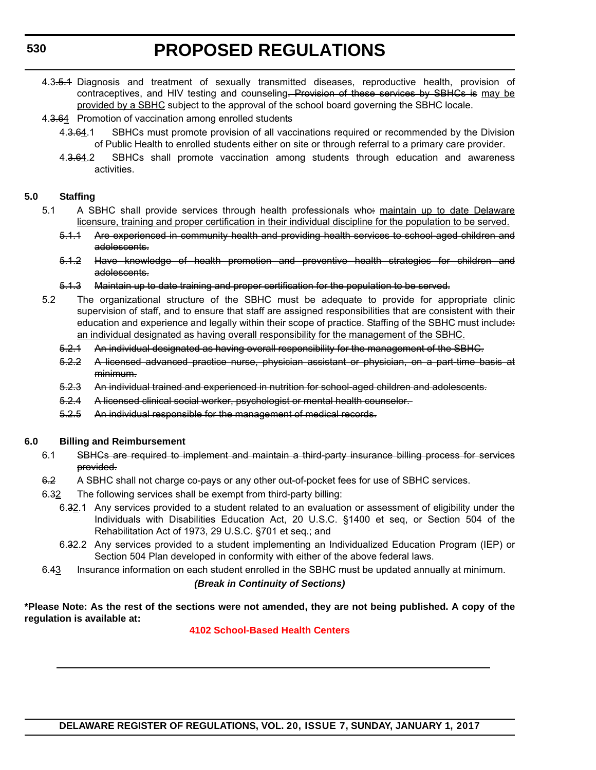- 4.3.5.4 Diagnosis and treatment of sexually transmitted diseases, reproductive health, provision of contraceptives, and HIV testing and counseling. Provision of these services by SBHCs is may be provided by a SBHC subject to the approval of the school board governing the SBHC locale.
- 4.3.64 Promotion of vaccination among enrolled students
	- 4.3.64.1 SBHCs must promote provision of all vaccinations required or recommended by the Division of Public Health to enrolled students either on site or through referral to a primary care provider.
	- 4.3.64.2 SBHCs shall promote vaccination among students through education and awareness activities.

#### **5.0 Staffing**

- 5.1 A SBHC shall provide services through health professionals who: maintain up to date Delaware licensure, training and proper certification in their individual discipline for the population to be served.
	- 5.1.1 Are experienced in community health and providing health services to school-aged children and adolescents.
	- 5.1.2 Have knowledge of health promotion and preventive health strategies for children and adolescents.
	- 5.1.3 Maintain up to date training and proper certification for the population to be served.
- 5.2 The organizational structure of the SBHC must be adequate to provide for appropriate clinic supervision of staff, and to ensure that staff are assigned responsibilities that are consistent with their education and experience and legally within their scope of practice. Staffing of the SBHC must include: an individual designated as having overall responsibility for the management of the SBHC.
	- 5.2.1 An individual designated as having overall responsibility for the management of the SBHC.
	- 5.2.2 A licensed advanced practice nurse, physician assistant or physician, on a part-time basis at minimum.
	- 5.2.3 An individual trained and experienced in nutrition for school-aged children and adolescents.
	- 5.2.4 A licensed clinical social worker, psychologist or mental health counselor.
	- 5.2.5 An individual responsible for the management of medical records.

#### **6.0 Billing and Reimbursement**

- 6.1 SBHCs are required to implement and maintain a third-party insurance billing process for services provided.
- 6.2 A SBHC shall not charge co-pays or any other out-of-pocket fees for use of SBHC services.
- 6.32 The following services shall be exempt from third-party billing:
	- 6.32.1 Any services provided to a student related to an evaluation or assessment of eligibility under the Individuals with Disabilities Education Act, 20 U.S.C. §1400 et seq, or Section 504 of the Rehabilitation Act of 1973, 29 U.S.C. §701 et seq.; and
	- 6.32.2 Any services provided to a student implementing an Individualized Education Program (IEP) or Section 504 Plan developed in conformity with either of the above federal laws.
- 6.43 Insurance information on each student enrolled in the SBHC must be updated annually at minimum.

#### *(Break in Continuity of Sections)*

**\*Please Note: As the rest of the sections were not amended, they are not being published. A copy of the regulation is available at:**

#### **[4102 School-Based Health Centers](http://regulations.delaware.gov/register/january2017/proposed/20 DE Reg 528 01-01-17.htm)**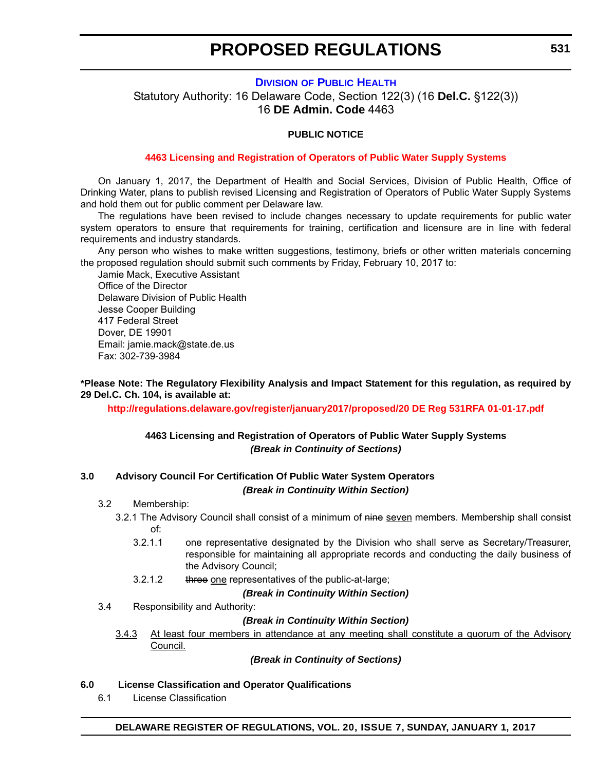#### **DIVISION [OF PUBLIC HEALTH](http://www.dhss.delaware.gov/dhss/dph/index.html)**

<span id="page-29-0"></span>Statutory Authority: 16 Delaware Code, Section 122(3) (16 **Del.C.** §122(3)) 16 **DE Admin. Code** 4463

#### **PUBLIC NOTICE**

#### **[4463 Licensing and Registration of Operators of Public Water Supply Systems](#page-3-0)**

On January 1, 2017, the Department of Health and Social Services, Division of Public Health, Office of Drinking Water, plans to publish revised Licensing and Registration of Operators of Public Water Supply Systems and hold them out for public comment per Delaware law.

The regulations have been revised to include changes necessary to update requirements for public water system operators to ensure that requirements for training, certification and licensure are in line with federal requirements and industry standards.

Any person who wishes to make written suggestions, testimony, briefs or other written materials concerning the proposed regulation should submit such comments by Friday, February 10, 2017 to:

Jamie Mack, Executive Assistant Office of the Director Delaware Division of Public Health Jesse Cooper Building 417 Federal Street Dover, DE 19901 Email: jamie.mack@state.de.us Fax: 302-739-3984

**\*Please Note: The Regulatory Flexibility Analysis and Impact Statement for this regulation, as required by 29 Del.C. Ch. 104, is available at:**

**<http://regulations.delaware.gov/register/january2017/proposed/20 DE Reg 531RFA 01-01-17.pdf>**

#### **4463 Licensing and Registration of Operators of Public Water Supply Systems** *(Break in Continuity of Sections)*

#### **3.0 Advisory Council For Certification Of Public Water System Operators** *(Break in Continuity Within Section)*

#### 3.2 Membership:

- 3.2.1 The Advisory Council shall consist of a minimum of nine seven members. Membership shall consist of:
	- 3.2.1.1 one representative designated by the Division who shall serve as Secretary/Treasurer, responsible for maintaining all appropriate records and conducting the daily business of the Advisory Council;
	- 3.2.1.2 three one representatives of the public-at-large;

*(Break in Continuity Within Section)*

3.4 Responsibility and Authority:

#### *(Break in Continuity Within Section)*

3.4.3 At least four members in attendance at any meeting shall constitute a quorum of the Advisory Council.

*(Break in Continuity of Sections)*

#### **6.0 License Classification and Operator Qualifications**

6.1 License Classification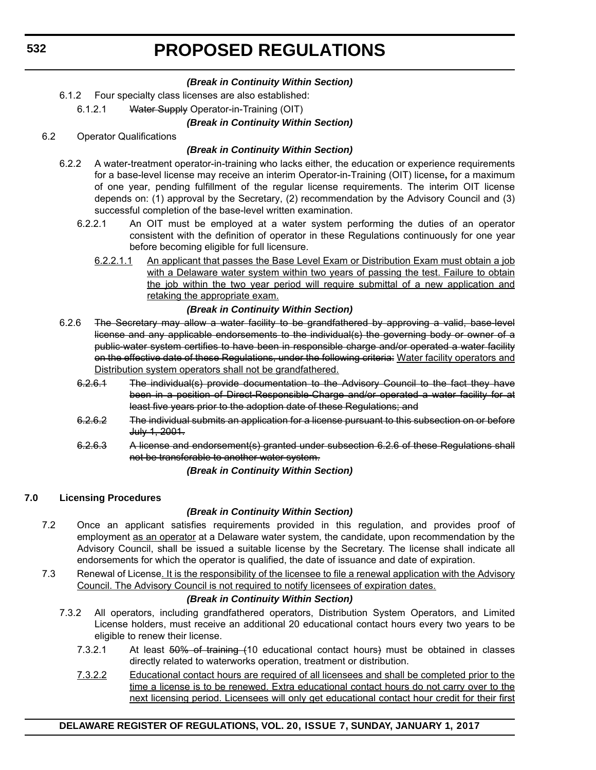#### *(Break in Continuity Within Section)*

- 6.1.2 Four specialty class licenses are also established:
	- 6.1.2.1 Water Supply Operator-in-Training (OIT)

#### *(Break in Continuity Within Section)*

6.2 Operator Qualifications

#### *(Break in Continuity Within Section)*

- 6.2.2 A water-treatment operator-in-training who lacks either, the education or experience requirements for a base-level license may receive an interim Operator-in-Training (OIT) license**,** for a maximum of one year, pending fulfillment of the regular license requirements. The interim OIT license depends on: (1) approval by the Secretary, (2) recommendation by the Advisory Council and (3) successful completion of the base-level written examination.
	- 6.2.2.1 An OIT must be employed at a water system performing the duties of an operator consistent with the definition of operator in these Regulations continuously for one year before becoming eligible for full licensure.
		- 6.2.2.1.1 An applicant that passes the Base Level Exam or Distribution Exam must obtain a job with a Delaware water system within two years of passing the test. Failure to obtain the job within the two year period will require submittal of a new application and retaking the appropriate exam.

#### *(Break in Continuity Within Section)*

- 6.2.6 The Secretary may allow a water facility to be grandfathered by approving a valid, base level license and any applicable endorsements to the individual(s) the governing body or owner of a public-water system certifies to have been in responsible charge and/or operated a water facility on the effective date of these Regulations, under the following criteria: Water facility operators and Distribution system operators shall not be grandfathered.
	- 6.2.6.1 The individual(s) provide documentation to the Advisory Council to the fact they have been in a position of Direct-Responsible-Charge and/or operated a water facility for at least five years prior to the adoption date of these Regulations; and
	- 6.2.6.2 The individual submits an application for a license pursuant to this subsection on or before July 1, 2001.
	- 6.2.6.3 A license and endorsement(s) granted under subsection 6.2.6 of these Regulations shall not be transferable to another water system.

*(Break in Continuity Within Section)*

### **7.0 Licensing Procedures**

### *(Break in Continuity Within Section)*

- 7.2 Once an applicant satisfies requirements provided in this regulation, and provides proof of employment as an operator at a Delaware water system, the candidate, upon recommendation by the Advisory Council, shall be issued a suitable license by the Secretary. The license shall indicate all endorsements for which the operator is qualified, the date of issuance and date of expiration.
- 7.3 Renewal of License. It is the responsibility of the licensee to file a renewal application with the Advisory Council. The Advisory Council is not required to notify licensees of expiration dates.

#### *(Break in Continuity Within Section)*

- 7.3.2 All operators, including grandfathered operators, Distribution System Operators, and Limited License holders, must receive an additional 20 educational contact hours every two years to be eligible to renew their license.
	- 7.3.2.1 At least 50% of training (10 educational contact hours) must be obtained in classes directly related to waterworks operation, treatment or distribution.
	- 7.3.2.2 Educational contact hours are required of all licensees and shall be completed prior to the time a license is to be renewed. Extra educational contact hours do not carry over to the next licensing period. Licensees will only get educational contact hour credit for their first

### **DELAWARE REGISTER OF REGULATIONS, VOL. 20, ISSUE 7, SUNDAY, JANUARY 1, 2017**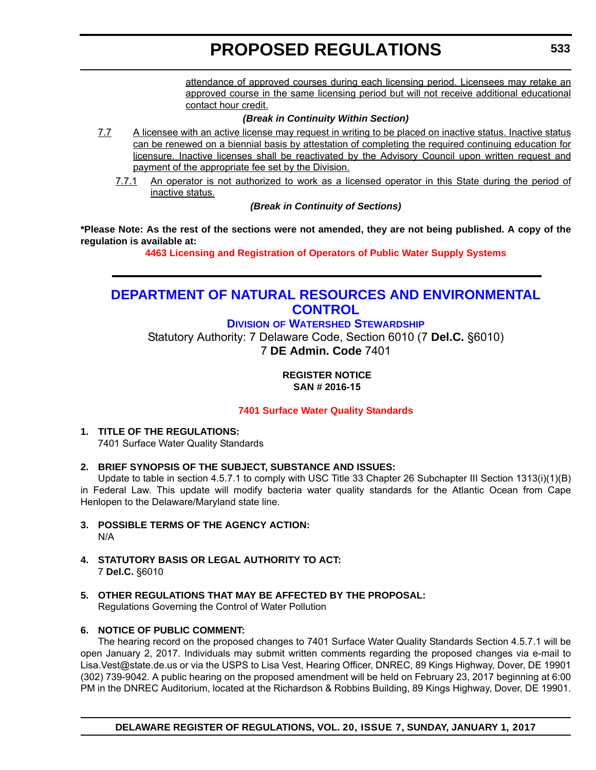attendance of approved courses during each licensing period. Licensees may retake an approved course in the same licensing period but will not receive additional educational contact hour credit.

#### *(Break in Continuity Within Section)*

- <span id="page-31-0"></span>7.7 A licensee with an active license may request in writing to be placed on inactive status. Inactive status can be renewed on a biennial basis by attestation of completing the required continuing education for licensure. Inactive licenses shall be reactivated by the Advisory Council upon written request and payment of the appropriate fee set by the Division.
	- 7.7.1 An operator is not authorized to work as a licensed operator in this State during the period of inactive status.

*(Break in Continuity of Sections)*

**\*Please Note: As the rest of the sections were not amended, they are not being published. A copy of the regulation is available at:**

**[4463 Licensing and Registration of Operators of Public Water Supply Systems](http://regulations.delaware.gov/register/january2017/proposed/20 DE Reg 531 01-01-17.htm)**

### **[DEPARTMENT OF NATURAL RESOURCES AND ENVIRONMENTAL](http://www.dnrec.delaware.gov/swc/Pages/portal.aspx)  CONTROL**

### **DIVISION OF WATERSHED STEWARDSHIP**

Statutory Authority: 7 Delaware Code, Section 6010 (7 **Del.C.** §6010) 7 **DE Admin. Code** 7401

#### **REGISTER NOTICE SAN # 2016-15**

### **[7401 Surface Water Quality Standards](#page-3-0)**

**1. TITLE OF THE REGULATIONS:**

7401 Surface Water Quality Standards

### **2. BRIEF SYNOPSIS OF THE SUBJECT, SUBSTANCE AND ISSUES:**

Update to table in section 4.5.7.1 to comply with USC Title 33 Chapter 26 Subchapter III Section 1313(i)(1)(B) in Federal Law. This update will modify bacteria water quality standards for the Atlantic Ocean from Cape Henlopen to the Delaware/Maryland state line.

- **3. POSSIBLE TERMS OF THE AGENCY ACTION:** N/A
- **4. STATUTORY BASIS OR LEGAL AUTHORITY TO ACT:** 7 **Del.C.** §6010
- **5. OTHER REGULATIONS THAT MAY BE AFFECTED BY THE PROPOSAL:** Regulations Governing the Control of Water Pollution

### **6. NOTICE OF PUBLIC COMMENT:**

The hearing record on the proposed changes to 7401 Surface Water Quality Standards Section 4.5.7.1 will be open January 2, 2017. Individuals may submit written comments regarding the proposed changes via e-mail to Lisa.Vest@state.de.us or via the USPS to Lisa Vest, Hearing Officer, DNREC, 89 Kings Highway, Dover, DE 19901 (302) 739-9042. A public hearing on the proposed amendment will be held on February 23, 2017 beginning at 6:00 PM in the DNREC Auditorium, located at the Richardson & Robbins Building, 89 Kings Highway, Dover, DE 19901.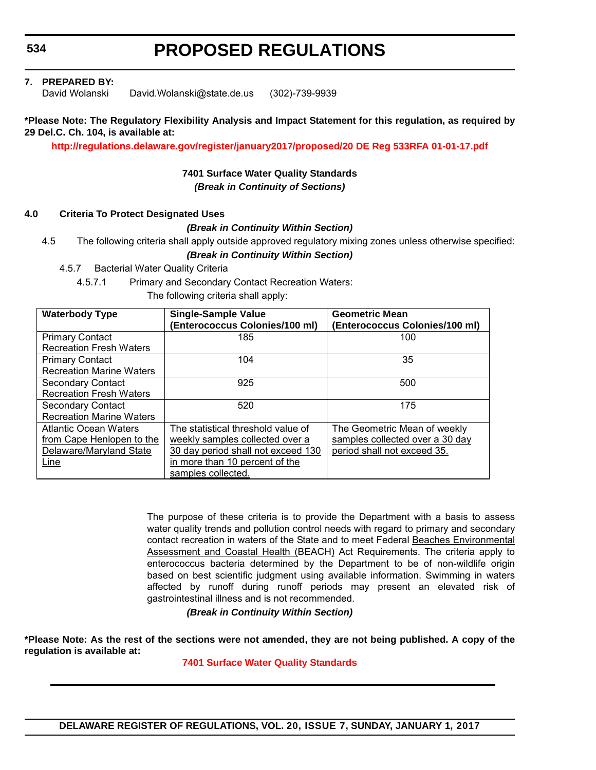**534**

# **PROPOSED REGULATIONS**

**7. PREPARED BY:**

David Wolanski David.Wolanski@state.de.us (302)-739-9939

#### **\*Please Note: The Regulatory Flexibility Analysis and Impact Statement for this regulation, as required by 29 Del.C. Ch. 104, is available at:**

**<http://regulations.delaware.gov/register/january2017/proposed/20 DE Reg 533RFA 01-01-17.pdf>**

#### **7401 Surface Water Quality Standards** *(Break in Continuity of Sections)*

#### **4.0 Criteria To Protect Designated Uses**

#### *(Break in Continuity Within Section)*

4.5 The following criteria shall apply outside approved regulatory mixing zones unless otherwise specified:

*(Break in Continuity Within Section)*

4.5.7 Bacterial Water Quality Criteria

4.5.7.1 Primary and Secondary Contact Recreation Waters:

The following criteria shall apply:

| <b>Waterbody Type</b>           | <b>Single-Sample Value</b><br>(Enterococcus Colonies/100 ml) | <b>Geometric Mean</b><br>(Enterococcus Colonies/100 ml) |
|---------------------------------|--------------------------------------------------------------|---------------------------------------------------------|
| <b>Primary Contact</b>          | 185                                                          | 100                                                     |
| <b>Recreation Fresh Waters</b>  |                                                              |                                                         |
| <b>Primary Contact</b>          | 104                                                          | 35                                                      |
| <b>Recreation Marine Waters</b> |                                                              |                                                         |
| <b>Secondary Contact</b>        | 925                                                          | 500                                                     |
| <b>Recreation Fresh Waters</b>  |                                                              |                                                         |
| <b>Secondary Contact</b>        | 520                                                          | 175                                                     |
| <b>Recreation Marine Waters</b> |                                                              |                                                         |
| <b>Atlantic Ocean Waters</b>    | The statistical threshold value of                           | The Geometric Mean of weekly                            |
| from Cape Henlopen to the       | weekly samples collected over a                              | samples collected over a 30 day                         |
| Delaware/Maryland State         | 30 day period shall not exceed 130                           | period shall not exceed 35.                             |
| Line                            | in more than 10 percent of the                               |                                                         |
|                                 | samples collected.                                           |                                                         |

The purpose of these criteria is to provide the Department with a basis to assess water quality trends and pollution control needs with regard to primary and secondary contact recreation in waters of the State and to meet Federal Beaches Environmental Assessment and Coastal Health (BEACH) Act Requirements. The criteria apply to enterococcus bacteria determined by the Department to be of non-wildlife origin based on best scientific judgment using available information. Swimming in waters affected by runoff during runoff periods may present an elevated risk of gastrointestinal illness and is not recommended.

*(Break in Continuity Within Section)*

**\*Please Note: As the rest of the sections were not amended, they are not being published. A copy of the regulation is available at:**

**[7401 Surface Water Quality Standards](http://regulations.delaware.gov/register/january2017/proposed/20 DE Reg 533 01-01-17.htm)**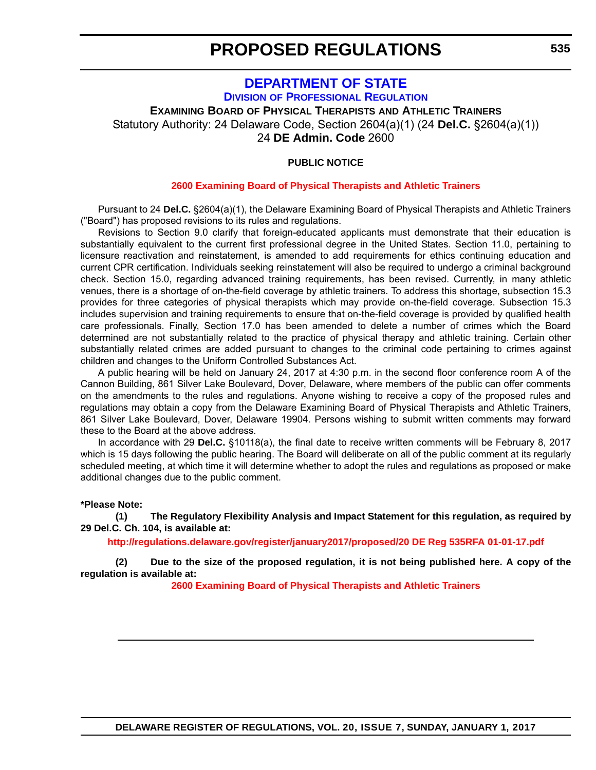### **[DEPARTMENT OF STATE](http://dpr.delaware.gov/) DIVISION OF PROFESSIONAL REGULATION**

<span id="page-33-0"></span>**EXAMINING BOARD OF PHYSICAL THERAPISTS AND ATHLETIC TRAINERS** Statutory Authority: 24 Delaware Code, Section 2604(a)(1) (24 **Del.C.** §2604(a)(1)) 24 **DE Admin. Code** 2600

#### **PUBLIC NOTICE**

#### **[2600 Examining Board of Physical Therapists and Athletic Trainers](#page-3-0)**

Pursuant to 24 **Del.C.** §2604(a)(1), the Delaware Examining Board of Physical Therapists and Athletic Trainers ("Board") has proposed revisions to its rules and regulations.

Revisions to Section 9.0 clarify that foreign-educated applicants must demonstrate that their education is substantially equivalent to the current first professional degree in the United States. Section 11.0, pertaining to licensure reactivation and reinstatement, is amended to add requirements for ethics continuing education and current CPR certification. Individuals seeking reinstatement will also be required to undergo a criminal background check. Section 15.0, regarding advanced training requirements, has been revised. Currently, in many athletic venues, there is a shortage of on-the-field coverage by athletic trainers. To address this shortage, subsection 15.3 provides for three categories of physical therapists which may provide on-the-field coverage. Subsection 15.3 includes supervision and training requirements to ensure that on-the-field coverage is provided by qualified health care professionals. Finally, Section 17.0 has been amended to delete a number of crimes which the Board determined are not substantially related to the practice of physical therapy and athletic training. Certain other substantially related crimes are added pursuant to changes to the criminal code pertaining to crimes against children and changes to the Uniform Controlled Substances Act.

A public hearing will be held on January 24, 2017 at 4:30 p.m. in the second floor conference room A of the Cannon Building, 861 Silver Lake Boulevard, Dover, Delaware, where members of the public can offer comments on the amendments to the rules and regulations. Anyone wishing to receive a copy of the proposed rules and regulations may obtain a copy from the Delaware Examining Board of Physical Therapists and Athletic Trainers, 861 Silver Lake Boulevard, Dover, Delaware 19904. Persons wishing to submit written comments may forward these to the Board at the above address.

In accordance with 29 **Del.C.** §10118(a), the final date to receive written comments will be February 8, 2017 which is 15 days following the public hearing. The Board will deliberate on all of the public comment at its regularly scheduled meeting, at which time it will determine whether to adopt the rules and regulations as proposed or make additional changes due to the public comment.

#### **\*Please Note:**

**(1) The Regulatory Flexibility Analysis and Impact Statement for this regulation, as required by 29 Del.C. Ch. 104, is available at:**

**<http://regulations.delaware.gov/register/january2017/proposed/20 DE Reg 535RFA 01-01-17.pdf>**

**(2) Due to the size of the proposed regulation, it is not being published here. A copy of the regulation is available at:**

**[2600 Examining Board of Physical Therapists and Athletic Trainers](http://regulations.delaware.gov/register/january2017/proposed/20 DE Reg 535 01-01-17.htm)**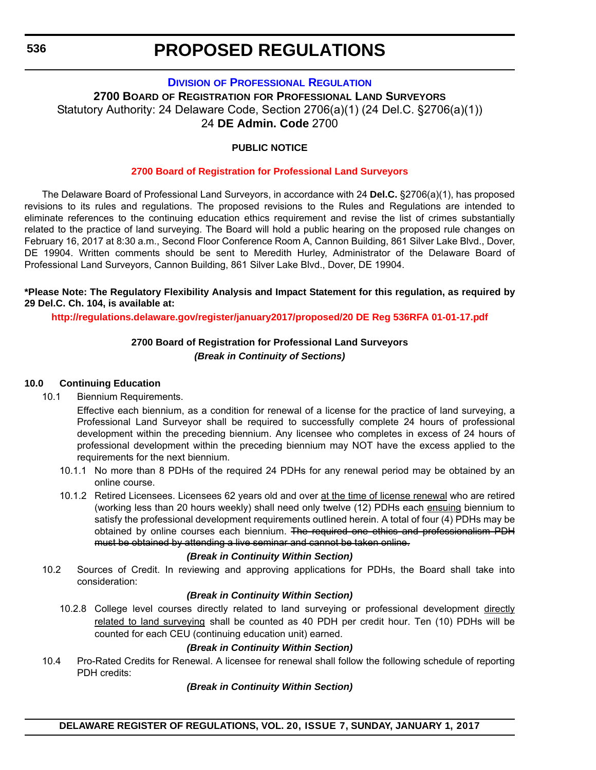#### **DIVISION [OF PROFESSIONAL REGULATION](http://dpr.delaware.gov/)**

<span id="page-34-0"></span>**2700 BOARD OF REGISTRATION FOR PROFESSIONAL LAND SURVEYORS** Statutory Authority: 24 Delaware Code, Section 2706(a)(1) (24 Del.C. §2706(a)(1)) 24 **DE Admin. Code** 2700

#### **PUBLIC NOTICE**

#### **[2700 Board of Registration for Professional Land Surveyors](#page-3-0)**

The Delaware Board of Professional Land Surveyors, in accordance with 24 **Del.C.** §2706(a)(1), has proposed revisions to its rules and regulations. The proposed revisions to the Rules and Regulations are intended to eliminate references to the continuing education ethics requirement and revise the list of crimes substantially related to the practice of land surveying. The Board will hold a public hearing on the proposed rule changes on February 16, 2017 at 8:30 a.m., Second Floor Conference Room A, Cannon Building, 861 Silver Lake Blvd., Dover, DE 19904. Written comments should be sent to Meredith Hurley, Administrator of the Delaware Board of Professional Land Surveyors, Cannon Building, 861 Silver Lake Blvd., Dover, DE 19904.

#### **\*Please Note: The Regulatory Flexibility Analysis and Impact Statement for this regulation, as required by 29 Del.C. Ch. 104, is available at:**

**<http://regulations.delaware.gov/register/january2017/proposed/20 DE Reg 536RFA 01-01-17.pdf>**

#### **2700 Board of Registration for Professional Land Surveyors** *(Break in Continuity of Sections)*

#### **10.0 Continuing Education**

10.1 Biennium Requirements.

Effective each biennium, as a condition for renewal of a license for the practice of land surveying, a Professional Land Surveyor shall be required to successfully complete 24 hours of professional development within the preceding biennium. Any licensee who completes in excess of 24 hours of professional development within the preceding biennium may NOT have the excess applied to the requirements for the next biennium.

- 10.1.1 No more than 8 PDHs of the required 24 PDHs for any renewal period may be obtained by an online course.
- 10.1.2 Retired Licensees. Licensees 62 years old and over at the time of license renewal who are retired (working less than 20 hours weekly) shall need only twelve (12) PDHs each ensuing biennium to satisfy the professional development requirements outlined herein. A total of four (4) PDHs may be obtained by online courses each biennium. The required one ethics and professionalism PDH must be obtained by attending a live seminar and cannot be taken online.

#### *(Break in Continuity Within Section)*

10.2 Sources of Credit. In reviewing and approving applications for PDHs, the Board shall take into consideration:

#### *(Break in Continuity Within Section)*

10.2.8 College level courses directly related to land surveying or professional development directly related to land surveying shall be counted as 40 PDH per credit hour. Ten (10) PDHs will be counted for each CEU (continuing education unit) earned.

#### *(Break in Continuity Within Section)*

10.4 Pro-Rated Credits for Renewal. A licensee for renewal shall follow the following schedule of reporting PDH credits:

#### *(Break in Continuity Within Section)*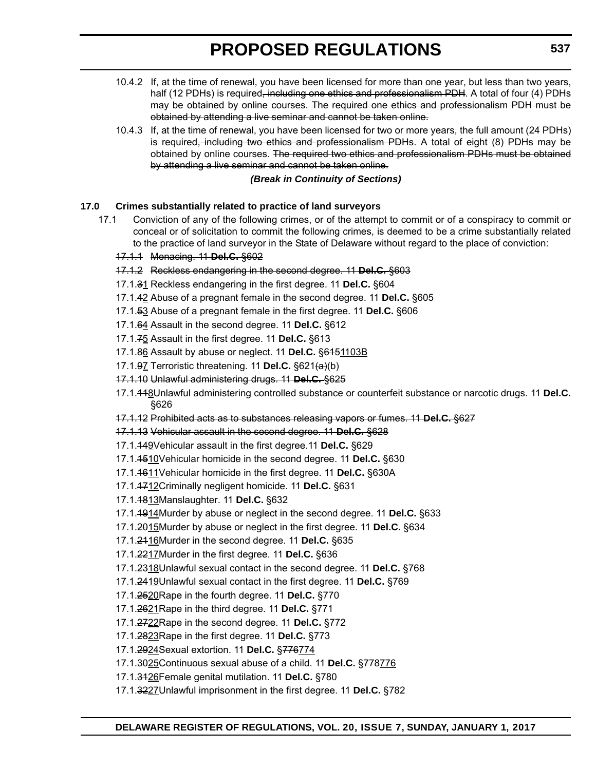- 10.4.2 If, at the time of renewal, you have been licensed for more than one year, but less than two years, half (12 PDHs) is required<del>, including one ethics and professionalism PDH</del>. A total of four (4) PDHs may be obtained by online courses. The required one ethics and professionalism PDH must be obtained by attending a live seminar and cannot be taken online.
- 10.4.3 If, at the time of renewal, you have been licensed for two or more years, the full amount (24 PDHs) is required, including two ethics and professionalism PDHs. A total of eight (8) PDHs may be obtained by online courses. The required two ethics and professionalism PDHs must be obtained by attending a live seminar and cannot be taken online.

#### *(Break in Continuity of Sections)*

#### **17.0 Crimes substantially related to practice of land surveyors**

17.1 Conviction of any of the following crimes, or of the attempt to commit or of a conspiracy to commit or conceal or of solicitation to commit the following crimes, is deemed to be a crime substantially related to the practice of land surveyor in the State of Delaware without regard to the place of conviction:

#### 17.1.1 Menacing. 11 **Del.C.** §602

- 17.1.2 Reckless endangering in the second degree. 11 **Del.C.** §603
- 17.1.31 Reckless endangering in the first degree. 11 **Del.C.** §604
- 17.1.42 Abuse of a pregnant female in the second degree. 11 **Del.C.** §605
- 17.1.53 Abuse of a pregnant female in the first degree. 11 **Del.C.** §606
- 17.1.64 Assault in the second degree. 11 **Del.C.** §612
- 17.1.75 Assault in the first degree. 11 **Del.C.** §613
- 17.1.86 Assault by abuse or neglect. 11 **Del.C.** §6151103B
- 17.1.97 Terroristic threatening. 11 **Del.C.** §621(a)(b)
- 17.1.10 Unlawful administering drugs. 11 **Del.C.** §625
- 17.1.118Unlawful administering controlled substance or counterfeit substance or narcotic drugs. 11 **Del.C.** §626
- 17.1.12 Prohibited acts as to substances releasing vapors or fumes. 11 **Del.C.** §627
- 17.1.13 Vehicular assault in the second degree. 11 **Del.C.** §628
- 17.1.149Vehicular assault in the first degree.11 **Del.C.** §629
- 17.1.1510Vehicular homicide in the second degree. 11 **Del.C.** §630
- 17.1.1611Vehicular homicide in the first degree. 11 **Del.C.** §630A
- 17.1.1712Criminally negligent homicide. 11 **Del.C.** §631
- 17.1.1813Manslaughter. 11 **Del.C.** §632
- 17.1.1914Murder by abuse or neglect in the second degree. 11 **Del.C.** §633
- 17.1.2015Murder by abuse or neglect in the first degree. 11 **Del.C.** §634
- 17.1.2116Murder in the second degree. 11 **Del.C.** §635
- 17.1.2217Murder in the first degree. 11 **Del.C.** §636
- 17.1.2318Unlawful sexual contact in the second degree. 11 **Del.C.** §768
- 17.1.2419Unlawful sexual contact in the first degree. 11 **Del.C.** §769
- 17.1.2520Rape in the fourth degree. 11 **Del.C.** §770
- 17.1.2621Rape in the third degree. 11 **Del.C.** §771
- 17.1.2722Rape in the second degree. 11 **Del.C.** §772
- 17.1.2823Rape in the first degree. 11 **Del.C.** §773
- 17.1.2924Sexual extortion. 11 **Del.C.** §776774
- 17.1.3025Continuous sexual abuse of a child. 11 **Del.C.** §778776
- 17.1.3126Female genital mutilation. 11 **Del.C.** §780
- 17.1.3227Unlawful imprisonment in the first degree. 11 **Del.C.** §782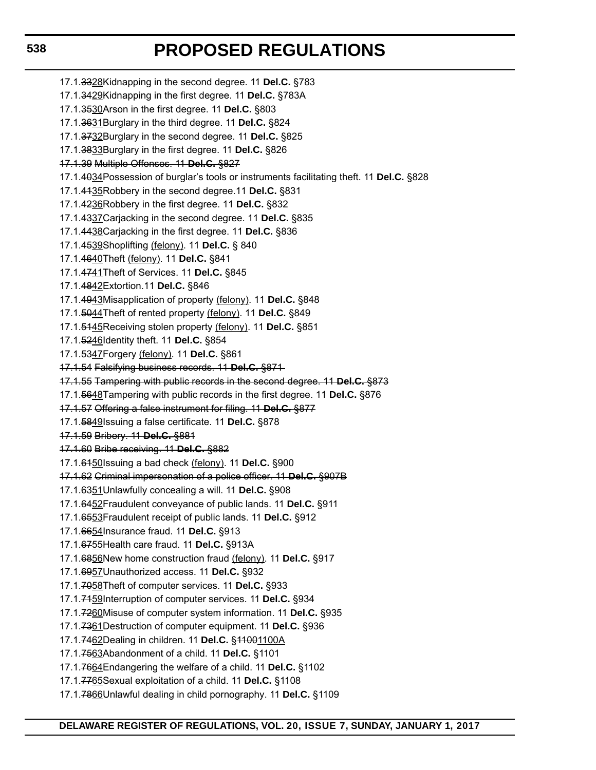17.1.3328Kidnapping in the second degree. 11 **Del.C.** §783 17.1.3429Kidnapping in the first degree. 11 **Del.C.** §783A 17.1.3530Arson in the first degree. 11 **Del.C.** §803 17.1.3631Burglary in the third degree. 11 **Del.C.** §824 17.1.3732Burglary in the second degree. 11 **Del.C.** §825 17.1.3833Burglary in the first degree. 11 **Del.C.** §826 17.1.39 Multiple Offenses. 11 **Del.C.** §827 17.1.4034Possession of burglar's tools or instruments facilitating theft. 11 **Del.C.** §828 17.1.4135Robbery in the second degree.11 **Del.C.** §831 17.1.4236Robbery in the first degree. 11 **Del.C.** §832 17.1.4337Carjacking in the second degree. 11 **Del.C.** §835 17.1.4438Carjacking in the first degree. 11 **Del.C.** §836 17.1.4539Shoplifting (felony). 11 **Del.C.** § 840 17.1.4640Theft (felony). 11 **Del.C.** §841 17.1.4741Theft of Services. 11 **Del.C.** §845 17.1.4842Extortion.11 **Del.C.** §846 17.1.4943Misapplication of property (felony). 11 **Del.C.** §848 17.1.5044Theft of rented property (felony). 11 **Del.C.** §849 17.1.5145Receiving stolen property (felony). 11 **Del.C.** §851 17.1.5246Identity theft. 11 **Del.C.** §854 17.1.5347Forgery (felony). 11 **Del.C.** §861 17.1.54 Falsifying business records. 11 **Del.C.** §871 17.1.55 Tampering with public records in the second degree. 11 **Del.C.** §873 17.1.5648Tampering with public records in the first degree. 11 **Del.C.** §876 17.1.57 Offering a false instrument for filing. 11 **Del.C.** §877 17.1.5849Issuing a false certificate. 11 **Del.C.** §878 17.1.59 Bribery. 11 **Del.C.** §881 17.1.60 Bribe receiving. 11 **Del.C.** §882 17.1.6150Issuing a bad check (felony). 11 **Del.C.** §900 17.1.62 Criminal impersonation of a police officer. 11 **Del.C.** §907B 17.1.6351Unlawfully concealing a will. 11 **Del.C.** §908 17.1.6452Fraudulent conveyance of public lands. 11 **Del.C.** §911 17.1.6553Fraudulent receipt of public lands. 11 **Del.C.** §912 17.1.6654Insurance fraud. 11 **Del.C.** §913 17.1.6755Health care fraud. 11 **Del.C.** §913A 17.1.6856New home construction fraud (felony). 11 **Del.C.** §917 17.1.6957Unauthorized access. 11 **Del.C.** §932 17.1.7058Theft of computer services. 11 **Del.C.** §933 17.1.7159Interruption of computer services. 11 **Del.C.** §934 17.1.7260Misuse of computer system information. 11 **Del.C.** §935 17.1.7361Destruction of computer equipment. 11 **Del.C.** §936 17.1.7462Dealing in children. 11 **Del.C.** §11001100A 17.1.7563Abandonment of a child. 11 **Del.C.** §1101 17.1.7664Endangering the welfare of a child. 11 **Del.C.** §1102 17.1.7765Sexual exploitation of a child. 11 **Del.C.** §1108 17.1.7866Unlawful dealing in child pornography. 11 **Del.C.** §1109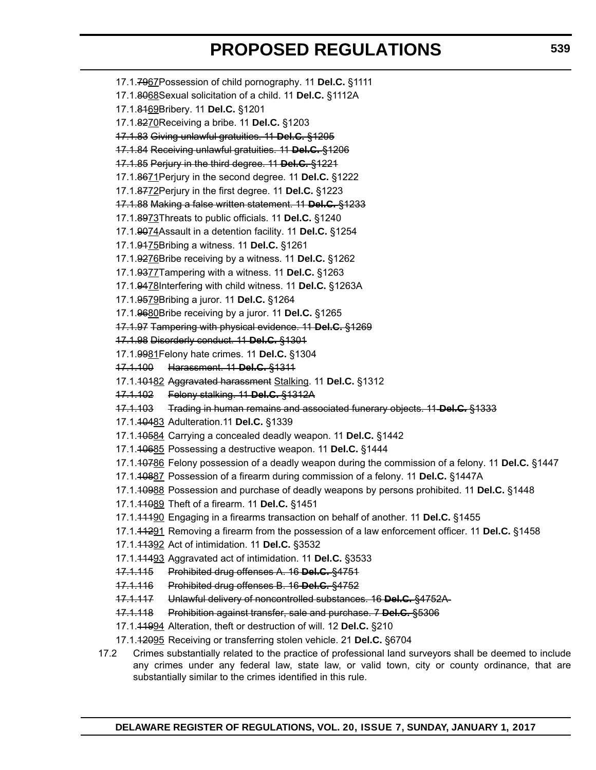- 17.1.7967Possession of child pornography. 11 **Del.C.** §1111 17.1.8068Sexual solicitation of a child. 11 **Del.C.** §1112A 17.1.8169Bribery. 11 **Del.C.** §1201 17.1.8270Receiving a bribe. 11 **Del.C.** §1203 17.1.83 Giving unlawful gratuities. 11 **Del.C.** §1205 17.1.84 Receiving unlawful gratuities. 11 **Del.C.** §1206 17.1.85 Perjury in the third degree. 11 **Del.C.** §1221 17.1.8671Perjury in the second degree. 11 **Del.C.** §1222 17.1.8772Perjury in the first degree. 11 **Del.C.** §1223 17.1.88 Making a false written statement. 11 **Del.C.** §1233 17.1.8973Threats to public officials. 11 **Del.C.** §1240 17.1.9074Assault in a detention facility. 11 **Del.C.** §1254 17.1.9175Bribing a witness. 11 **Del.C.** §1261 17.1.9276Bribe receiving by a witness. 11 **Del.C.** §1262 17.1.9377Tampering with a witness. 11 **Del.C.** §1263 17.1.9478Interfering with child witness. 11 **Del.C.** §1263A 17.1.9579Bribing a juror. 11 **Del.C.** §1264 17.1.9680Bribe receiving by a juror. 11 **Del.C.** §1265 17.1.97 Tampering with physical evidence. 11 **Del.C.** §1269 17.1.98 Disorderly conduct. 11 **Del.C.** §1301 17.1.9981Felony hate crimes. 11 **Del.C.** §1304 17.1.100 Harassment. 11 **Del.C.** §1311 17.1.10182 Aggravated harassment Stalking. 11 **Del.C.** §1312 17.1.102 Felony stalking. 11 **Del.C.** §1312A 17.1.103 Trading in human remains and associated funerary objects. 11 **Del.C.** §1333 17.1.10483 Adulteration.11 **Del.C.** §1339 17.1.10584 Carrying a concealed deadly weapon. 11 **Del.C.** §1442 17.1.10685 Possessing a destructive weapon. 11 **Del.C.** §1444 17.1.10786 Felony possession of a deadly weapon during the commission of a felony. 11 **Del.C.** §1447 17.1.10887 Possession of a firearm during commission of a felony. 11 **Del.C.** §1447A 17.1.10988 Possession and purchase of deadly weapons by persons prohibited. 11 **Del.C.** §1448 17.1.11089 Theft of a firearm. 11 **Del.C.** §1451 17.1.11190 Engaging in a firearms transaction on behalf of another. 11 **Del.C.** §1455 17.1.11291 Removing a firearm from the possession of a law enforcement officer. 11 **Del.C.** §1458 17.1.11392 Act of intimidation. 11 **Del.C.** §3532 17.1.11493 Aggravated act of intimidation. 11 **Del.C.** §3533 17.1.115 Prohibited drug offenses A. 16 **Del.C.** §4751 17.1.116 Prohibited drug offenses B. 16 **Del.C.** §4752 17.1.117 Unlawful delivery of noncontrolled substances. 16 **Del.C.** §4752A 17.1.118 Prohibition against transfer, sale and purchase. 7 **Del.C.** §5306 17.1.11994 Alteration, theft or destruction of will. 12 **Del.C.** §210 17.1.12095 Receiving or transferring stolen vehicle. 21 **Del.C.** §6704 17.2 Crimes substantially related to the practice of professional land surveyors shall be deemed to include
- any crimes under any federal law, state law, or valid town, city or county ordinance, that are substantially similar to the crimes identified in this rule.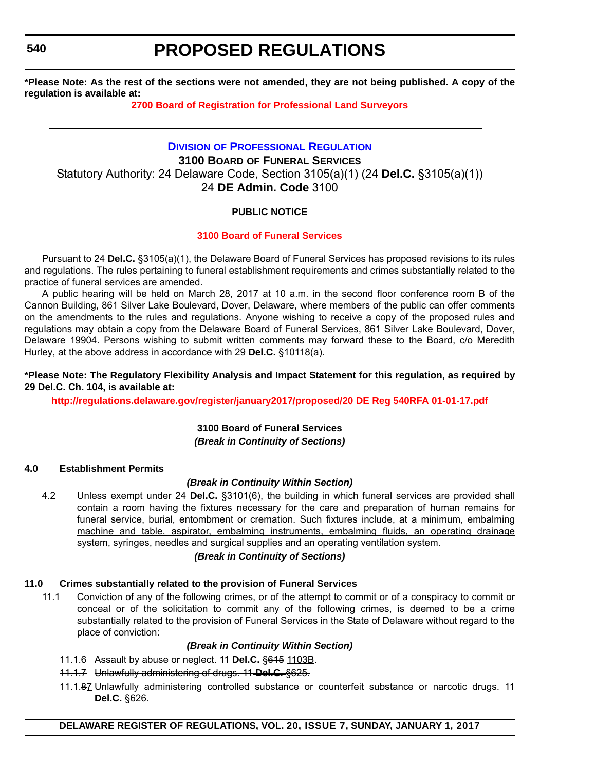**540**

## **PROPOSED REGULATIONS**

**\*Please Note: As the rest of the sections were not amended, they are not being published. A copy of the regulation is available at:**

## **[2700 Board of Registration for Professional Land Surveyors](http://regulations.delaware.gov/register/january2017/proposed/20 DE Reg 536 01-01-17.htm)**

## **DIVISION [OF PROFESSIONAL REGULATION](http://dpr.delaware.gov/) 3100 BOARD OF FUNERAL SERVICES** Statutory Authority: 24 Delaware Code, Section 3105(a)(1) (24 **Del.C.** §3105(a)(1)) 24 **DE Admin. Code** 3100

## **PUBLIC NOTICE**

## **[3100 Board of Funeral Services](#page-3-0)**

Pursuant to 24 **Del.C.** §3105(a)(1), the Delaware Board of Funeral Services has proposed revisions to its rules and regulations. The rules pertaining to funeral establishment requirements and crimes substantially related to the practice of funeral services are amended.

A public hearing will be held on March 28, 2017 at 10 a.m. in the second floor conference room B of the Cannon Building, 861 Silver Lake Boulevard, Dover, Delaware, where members of the public can offer comments on the amendments to the rules and regulations. Anyone wishing to receive a copy of the proposed rules and regulations may obtain a copy from the Delaware Board of Funeral Services, 861 Silver Lake Boulevard, Dover, Delaware 19904. Persons wishing to submit written comments may forward these to the Board, c/o Meredith Hurley, at the above address in accordance with 29 **Del.C.** §10118(a).

### **\*Please Note: The Regulatory Flexibility Analysis and Impact Statement for this regulation, as required by 29 Del.C. Ch. 104, is available at:**

**<http://regulations.delaware.gov/register/january2017/proposed/20 DE Reg 540RFA 01-01-17.pdf>**

## **3100 Board of Funeral Services** *(Break in Continuity of Sections)*

## **4.0 Establishment Permits**

## *(Break in Continuity Within Section)*

4.2 Unless exempt under 24 **Del.C.** §3101(6), the building in which funeral services are provided shall contain a room having the fixtures necessary for the care and preparation of human remains for funeral service, burial, entombment or cremation. Such fixtures include, at a minimum, embalming machine and table, aspirator, embalming instruments, embalming fluids, an operating drainage system, syringes, needles and surgical supplies and an operating ventilation system.

## *(Break in Continuity of Sections)*

## **11.0 Crimes substantially related to the provision of Funeral Services**

11.1 Conviction of any of the following crimes, or of the attempt to commit or of a conspiracy to commit or conceal or of the solicitation to commit any of the following crimes, is deemed to be a crime substantially related to the provision of Funeral Services in the State of Delaware without regard to the place of conviction:

## *(Break in Continuity Within Section)*

- 11.1.6 Assault by abuse or neglect. 11 **Del.C.** §615 1103B.
- 11.1.7 Unlawfully administering of drugs. 11 **Del.C.** §625.
- 11.1.87 Unlawfully administering controlled substance or counterfeit substance or narcotic drugs. 11 **Del.C.** §626.

## **DELAWARE REGISTER OF REGULATIONS, VOL. 20, ISSUE 7, SUNDAY, JANUARY 1, 2017**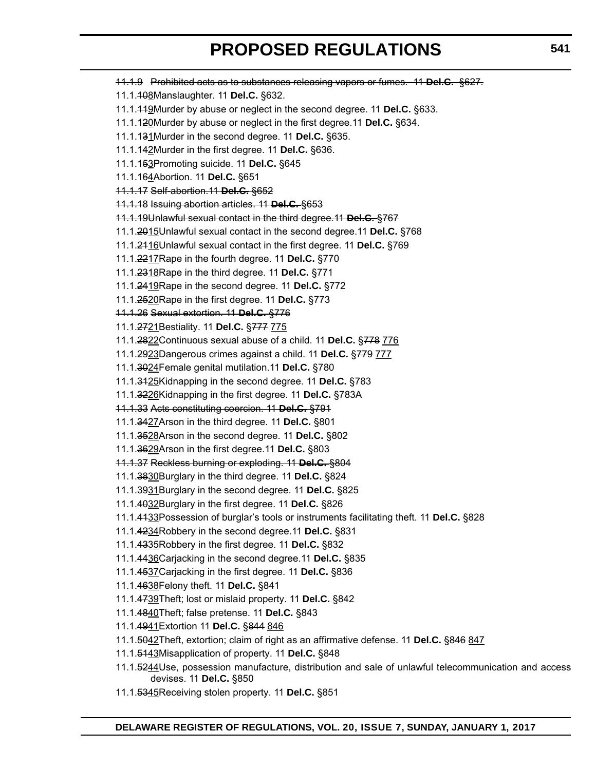11.1.9 Prohibited acts as to substances releasing vapors or fumes. 11 **Del.C.** §627. 11.1.108Manslaughter. 11 **Del.C.** §632. 11.1.119Murder by abuse or neglect in the second degree. 11 **Del.C.** §633. 11.1.120Murder by abuse or neglect in the first degree.11 **Del.C.** §634. 11.1.131Murder in the second degree. 11 **Del.C.** §635. 11.1.142Murder in the first degree. 11 **Del.C.** §636. 11.1.153Promoting suicide. 11 **Del.C.** §645 11.1.164Abortion. 11 **Del.C.** §651 11.1.17 Self-abortion.11 **Del.C.** §652 11.1.18 Issuing abortion articles. 11 **Del.C.** §653 11.1.19Unlawful sexual contact in the third degree.11 **Del.C.** §767 11.1.2015Unlawful sexual contact in the second degree.11 **Del.C.** §768 11.1.2116Unlawful sexual contact in the first degree. 11 **Del.C.** §769 11.1.2217Rape in the fourth degree. 11 **Del.C.** §770 11.1.2318Rape in the third degree. 11 **Del.C.** §771 11.1.2419Rape in the second degree. 11 **Del.C.** §772 11.1.2520Rape in the first degree. 11 **Del.C.** §773 11.1.26 Sexual extortion. 11 **Del.C.** §776 11.1.2721Bestiality. 11 **Del.C.** §777 775 11.1.2822Continuous sexual abuse of a child. 11 **Del.C.** §778 776 11.1.2923Dangerous crimes against a child. 11 **Del.C.** §779 777 11.1.3024Female genital mutilation.11 **Del.C.** §780 11.1.3125Kidnapping in the second degree. 11 **Del.C.** §783 11.1.3226Kidnapping in the first degree. 11 **Del.C.** §783A 11.1.33 Acts constituting coercion. 11 **Del.C.** §791 11.1.3427Arson in the third degree. 11 **Del.C.** §801 11.1.3528Arson in the second degree. 11 **Del.C.** §802 11.1.3629Arson in the first degree.11 **Del.C.** §803 11.1.37 Reckless burning or exploding. 11 **Del.C.** §804 11.1.3830Burglary in the third degree. 11 **Del.C.** §824 11.1.3931Burglary in the second degree. 11 **Del.C.** §825 11.1.4032Burglary in the first degree. 11 **Del.C.** §826 11.1.4133Possession of burglar's tools or instruments facilitating theft. 11 **Del.C.** §828 11.1.4234Robbery in the second degree.11 **Del.C.** §831 11.1.4335Robbery in the first degree. 11 **Del.C.** §832 11.1.4436Carjacking in the second degree.11 **Del.C.** §835 11.1.4537Carjacking in the first degree. 11 **Del.C.** §836 11.1.4638Felony theft. 11 **Del.C.** §841 11.1.4739Theft; lost or mislaid property. 11 **Del.C.** §842 11.1.4840Theft; false pretense. 11 **Del.C.** §843 11.1.4941Extortion 11 **Del.C.** §844 846 11.1.5042Theft, extortion; claim of right as an affirmative defense. 11 **Del.C.** §846 847 11.1.5143Misapplication of property. 11 **Del.C.** §848 11.1.5244Use, possession manufacture, distribution and sale of unlawful telecommunication and access devises. 11 **Del.C.** §850 11.1.5345Receiving stolen property. 11 **Del.C.** §851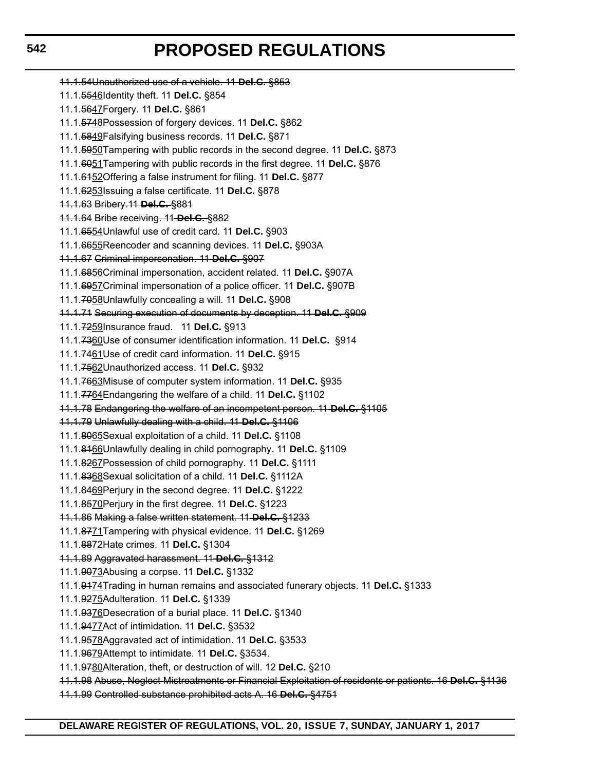11.1.54Unauthorized use of a vehicle. 11 **Del.C.** §853 11.1.5546Identity theft. 11 **Del.C.** §854 11.1.5647Forgery. 11 **Del.C.** §861 11.1.5748Possession of forgery devices. 11 **Del.C.** §862 11.1.5849Falsifying business records. 11 **Del.C.** §871 11.1.5950Tampering with public records in the second degree. 11 **Del.C.** §873 11.1.6051Tampering with public records in the first degree. 11 **Del.C.** §876 11.1.6152Offering a false instrument for filing. 11 **Del.C.** §877 11.1.6253Issuing a false certificate. 11 **Del.C.** §878 11.1.63 Bribery.11 **Del.C.** §881 11.1.64 Bribe receiving. 11 **Del.C.** §882 11.1.6554Unlawful use of credit card. 11 **Del.C.** §903 11.1.6655Reencoder and scanning devices. 11 **Del.C.** §903A 11.1.67 Criminal impersonation. 11 **Del.C.** §907 11.1.6856Criminal impersonation, accident related. 11 **Del.C.** §907A 11.1.6957Criminal impersonation of a police officer. 11 **Del.C.** §907B 11.1.7058Unlawfully concealing a will. 11 **Del.C.** §908 11.1.71 Securing execution of documents by deception. 11 **Del.C.** §909 11.1.7259Insurance fraud. 11 **Del.C.** §913 11.1.7360Use of consumer identification information. 11 **Del.C.** §914 11.1.7461Use of credit card information. 11 **Del.C.** §915 11.1.7562Unauthorized access. 11 **Del.C.** §932 11.1.7663Misuse of computer system information. 11 **Del.C.** §935 11.1.7764Endangering the welfare of a child. 11 **Del.C.** §1102 11.1.78 Endangering the welfare of an incompetent person. 11 **Del.C.** §1105 11.1.79 Unlawfully dealing with a child. 11 **Del.C.** §1106 11.1.8065Sexual exploitation of a child. 11 **Del.C.** §1108 11.1.8166Unlawfully dealing in child pornography. 11 **Del.C.** §1109 11.1.8267Possession of child pornography. 11 **Del.C.** §1111 11.1.8368Sexual solicitation of a child. 11 **Del.C.** §1112A 11.1.8469Perjury in the second degree. 11 **Del.C.** §1222 11.1.8570Perjury in the first degree. 11 **Del.C.** §1223 11.1.86 Making a false written statement. 11 **Del.C.** §1233 11.1.8771Tampering with physical evidence. 11 **Del.C.** §1269 11.1.8872Hate crimes. 11 **Del.C.** §1304 11.1.89 Aggravated harassment. 11 **Del.C.** §1312 11.1.9073Abusing a corpse. 11 **Del.C.** §1332 11.1.9174Trading in human remains and associated funerary objects. 11 **Del.C.** §1333 11.1.9275Adulteration. 11 **Del.C.** §1339 11.1.9376Desecration of a burial place. 11 **Del.C.** §1340 11.1.9477Act of intimidation. 11 **Del.C.** §3532 11.1.9578Aggravated act of intimidation. 11 **Del.C.** §3533 11.1.9679Attempt to intimidate. 11 **Del.C.** §3534. 11.1.9780Alteration, theft, or destruction of will. 12 **Del.C.** §210 11.1.98 Abuse, Neglect Mistreatments or Financial Exploitation of residents or patients. 16 **Del.C.** §1136 11.1.99 Controlled substance prohibited acts A. 16 **Del.C.** §4751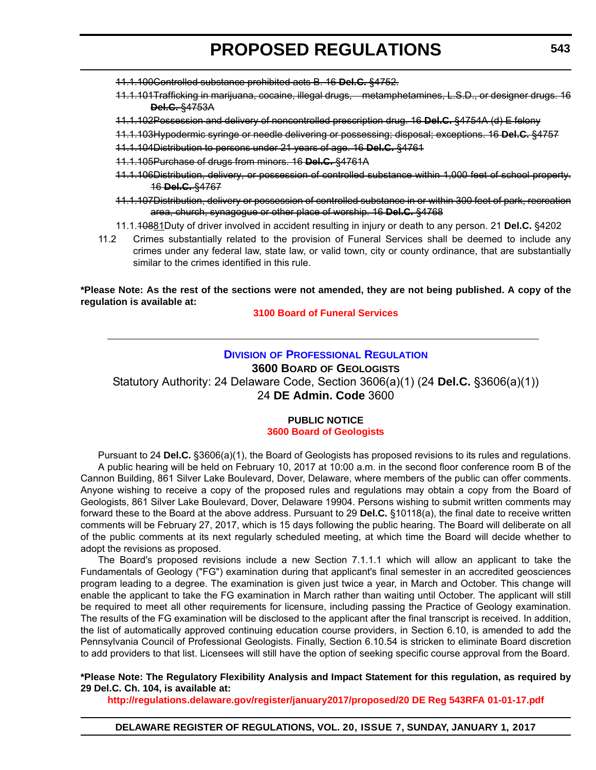- 11.1.100Controlled substance prohibited acts B. 16 **Del.C.** §4752.
- 11.1.101Trafficking in marijuana, cocaine, illegal drugs, metamphetamines, L.S.D., or designer drugs. 16 **Del.C.** §4753A
- 11.1.102Possession and delivery of noncontrolled prescription drug. 16 **Del.C.** §4754A (d) E felony
- 11.1.103Hypodermic syringe or needle delivering or possessing; disposal; exceptions. 16 **Del.C.** §4757
- 11.1.104Distribution to persons under 21 years of age. 16 **Del.C.** §4761
- 11.1.105Purchase of drugs from minors. 16 **Del.C.** §4761A
- 11.1.106Distribution, delivery, or possession of controlled substance within 1,000 feet of school property. 16 **Del.C.** §4767
- 11.1.107Distribution, delivery or possession of controlled substance in or within 300 feet of park, recreation area, church, synagogue or other place of worship. 16 **Del.C.** §4768
- 11.1.10881Duty of driver involved in accident resulting in injury or death to any person. 21 **Del.C.** §4202
- 11.2 Crimes substantially related to the provision of Funeral Services shall be deemed to include any crimes under any federal law, state law, or valid town, city or county ordinance, that are substantially similar to the crimes identified in this rule.

### **\*Please Note: As the rest of the sections were not amended, they are not being published. A copy of the regulation is available at:**

**[3100 Board of Funeral Services](http://regulations.delaware.gov/register/january2017/proposed/20 DE Reg 540 01-01-17.htm)**

## **DIVISION [OF PROFESSIONAL REGULATION](http://dpr.delaware.gov/)**

**3600 BOARD OF GEOLOGISTS**

Statutory Authority: 24 Delaware Code, Section 3606(a)(1) (24 **Del.C.** §3606(a)(1)) 24 **DE Admin. Code** 3600

## **PUBLIC NOTICE [3600 Board of Geologists](#page-3-0)**

Pursuant to 24 **Del.C.** §3606(a)(1), the Board of Geologists has proposed revisions to its rules and regulations. A public hearing will be held on February 10, 2017 at 10:00 a.m. in the second floor conference room B of the Cannon Building, 861 Silver Lake Boulevard, Dover, Delaware, where members of the public can offer comments. Anyone wishing to receive a copy of the proposed rules and regulations may obtain a copy from the Board of Geologists, 861 Silver Lake Boulevard, Dover, Delaware 19904. Persons wishing to submit written comments may forward these to the Board at the above address. Pursuant to 29 **Del.C.** §10118(a), the final date to receive written comments will be February 27, 2017, which is 15 days following the public hearing. The Board will deliberate on all of the public comments at its next regularly scheduled meeting, at which time the Board will decide whether to adopt the revisions as proposed.

The Board's proposed revisions include a new Section 7.1.1.1 which will allow an applicant to take the Fundamentals of Geology ("FG") examination during that applicant's final semester in an accredited geosciences program leading to a degree. The examination is given just twice a year, in March and October. This change will enable the applicant to take the FG examination in March rather than waiting until October. The applicant will still be required to meet all other requirements for licensure, including passing the Practice of Geology examination. The results of the FG examination will be disclosed to the applicant after the final transcript is received. In addition, the list of automatically approved continuing education course providers, in Section 6.10, is amended to add the Pennsylvania Council of Professional Geologists. Finally, Section 6.10.54 is stricken to eliminate Board discretion to add providers to that list. Licensees will still have the option of seeking specific course approval from the Board.

**\*Please Note: The Regulatory Flexibility Analysis and Impact Statement for this regulation, as required by 29 Del.C. Ch. 104, is available at:**

**<http://regulations.delaware.gov/register/january2017/proposed/20 DE Reg 543RFA 01-01-17.pdf>**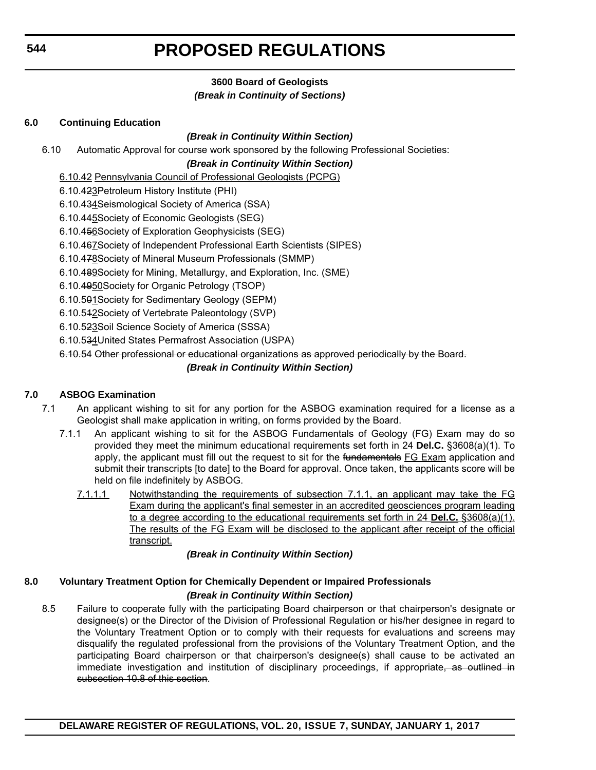## **3600 Board of Geologists** *(Break in Continuity of Sections)*

## **6.0 Continuing Education**

## *(Break in Continuity Within Section)*

6.10 Automatic Approval for course work sponsored by the following Professional Societies:

## *(Break in Continuity Within Section)*

- 6.10.42 Pennsylvania Council of Professional Geologists (PCPG)
- 6.10.423Petroleum History Institute (PHI)
- 6.10.434Seismological Society of America (SSA)
- 6.10.445Society of Economic Geologists (SEG)
- 6.10.456Society of Exploration Geophysicists (SEG)
- 6.10.467Society of Independent Professional Earth Scientists (SIPES)
- 6.10.478 Society of Mineral Museum Professionals (SMMP)
- 6.10.489Society for Mining, Metallurgy, and Exploration, Inc. (SME)
- 6.10.4950Society for Organic Petrology (TSOP)
- 6.10.501Society for Sedimentary Geology (SEPM)
- 6.10.512Society of Vertebrate Paleontology (SVP)
- 6.10.523Soil Science Society of America (SSSA)
- 6.10.534United States Permafrost Association (USPA)

6.10.54 Other professional or educational organizations as approved periodically by the Board.

## *(Break in Continuity Within Section)*

## **7.0 ASBOG Examination**

- 7.1 An applicant wishing to sit for any portion for the ASBOG examination required for a license as a Geologist shall make application in writing, on forms provided by the Board.
	- 7.1.1 An applicant wishing to sit for the ASBOG Fundamentals of Geology (FG) Exam may do so provided they meet the minimum educational requirements set forth in 24 **Del.C.** §3608(a)(1). To apply, the applicant must fill out the request to sit for the fundamentals FG Exam application and submit their transcripts [to date] to the Board for approval. Once taken, the applicants score will be held on file indefinitely by ASBOG.
		- 7.1.1.1 Notwithstanding the requirements of subsection 7.1.1, an applicant may take the FG Exam during the applicant's final semester in an accredited geosciences program leading to a degree according to the educational requirements set forth in 24 **Del.C.** §3608(a)(1). The results of the FG Exam will be disclosed to the applicant after receipt of the official transcript.

*(Break in Continuity Within Section)*

## **8.0 Voluntary Treatment Option for Chemically Dependent or Impaired Professionals** *(Break in Continuity Within Section)*

8.5 Failure to cooperate fully with the participating Board chairperson or that chairperson's designate or designee(s) or the Director of the Division of Professional Regulation or his/her designee in regard to the Voluntary Treatment Option or to comply with their requests for evaluations and screens may disqualify the regulated professional from the provisions of the Voluntary Treatment Option, and the participating Board chairperson or that chairperson's designee(s) shall cause to be activated an immediate investigation and institution of disciplinary proceedings, if appropriate, as outlined in subsection 10.8 of this section.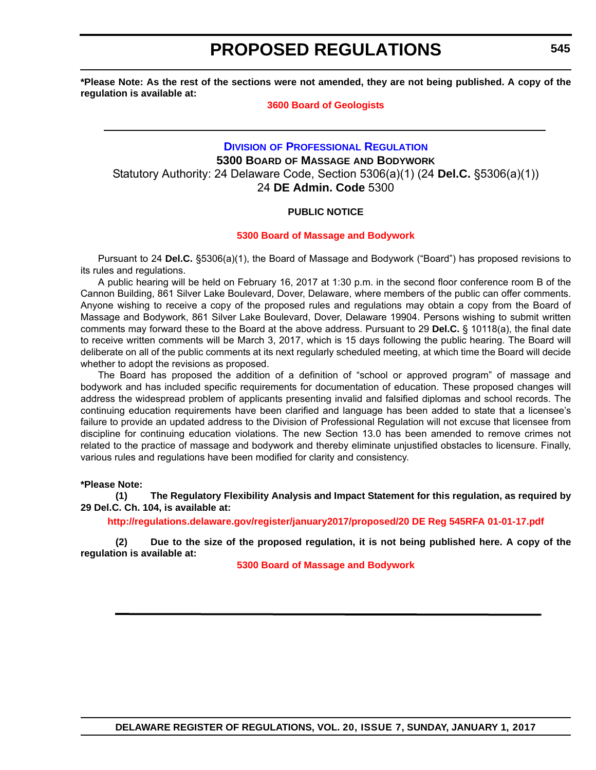**\*Please Note: As the rest of the sections were not amended, they are not being published. A copy of the regulation is available at:**

#### **[3600 Board of Geologists](http://regulations.delaware.gov/register/january2017/proposed/20 DE Reg 543 01-01-17.htm)**

## **DIVISION [OF PROFESSIONAL REGULATION](http://dpr.delaware.gov/) 5300 BOARD OF MASSAGE AND BODYWORK** Statutory Authority: 24 Delaware Code, Section 5306(a)(1) (24 **Del.C.** §5306(a)(1)) 24 **DE Admin. Code** 5300

## **PUBLIC NOTICE**

## **[5300 Board of Massage and Bodywork](#page-3-0)**

Pursuant to 24 **Del.C.** §5306(a)(1), the Board of Massage and Bodywork ("Board") has proposed revisions to its rules and regulations.

A public hearing will be held on February 16, 2017 at 1:30 p.m. in the second floor conference room B of the Cannon Building, 861 Silver Lake Boulevard, Dover, Delaware, where members of the public can offer comments. Anyone wishing to receive a copy of the proposed rules and regulations may obtain a copy from the Board of Massage and Bodywork, 861 Silver Lake Boulevard, Dover, Delaware 19904. Persons wishing to submit written comments may forward these to the Board at the above address. Pursuant to 29 **Del.C.** § 10118(a), the final date to receive written comments will be March 3, 2017, which is 15 days following the public hearing. The Board will deliberate on all of the public comments at its next regularly scheduled meeting, at which time the Board will decide whether to adopt the revisions as proposed.

The Board has proposed the addition of a definition of "school or approved program" of massage and bodywork and has included specific requirements for documentation of education. These proposed changes will address the widespread problem of applicants presenting invalid and falsified diplomas and school records. The continuing education requirements have been clarified and language has been added to state that a licensee's failure to provide an updated address to the Division of Professional Regulation will not excuse that licensee from discipline for continuing education violations. The new Section 13.0 has been amended to remove crimes not related to the practice of massage and bodywork and thereby eliminate unjustified obstacles to licensure. Finally, various rules and regulations have been modified for clarity and consistency.

#### **\*Please Note:**

**(1) The Regulatory Flexibility Analysis and Impact Statement for this regulation, as required by 29 Del.C. Ch. 104, is available at:**

**<http://regulations.delaware.gov/register/january2017/proposed/20 DE Reg 545RFA 01-01-17.pdf>**

**(2) Due to the size of the proposed regulation, it is not being published here. A copy of the regulation is available at:**

**[5300 Board of Massage and Bodywork](http://regulations.delaware.gov/register/january2017/proposed/20 DE Reg 545 01-01-17.htm)**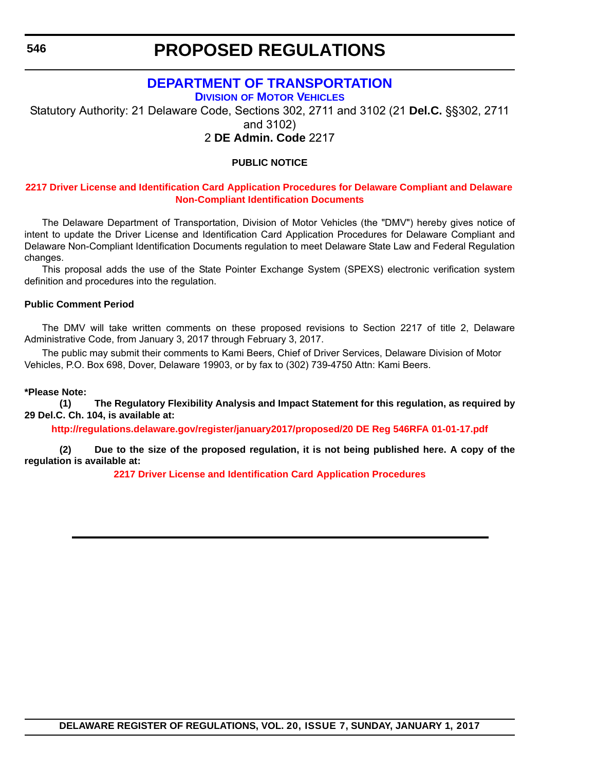**546**

## **PROPOSED REGULATIONS**

## **[DEPARTMENT OF TRANSPORTATION](http://dmv.de.gov/) DIVISION OF MOTOR VEHICLES**

Statutory Authority: 21 Delaware Code, Sections 302, 2711 and 3102 (21 **Del.C.** §§302, 2711 and 3102)

2 **DE Admin. Code** 2217

## **PUBLIC NOTICE**

## **2217 Driver License and Identification Card [Application Procedures for Delaware Compliant and Delaware](#page-3-0)  Non-Compliant Identification Documents**

The Delaware Department of Transportation, Division of Motor Vehicles (the "DMV") hereby gives notice of intent to update the Driver License and Identification Card Application Procedures for Delaware Compliant and Delaware Non-Compliant Identification Documents regulation to meet Delaware State Law and Federal Regulation changes.

This proposal adds the use of the State Pointer Exchange System (SPEXS) electronic verification system definition and procedures into the regulation.

## **Public Comment Period**

The DMV will take written comments on these proposed revisions to Section 2217 of title 2, Delaware Administrative Code, from January 3, 2017 through February 3, 2017.

The public may submit their comments to Kami Beers, Chief of Driver Services, Delaware Division of Motor Vehicles, P.O. Box 698, Dover, Delaware 19903, or by fax to (302) 739-4750 Attn: Kami Beers.

#### **\*Please Note:**

**(1) The Regulatory Flexibility Analysis and Impact Statement for this regulation, as required by 29 Del.C. Ch. 104, is available at:**

**<http://regulations.delaware.gov/register/january2017/proposed/20 DE Reg 546RFA 01-01-17.pdf>**

**(2) Due to the size of the proposed regulation, it is not being published here. A copy of the regulation is available at:**

**[2217 Driver License and Identification Card](http://regulations.delaware.gov/register/january2017/proposed/20 DE Reg 546 01-01-17.htm) Application Procedures**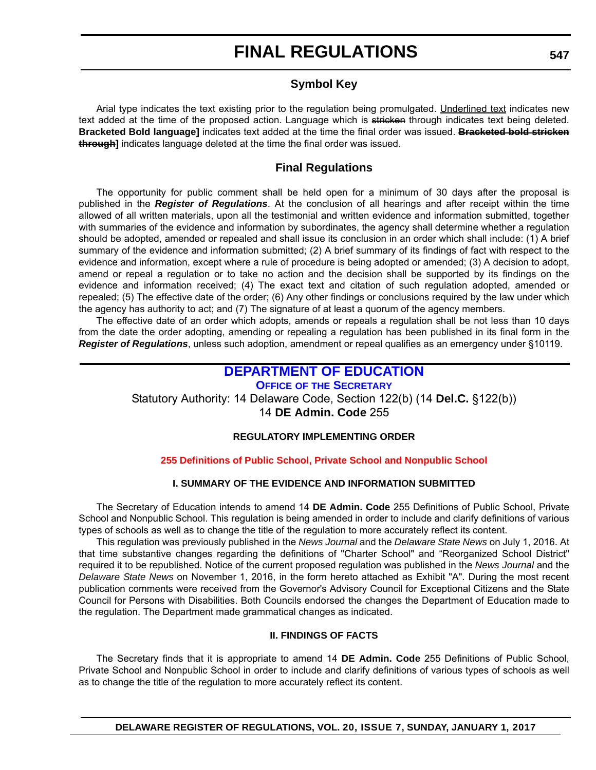## **Symbol Key**

Arial type indicates the text existing prior to the regulation being promulgated. Underlined text indicates new text added at the time of the proposed action. Language which is stricken through indicates text being deleted. **Bracketed Bold language]** indicates text added at the time the final order was issued. **Bracketed bold stricken through]** indicates language deleted at the time the final order was issued.

## **Final Regulations**

The opportunity for public comment shall be held open for a minimum of 30 days after the proposal is published in the *Register of Regulations*. At the conclusion of all hearings and after receipt within the time allowed of all written materials, upon all the testimonial and written evidence and information submitted, together with summaries of the evidence and information by subordinates, the agency shall determine whether a regulation should be adopted, amended or repealed and shall issue its conclusion in an order which shall include: (1) A brief summary of the evidence and information submitted; (2) A brief summary of its findings of fact with respect to the evidence and information, except where a rule of procedure is being adopted or amended; (3) A decision to adopt, amend or repeal a regulation or to take no action and the decision shall be supported by its findings on the evidence and information received; (4) The exact text and citation of such regulation adopted, amended or repealed; (5) The effective date of the order; (6) Any other findings or conclusions required by the law under which the agency has authority to act; and (7) The signature of at least a quorum of the agency members.

The effective date of an order which adopts, amends or repeals a regulation shall be not less than 10 days from the date the order adopting, amending or repealing a regulation has been published in its final form in the *Register of Regulations*, unless such adoption, amendment or repeal qualifies as an emergency under §10119.

## **[DEPARTMENT OF EDUCATION](http://www.doe.k12.de.us/)**

**OFFICE OF THE SECRETARY** Statutory Authority: 14 Delaware Code, Section 122(b) (14 **Del.C.** §122(b)) 14 **DE Admin. Code** 255

## **REGULATORY IMPLEMENTING ORDER**

## **[255 Definitions of Public School, Private School and Nonpublic School](#page-3-0)**

## **I. SUMMARY OF THE EVIDENCE AND INFORMATION SUBMITTED**

The Secretary of Education intends to amend 14 **DE Admin. Code** 255 Definitions of Public School, Private School and Nonpublic School. This regulation is being amended in order to include and clarify definitions of various types of schools as well as to change the title of the regulation to more accurately reflect its content.

This regulation was previously published in the *News Journal* and the *Delaware State News* on July 1, 2016. At that time substantive changes regarding the definitions of "Charter School" and "Reorganized School District" required it to be republished. Notice of the current proposed regulation was published in the *News Journal* and the *Delaware State News* on November 1, 2016, in the form hereto attached as Exhibit "A". During the most recent publication comments were received from the Governor's Advisory Council for Exceptional Citizens and the State Council for Persons with Disabilities. Both Councils endorsed the changes the Department of Education made to the regulation. The Department made grammatical changes as indicated.

## **II. FINDINGS OF FACTS**

The Secretary finds that it is appropriate to amend 14 **DE Admin. Code** 255 Definitions of Public School, Private School and Nonpublic School in order to include and clarify definitions of various types of schools as well as to change the title of the regulation to more accurately reflect its content.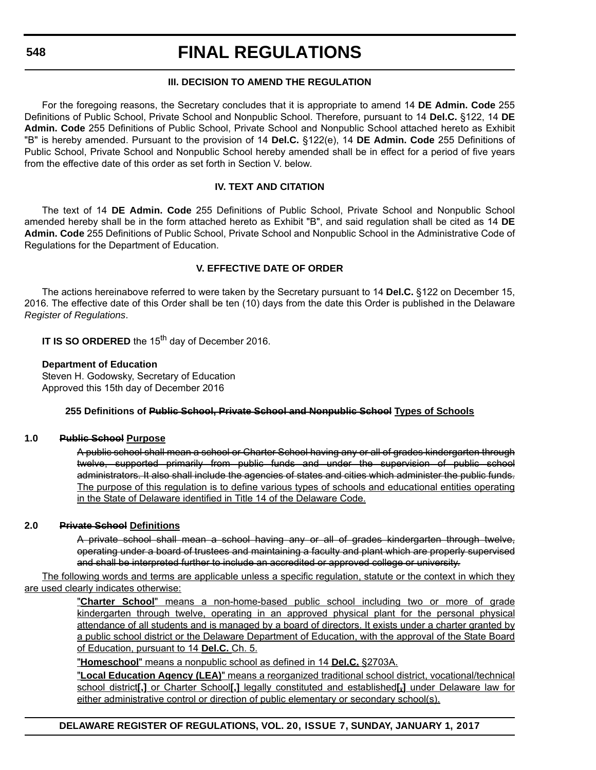## **III. DECISION TO AMEND THE REGULATION**

For the foregoing reasons, the Secretary concludes that it is appropriate to amend 14 **DE Admin. Code** 255 Definitions of Public School, Private School and Nonpublic School. Therefore, pursuant to 14 **Del.C.** §122, 14 **DE Admin. Code** 255 Definitions of Public School, Private School and Nonpublic School attached hereto as Exhibit "B" is hereby amended. Pursuant to the provision of 14 **Del.C.** §122(e), 14 **DE Admin. Code** 255 Definitions of Public School, Private School and Nonpublic School hereby amended shall be in effect for a period of five years from the effective date of this order as set forth in Section V. below.

## **IV. TEXT AND CITATION**

The text of 14 **DE Admin. Code** 255 Definitions of Public School, Private School and Nonpublic School amended hereby shall be in the form attached hereto as Exhibit "B", and said regulation shall be cited as 14 **DE Admin. Code** 255 Definitions of Public School, Private School and Nonpublic School in the Administrative Code of Regulations for the Department of Education.

## **V. EFFECTIVE DATE OF ORDER**

The actions hereinabove referred to were taken by the Secretary pursuant to 14 **Del.C.** §122 on December 15, 2016. The effective date of this Order shall be ten (10) days from the date this Order is published in the Delaware *Register of Regulations*.

**IT IS SO ORDERED** the 15<sup>th</sup> day of December 2016.

### **Department of Education**

Steven H. Godowsky, Secretary of Education Approved this 15th day of December 2016

#### **255 Definitions of Public School, Private School and Nonpublic School Types of Schools**

#### **1.0 Public School Purpose**

A public school shall mean a school or Charter School having any or all of grades kindergarten through twelve, supported primarily from public funds and under the supervision of public school administrators. It also shall include the agencies of states and cities which administer the public funds. The purpose of this regulation is to define various types of schools and educational entities operating in the State of Delaware identified in Title 14 of the Delaware Code.

## **2.0 Private School Definitions**

A private school shall mean a school having any or all of grades kindergarten through twelve, operating under a board of trustees and maintaining a faculty and plant which are properly supervised and shall be interpreted further to include an accredited or approved college or university.

The following words and terms are applicable unless a specific regulation, statute or the context in which they are used clearly indicates otherwise:

> "**Charter School**" means a non-home-based public school including two or more of grade kindergarten through twelve, operating in an approved physical plant for the personal physical attendance of all students and is managed by a board of directors. It exists under a charter granted by a public school district or the Delaware Department of Education, with the approval of the State Board of Education, pursuant to 14 **Del.C.** Ch. 5.

"**Homeschool**" means a nonpublic school as defined in 14 **Del.C.** §2703A.

"**Local Education Agency (LEA)**" means a reorganized traditional school district, vocational/technical school district**[,]** or Charter School**[,]** legally constituted and established**[,]** under Delaware law for either administrative control or direction of public elementary or secondary school(s).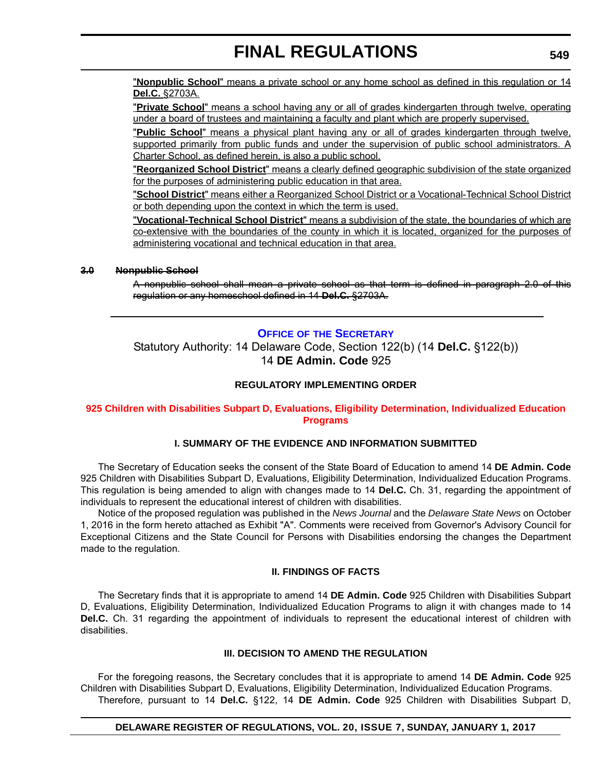"**Nonpublic School**" means a private school or any home school as defined in this regulation or 14 **Del.C.** §2703A.

"**Private School**" means a school having any or all of grades kindergarten through twelve, operating under a board of trustees and maintaining a faculty and plant which are properly supervised.

"**Public School**" means a physical plant having any or all of grades kindergarten through twelve, supported primarily from public funds and under the supervision of public school administrators. A Charter School, as defined herein, is also a public school.

"**Reorganized School District**" means a clearly defined geographic subdivision of the state organized for the purposes of administering public education in that area.

"**School District**" means either a Reorganized School District or a Vocational-Technical School District or both depending upon the context in which the term is used.

"**Vocational-Technical School District**" means a subdivision of the state, the boundaries of which are co-extensive with the boundaries of the county in which it is located, organized for the purposes of administering vocational and technical education in that area.

## **3.0 Nonpublic School**

A nonpublic school shall mean a private school as that term is defined in paragraph 2.0 of this regulation or any homeschool defined in 14 **Del.C.** §2703A.

## **OFFICE OF [THE SECRETARY](http://www.doe.k12.de.us/)**

Statutory Authority: 14 Delaware Code, Section 122(b) (14 **Del.C.** §122(b)) 14 **DE Admin. Code** 925

## **REGULATORY IMPLEMENTING ORDER**

### **[925 Children with Disabilities Subpart D, Evaluations, Eligibility Determination, Individualized Education](#page-3-0)  Programs**

#### **I. SUMMARY OF THE EVIDENCE AND INFORMATION SUBMITTED**

The Secretary of Education seeks the consent of the State Board of Education to amend 14 **DE Admin. Code** 925 Children with Disabilities Subpart D, Evaluations, Eligibility Determination, Individualized Education Programs. This regulation is being amended to align with changes made to 14 **Del.C.** Ch. 31, regarding the appointment of individuals to represent the educational interest of children with disabilities.

Notice of the proposed regulation was published in the *News Journal* and the *Delaware State News* on October 1, 2016 in the form hereto attached as Exhibit "A". Comments were received from Governor's Advisory Council for Exceptional Citizens and the State Council for Persons with Disabilities endorsing the changes the Department made to the regulation.

## **II. FINDINGS OF FACTS**

The Secretary finds that it is appropriate to amend 14 **DE Admin. Code** 925 Children with Disabilities Subpart D, Evaluations, Eligibility Determination, Individualized Education Programs to align it with changes made to 14 **Del.C.** Ch. 31 regarding the appointment of individuals to represent the educational interest of children with disabilities.

## **III. DECISION TO AMEND THE REGULATION**

For the foregoing reasons, the Secretary concludes that it is appropriate to amend 14 **DE Admin. Code** 925 Children with Disabilities Subpart D, Evaluations, Eligibility Determination, Individualized Education Programs. Therefore, pursuant to 14 **Del.C.** §122, 14 **DE Admin. Code** 925 Children with Disabilities Subpart D,

#### **DELAWARE REGISTER OF REGULATIONS, VOL. 20, ISSUE 7, SUNDAY, JANUARY 1, 2017**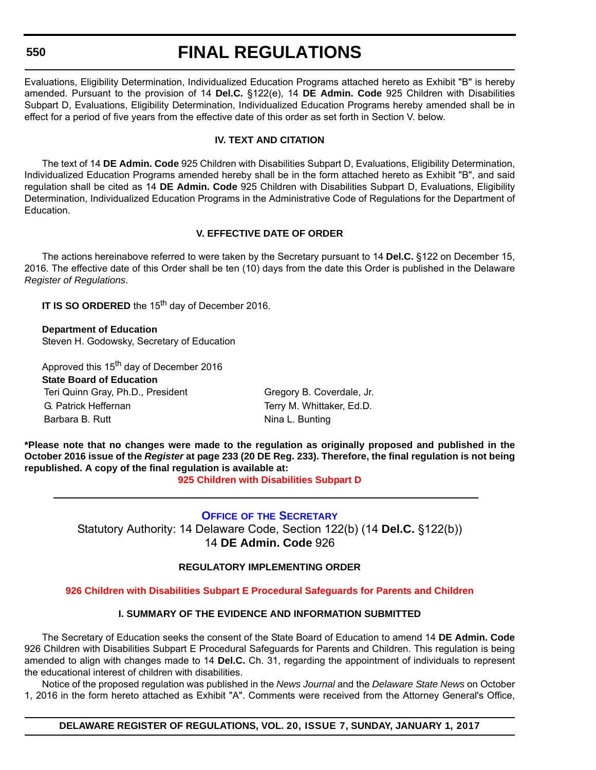#### **550**

## **FINAL REGULATIONS**

Evaluations, Eligibility Determination, Individualized Education Programs attached hereto as Exhibit "B" is hereby amended. Pursuant to the provision of 14 **Del.C.** §122(e), 14 **DE Admin. Code** 925 Children with Disabilities Subpart D, Evaluations, Eligibility Determination, Individualized Education Programs hereby amended shall be in effect for a period of five years from the effective date of this order as set forth in Section V. below.

## **IV. TEXT AND CITATION**

The text of 14 **DE Admin. Code** 925 Children with Disabilities Subpart D, Evaluations, Eligibility Determination, Individualized Education Programs amended hereby shall be in the form attached hereto as Exhibit "B", and said regulation shall be cited as 14 **DE Admin. Code** 925 Children with Disabilities Subpart D, Evaluations, Eligibility Determination, Individualized Education Programs in the Administrative Code of Regulations for the Department of Education.

## **V. EFFECTIVE DATE OF ORDER**

The actions hereinabove referred to were taken by the Secretary pursuant to 14 **Del.C.** §122 on December 15, 2016. The effective date of this Order shall be ten (10) days from the date this Order is published in the Delaware *Register of Regulations*.

**IT IS SO ORDERED** the 15<sup>th</sup> day of December 2016.

**Department of Education** Steven H. Godowsky, Secretary of Education

Approved this 15<sup>th</sup> day of December 2016

**State Board of Education**

Teri Quinn Gray, Ph.D., President Gregory B. Coverdale, Jr. G. Patrick Heffernan Terry M. Whittaker, Ed.D. Barbara B. Rutt Nina L. Bunting

**\*Please note that no changes were made to the regulation as originally proposed and published in the October 2016 issue of the** *Register* **at page 233 (20 DE Reg. 233). Therefore, the final regulation is not being republished. A copy of the final regulation is available at:**

**[925 Children with Disabilities Subpart D](http://regulations.delaware.gov/register/january2017/final/20 DE Reg 549 01-01-17.htm)**

## **OFFICE OF [THE SECRETARY](http://www.doe.k12.de.us/)**

Statutory Authority: 14 Delaware Code, Section 122(b) (14 **Del.C.** §122(b)) 14 **DE Admin. Code** 926

## **REGULATORY IMPLEMENTING ORDER**

## **[926 Children with Disabilities Subpart E Procedural Safeguards for Parents and Children](#page-3-0)**

## **I. SUMMARY OF THE EVIDENCE AND INFORMATION SUBMITTED**

The Secretary of Education seeks the consent of the State Board of Education to amend 14 **DE Admin. Code** 926 Children with Disabilities Subpart E Procedural Safeguards for Parents and Children. This regulation is being amended to align with changes made to 14 **Del.C.** Ch. 31, regarding the appointment of individuals to represent the educational interest of children with disabilities.

Notice of the proposed regulation was published in the *News Journal* and the *Delaware State News* on October 1, 2016 in the form hereto attached as Exhibit "A". Comments were received from the Attorney General's Office,

**DELAWARE REGISTER OF REGULATIONS, VOL. 20, ISSUE 7, SUNDAY, JANUARY 1, 2017**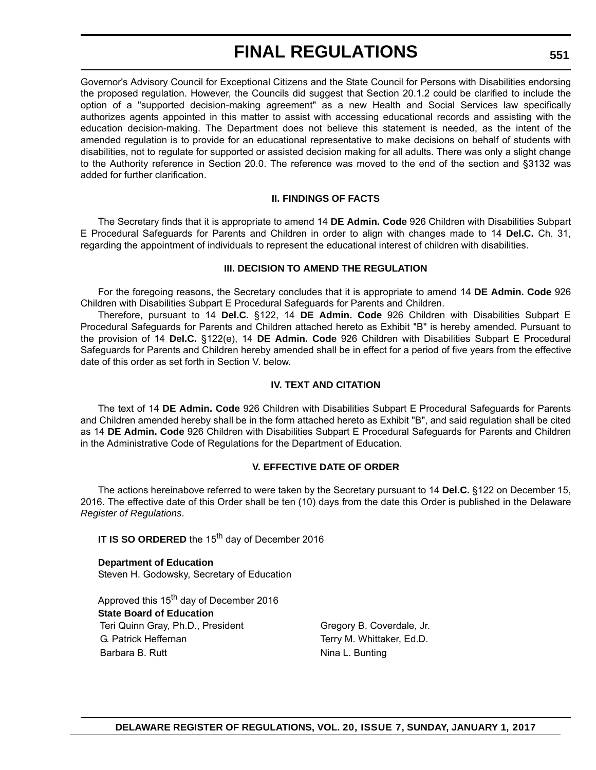Governor's Advisory Council for Exceptional Citizens and the State Council for Persons with Disabilities endorsing the proposed regulation. However, the Councils did suggest that Section 20.1.2 could be clarified to include the option of a "supported decision-making agreement" as a new Health and Social Services law specifically authorizes agents appointed in this matter to assist with accessing educational records and assisting with the education decision-making. The Department does not believe this statement is needed, as the intent of the amended regulation is to provide for an educational representative to make decisions on behalf of students with disabilities, not to regulate for supported or assisted decision making for all adults. There was only a slight change to the Authority reference in Section 20.0. The reference was moved to the end of the section and §3132 was added for further clarification.

## **II. FINDINGS OF FACTS**

The Secretary finds that it is appropriate to amend 14 **DE Admin. Code** 926 Children with Disabilities Subpart E Procedural Safeguards for Parents and Children in order to align with changes made to 14 **Del.C.** Ch. 31, regarding the appointment of individuals to represent the educational interest of children with disabilities.

### **III. DECISION TO AMEND THE REGULATION**

For the foregoing reasons, the Secretary concludes that it is appropriate to amend 14 **DE Admin. Code** 926 Children with Disabilities Subpart E Procedural Safeguards for Parents and Children.

Therefore, pursuant to 14 **Del.C.** §122, 14 **DE Admin. Code** 926 Children with Disabilities Subpart E Procedural Safeguards for Parents and Children attached hereto as Exhibit "B" is hereby amended. Pursuant to the provision of 14 **Del.C.** §122(e), 14 **DE Admin. Code** 926 Children with Disabilities Subpart E Procedural Safeguards for Parents and Children hereby amended shall be in effect for a period of five years from the effective date of this order as set forth in Section V. below.

### **IV. TEXT AND CITATION**

The text of 14 **DE Admin. Code** 926 Children with Disabilities Subpart E Procedural Safeguards for Parents and Children amended hereby shall be in the form attached hereto as Exhibit "B", and said regulation shall be cited as 14 **DE Admin. Code** 926 Children with Disabilities Subpart E Procedural Safeguards for Parents and Children in the Administrative Code of Regulations for the Department of Education.

#### **V. EFFECTIVE DATE OF ORDER**

The actions hereinabove referred to were taken by the Secretary pursuant to 14 **Del.C.** §122 on December 15, 2016. The effective date of this Order shall be ten (10) days from the date this Order is published in the Delaware *Register of Regulations*.

**IT IS SO ORDERED** the 15<sup>th</sup> day of December 2016

**Department of Education** Steven H. Godowsky, Secretary of Education

Approved this 15<sup>th</sup> day of December 2016 **State Board of Education** Teri Quinn Gray, Ph.D., President Gregory B. Coverdale, Jr. G. Patrick Heffernan Terry M. Whittaker, Ed.D. Barbara B. Rutt **Nina L. Bunting**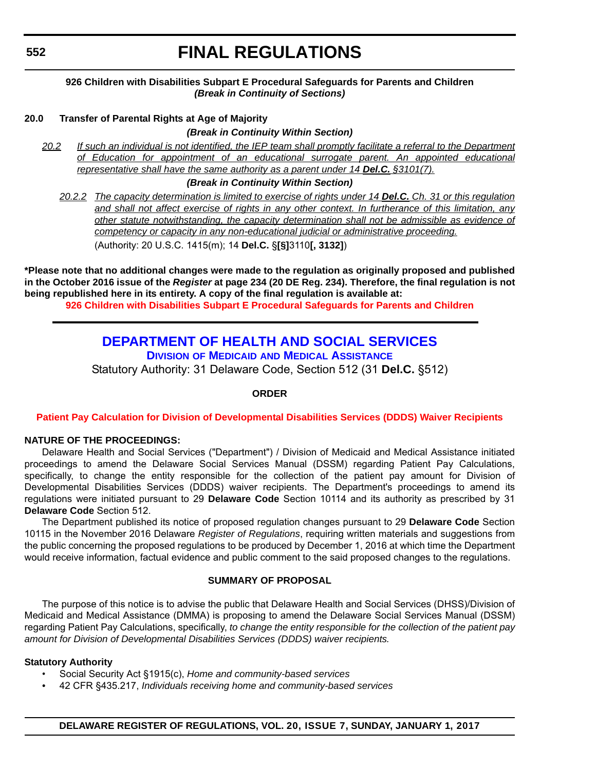### **926 Children with Disabilities Subpart E Procedural Safeguards for Parents and Children** *(Break in Continuity of Sections)*

### **20.0 Transfer of Parental Rights at Age of Majority**

#### *(Break in Continuity Within Section)*

*20.2 If such an individual is not identified, the IEP team shall promptly facilitate a referral to the Department of Education for appointment of an educational surrogate parent. An appointed educational representative shall have the same authority as a parent under 14 Del.C. §3101(7).*

#### *(Break in Continuity Within Section)*

*20.2.2 The capacity determination is limited to exercise of rights under 14 Del.C. Ch. 31 or this regulation and shall not affect exercise of rights in any other context. In furtherance of this limitation, any other statute notwithstanding, the capacity determination shall not be admissible as evidence of competency or capacity in any non-educational judicial or administrative proceeding.* (Authority: 20 U.S.C. 1415(m); 14 **Del.C.** §**[§]**3110**[, 3132]**)

**\*Please note that no additional changes were made to the regulation as originally proposed and published in the October 2016 issue of the** *Register* **at page 234 (20 DE Reg. 234). Therefore, the final regulation is not being republished here in its entirety. A copy of the final regulation is available at:**

**[926 Children with Disabilities Subpart E Procedural Safeguards for Parents and Children](http://regulations.delaware.gov/register/january2017/final/20 DE Reg 550 01-01-17.htm)**

## **[DEPARTMENT OF HEALTH AND SOCIAL SERVICES](http://www.dhss.delaware.gov/dhss/dmma/) DIVISION OF MEDICAID AND MEDICAL ASSISTANCE**

Statutory Authority: 31 Delaware Code, Section 512 (31 **Del.C.** §512)

#### **ORDER**

#### **[Patient Pay Calculation for Division of Developmental Disabilities Services \(DDDS\) Waiver Recipients](#page-4-0)**

### **NATURE OF THE PROCEEDINGS:**

Delaware Health and Social Services ("Department") / Division of Medicaid and Medical Assistance initiated proceedings to amend the Delaware Social Services Manual (DSSM) regarding Patient Pay Calculations, specifically, to change the entity responsible for the collection of the patient pay amount for Division of Developmental Disabilities Services (DDDS) waiver recipients. The Department's proceedings to amend its regulations were initiated pursuant to 29 **Delaware Code** Section 10114 and its authority as prescribed by 31 **Delaware Code** Section 512.

The Department published its notice of proposed regulation changes pursuant to 29 **Delaware Code** Section 10115 in the November 2016 Delaware *Register of Regulations*, requiring written materials and suggestions from the public concerning the proposed regulations to be produced by December 1, 2016 at which time the Department would receive information, factual evidence and public comment to the said proposed changes to the regulations.

#### **SUMMARY OF PROPOSAL**

The purpose of this notice is to advise the public that Delaware Health and Social Services (DHSS)/Division of Medicaid and Medical Assistance (DMMA) is proposing to amend the Delaware Social Services Manual (DSSM) regarding Patient Pay Calculations, specifically, *to change the entity responsible for the collection of the patient pay amount for Division of Developmental Disabilities Services (DDDS) waiver recipients.*

#### **Statutory Authority**

- Social Security Act §1915(c), *Home and community-based services*
- *•* 42 CFR §435.217, *Individuals receiving home and community-based services*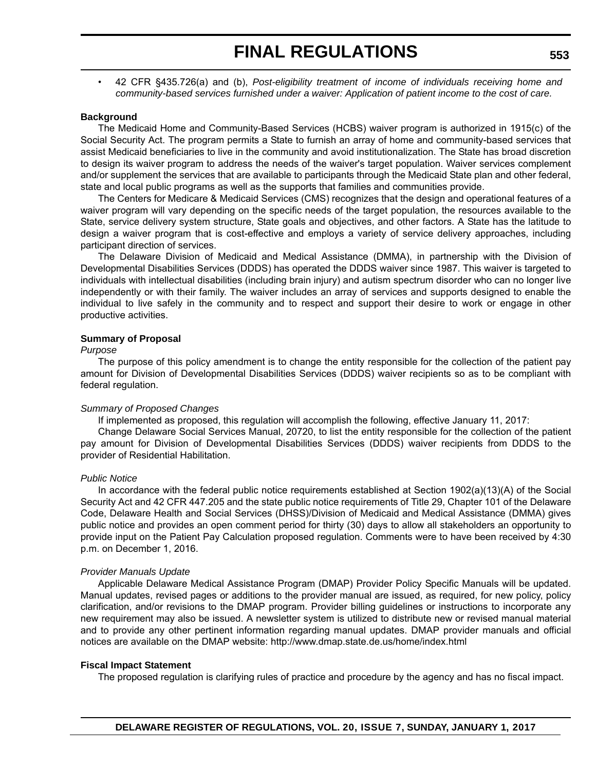• 42 CFR §435.726(a) and (b), *Post-eligibility treatment of income of individuals receiving home and community-based services furnished under a waiver: Application of patient income to the cost of care.*

#### **Background**

The Medicaid Home and Community-Based Services (HCBS) waiver program is authorized in 1915(c) of the Social Security Act. The program permits a State to furnish an array of home and community-based services that assist Medicaid beneficiaries to live in the community and avoid institutionalization. The State has broad discretion to design its waiver program to address the needs of the waiver's target population. Waiver services complement and/or supplement the services that are available to participants through the Medicaid State plan and other federal, state and local public programs as well as the supports that families and communities provide.

The Centers for Medicare & Medicaid Services (CMS) recognizes that the design and operational features of a waiver program will vary depending on the specific needs of the target population, the resources available to the State, service delivery system structure, State goals and objectives, and other factors. A State has the latitude to design a waiver program that is cost-effective and employs a variety of service delivery approaches, including participant direction of services.

The Delaware Division of Medicaid and Medical Assistance (DMMA), in partnership with the Division of Developmental Disabilities Services (DDDS) has operated the DDDS waiver since 1987. This waiver is targeted to individuals with intellectual disabilities (including brain injury) and autism spectrum disorder who can no longer live independently or with their family. The waiver includes an array of services and supports designed to enable the individual to live safely in the community and to respect and support their desire to work or engage in other productive activities.

#### **Summary of Proposal**

#### *Purpose*

The purpose of this policy amendment is to change the entity responsible for the collection of the patient pay amount for Division of Developmental Disabilities Services (DDDS) waiver recipients so as to be compliant with federal regulation.

#### *Summary of Proposed Changes*

If implemented as proposed, this regulation will accomplish the following, effective January 11, 2017:

Change Delaware Social Services Manual, 20720, to list the entity responsible for the collection of the patient pay amount for Division of Developmental Disabilities Services (DDDS) waiver recipients from DDDS to the provider of Residential Habilitation.

#### *Public Notice*

In accordance with the federal public notice requirements established at Section 1902(a)(13)(A) of the Social Security Act and 42 CFR 447.205 and the state public notice requirements of Title 29, Chapter 101 of the Delaware Code, Delaware Health and Social Services (DHSS)/Division of Medicaid and Medical Assistance (DMMA) gives public notice and provides an open comment period for thirty (30) days to allow all stakeholders an opportunity to provide input on the Patient Pay Calculation proposed regulation. Comments were to have been received by 4:30 p.m. on December 1, 2016.

#### *Provider Manuals Update*

Applicable Delaware Medical Assistance Program (DMAP) Provider Policy Specific Manuals will be updated. Manual updates, revised pages or additions to the provider manual are issued, as required, for new policy, policy clarification, and/or revisions to the DMAP program. Provider billing guidelines or instructions to incorporate any new requirement may also be issued. A newsletter system is utilized to distribute new or revised manual material and to provide any other pertinent information regarding manual updates. DMAP provider manuals and official notices are available on the DMAP website: http://www.dmap.state.de.us/home/index.html

#### **Fiscal Impact Statement**

The proposed regulation is clarifying rules of practice and procedure by the agency and has no fiscal impact.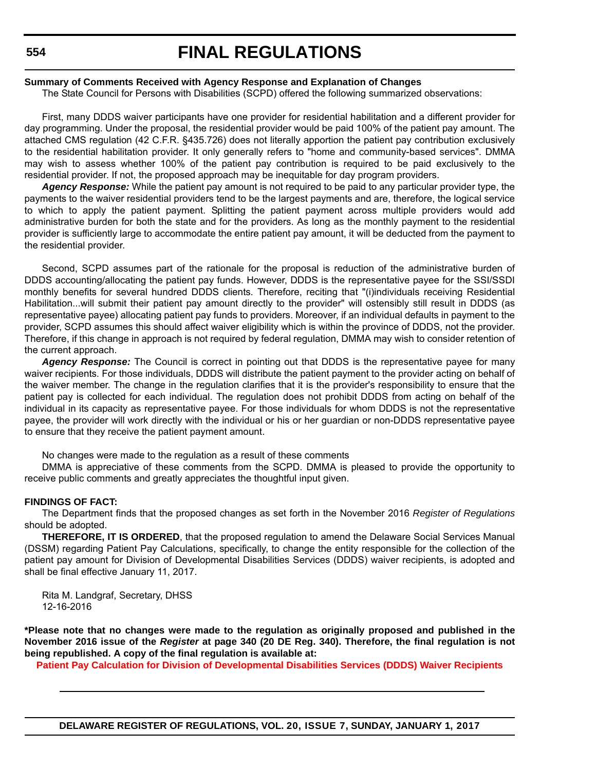#### **Summary of Comments Received with Agency Response and Explanation of Changes**

The State Council for Persons with Disabilities (SCPD) offered the following summarized observations:

First, many DDDS waiver participants have one provider for residential habilitation and a different provider for day programming. Under the proposal, the residential provider would be paid 100% of the patient pay amount. The attached CMS regulation (42 C.F.R. §435.726) does not literally apportion the patient pay contribution exclusively to the residential habilitation provider. It only generally refers to "home and community-based services". DMMA may wish to assess whether 100% of the patient pay contribution is required to be paid exclusively to the residential provider. If not, the proposed approach may be inequitable for day program providers.

*Agency Response:* While the patient pay amount is not required to be paid to any particular provider type, the payments to the waiver residential providers tend to be the largest payments and are, therefore, the logical service to which to apply the patient payment. Splitting the patient payment across multiple providers would add administrative burden for both the state and for the providers. As long as the monthly payment to the residential provider is sufficiently large to accommodate the entire patient pay amount, it will be deducted from the payment to the residential provider.

Second, SCPD assumes part of the rationale for the proposal is reduction of the administrative burden of DDDS accounting/allocating the patient pay funds. However, DDDS is the representative payee for the SSI/SSDI monthly benefits for several hundred DDDS clients. Therefore, reciting that "(i)individuals receiving Residential Habilitation...will submit their patient pay amount directly to the provider" will ostensibly still result in DDDS (as representative payee) allocating patient pay funds to providers. Moreover, if an individual defaults in payment to the provider, SCPD assumes this should affect waiver eligibility which is within the province of DDDS, not the provider. Therefore, if this change in approach is not required by federal regulation, DMMA may wish to consider retention of the current approach.

*Agency Response:* The Council is correct in pointing out that DDDS is the representative payee for many waiver recipients. For those individuals, DDDS will distribute the patient payment to the provider acting on behalf of the waiver member. The change in the regulation clarifies that it is the provider's responsibility to ensure that the patient pay is collected for each individual. The regulation does not prohibit DDDS from acting on behalf of the individual in its capacity as representative payee. For those individuals for whom DDDS is not the representative payee, the provider will work directly with the individual or his or her guardian or non-DDDS representative payee to ensure that they receive the patient payment amount.

No changes were made to the regulation as a result of these comments

DMMA is appreciative of these comments from the SCPD. DMMA is pleased to provide the opportunity to receive public comments and greatly appreciates the thoughtful input given.

#### **FINDINGS OF FACT:**

The Department finds that the proposed changes as set forth in the November 2016 *Register of Regulations* should be adopted.

**THEREFORE, IT IS ORDERED**, that the proposed regulation to amend the Delaware Social Services Manual (DSSM) regarding Patient Pay Calculations, specifically, to change the entity responsible for the collection of the patient pay amount for Division of Developmental Disabilities Services (DDDS) waiver recipients, is adopted and shall be final effective January 11, 2017.

Rita M. Landgraf, Secretary, DHSS 12-16-2016

**\*Please note that no changes were made to the regulation as originally proposed and published in the November 2016 issue of the** *Register* **at page 340 (20 DE Reg. 340). Therefore, the final regulation is not being republished. A copy of the final regulation is available at:**

**[Patient Pay Calculation for Division of Developmental Disabilities Services \(DDDS\) Waiver Recipients](http://regulations.delaware.gov/register/january2017/final/20 DE Reg 552 01-01-17.htm)**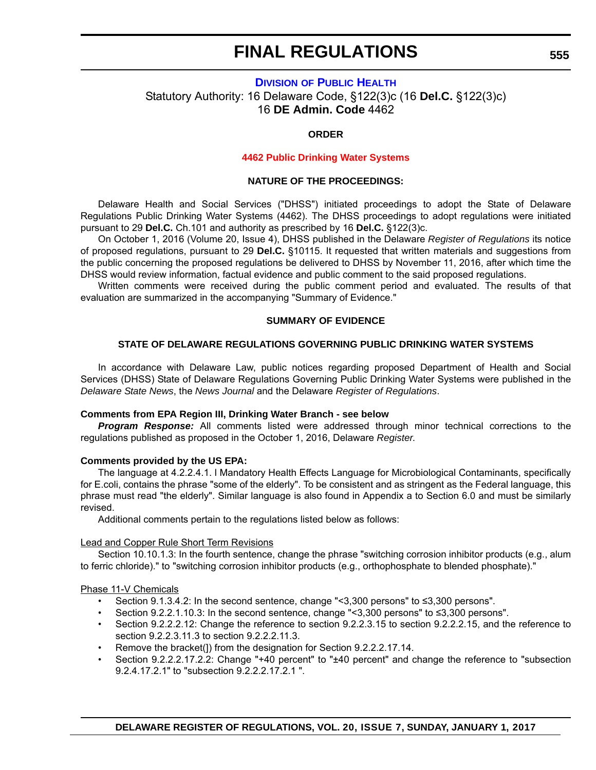## **DIVISION [OF PUBLIC HEALTH](http://www.dhss.delaware.gov/dhss/dph/index.html)** Statutory Authority: 16 Delaware Code, §122(3)c (16 **Del.C.** §122(3)c) 16 **DE Admin. Code** 4462

## **ORDER**

#### **[4462 Public Drinking Water Systems](#page-4-0)**

#### **NATURE OF THE PROCEEDINGS:**

Delaware Health and Social Services ("DHSS") initiated proceedings to adopt the State of Delaware Regulations Public Drinking Water Systems (4462). The DHSS proceedings to adopt regulations were initiated pursuant to 29 **Del.C.** Ch.101 and authority as prescribed by 16 **Del.C.** §122(3)c.

On October 1, 2016 (Volume 20, Issue 4), DHSS published in the Delaware *Register of Regulations* its notice of proposed regulations, pursuant to 29 **Del.C.** §10115. It requested that written materials and suggestions from the public concerning the proposed regulations be delivered to DHSS by November 11, 2016, after which time the DHSS would review information, factual evidence and public comment to the said proposed regulations.

Written comments were received during the public comment period and evaluated. The results of that evaluation are summarized in the accompanying "Summary of Evidence."

#### **SUMMARY OF EVIDENCE**

#### **STATE OF DELAWARE REGULATIONS GOVERNING PUBLIC DRINKING WATER SYSTEMS**

In accordance with Delaware Law, public notices regarding proposed Department of Health and Social Services (DHSS) State of Delaware Regulations Governing Public Drinking Water Systems were published in the *Delaware State News*, the *News Journal* and the Delaware *Register of Regulations*.

#### **Comments from EPA Region III, Drinking Water Branch - see below**

*Program Response:* All comments listed were addressed through minor technical corrections to the regulations published as proposed in the October 1, 2016, Delaware *Register*.

#### **Comments provided by the US EPA:**

The language at 4.2.2.4.1. l Mandatory Health Effects Language for Microbiological Contaminants, specifically for E.coli, contains the phrase "some of the elderly". To be consistent and as stringent as the Federal language, this phrase must read "the elderly". Similar language is also found in Appendix a to Section 6.0 and must be similarly revised.

Additional comments pertain to the regulations listed below as follows:

#### Lead and Copper Rule Short Term Revisions

Section 10.10.1.3: In the fourth sentence, change the phrase "switching corrosion inhibitor products (e.g., alum to ferric chloride)." to "switching corrosion inhibitor products (e.g., orthophosphate to blended phosphate)."

#### Phase 11-V Chemicals

- Section 9.1.3.4.2: In the second sentence, change "<3,300 persons" to ≤3,300 persons".
- Section 9.2.2.1.10.3: In the second sentence, change "<3,300 persons" to ≤3,300 persons".
- Section 9.2.2.2.12: Change the reference to section 9.2.2.3.15 to section 9.2.2.2.15, and the reference to section 9.2.2.3.11.3 to section 9.2.2.2.11.3.
- Remove the bracket(1) from the designation for Section 9.2.2.2.17.14.
- Section 9.2.2.2.17.2.2: Change "+40 percent" to "±40 percent" and change the reference to "subsection 9.2.4.17.2.1" to "subsection 9.2.2.2.17.2.1 ".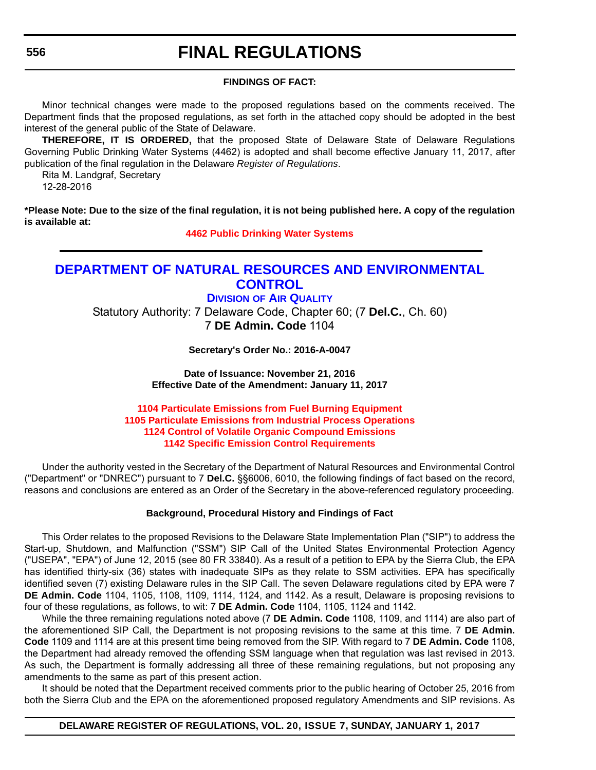#### **556**

## **FINAL REGULATIONS**

#### **FINDINGS OF FACT:**

Minor technical changes were made to the proposed regulations based on the comments received. The Department finds that the proposed regulations, as set forth in the attached copy should be adopted in the best interest of the general public of the State of Delaware.

**THEREFORE, IT IS ORDERED,** that the proposed State of Delaware State of Delaware Regulations Governing Public Drinking Water Systems (4462) is adopted and shall become effective January 11, 2017, after publication of the final regulation in the Delaware *Register of Regulations*.

Rita M. Landgraf, Secretary

12-28-2016

**\*Please Note: Due to the size of the final regulation, it is not being published here. A copy of the regulation is available at:**

**[4462 Public Drinking Water Systems](http://regulations.delaware.gov/register/january2017/final/20 DE Reg 555 01-01-17.htm)**

## **[DEPARTMENT OF NATURAL RESOURCES AND ENVIRONMENTAL](http://www.dnrec.delaware.gov/air/Pages/Default.aspx)  CONTROL**

## **DIVISION OF AIR QUALITY**

Statutory Authority: 7 Delaware Code, Chapter 60; (7 **Del.C.**, Ch. 60) 7 **DE Admin. Code** 1104

**Secretary's Order No.: 2016-A-0047**

**Date of Issuance: November 21, 2016 Effective Date of the Amendment: January 11, 2017**

### **1104 Particulate Emissions from Fuel Burning Equipment [1105 Particulate Emissions from Industrial Process Operations](#page-4-0) 1124 Control of Volatile Organic Compound Emissions 1142 Specific Emission Control Requirements**

Under the authority vested in the Secretary of the Department of Natural Resources and Environmental Control ("Department" or "DNREC") pursuant to 7 **Del.C.** §§6006, 6010, the following findings of fact based on the record, reasons and conclusions are entered as an Order of the Secretary in the above-referenced regulatory proceeding.

## **Background, Procedural History and Findings of Fact**

This Order relates to the proposed Revisions to the Delaware State Implementation Plan ("SIP") to address the Start-up, Shutdown, and Malfunction ("SSM") SIP Call of the United States Environmental Protection Agency ("USEPA", "EPA") of June 12, 2015 (see 80 FR 33840). As a result of a petition to EPA by the Sierra Club, the EPA has identified thirty-six (36) states with inadequate SIPs as they relate to SSM activities. EPA has specifically identified seven (7) existing Delaware rules in the SIP Call. The seven Delaware regulations cited by EPA were 7 **DE Admin. Code** 1104, 1105, 1108, 1109, 1114, 1124, and 1142. As a result, Delaware is proposing revisions to four of these regulations, as follows, to wit: 7 **DE Admin. Code** 1104, 1105, 1124 and 1142.

While the three remaining regulations noted above (7 **DE Admin. Code** 1108, 1109, and 1114) are also part of the aforementioned SIP Call, the Department is not proposing revisions to the same at this time. 7 **DE Admin. Code** 1109 and 1114 are at this present time being removed from the SIP. With regard to 7 **DE Admin. Code** 1108, the Department had already removed the offending SSM language when that regulation was last revised in 2013. As such, the Department is formally addressing all three of these remaining regulations, but not proposing any amendments to the same as part of this present action.

It should be noted that the Department received comments prior to the public hearing of October 25, 2016 from both the Sierra Club and the EPA on the aforementioned proposed regulatory Amendments and SIP revisions. As

#### **DELAWARE REGISTER OF REGULATIONS, VOL. 20, ISSUE 7, SUNDAY, JANUARY 1, 2017**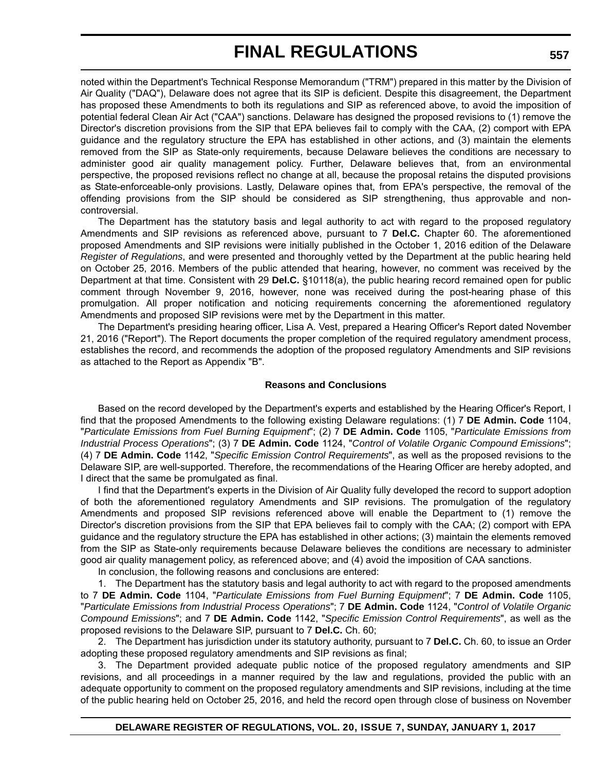noted within the Department's Technical Response Memorandum ("TRM") prepared in this matter by the Division of Air Quality ("DAQ"), Delaware does not agree that its SIP is deficient. Despite this disagreement, the Department has proposed these Amendments to both its regulations and SIP as referenced above, to avoid the imposition of potential federal Clean Air Act ("CAA") sanctions. Delaware has designed the proposed revisions to (1) remove the Director's discretion provisions from the SIP that EPA believes fail to comply with the CAA, (2) comport with EPA guidance and the regulatory structure the EPA has established in other actions, and (3) maintain the elements removed from the SIP as State-only requirements, because Delaware believes the conditions are necessary to administer good air quality management policy. Further, Delaware believes that, from an environmental perspective, the proposed revisions reflect no change at all, because the proposal retains the disputed provisions as State-enforceable-only provisions. Lastly, Delaware opines that, from EPA's perspective, the removal of the offending provisions from the SIP should be considered as SIP strengthening, thus approvable and noncontroversial.

The Department has the statutory basis and legal authority to act with regard to the proposed regulatory Amendments and SIP revisions as referenced above, pursuant to 7 **Del.C.** Chapter 60. The aforementioned proposed Amendments and SIP revisions were initially published in the October 1, 2016 edition of the Delaware *Register of Regulations*, and were presented and thoroughly vetted by the Department at the public hearing held on October 25, 2016. Members of the public attended that hearing, however, no comment was received by the Department at that time. Consistent with 29 **Del.C.** §10118(a), the public hearing record remained open for public comment through November 9, 2016, however, none was received during the post-hearing phase of this promulgation. All proper notification and noticing requirements concerning the aforementioned regulatory Amendments and proposed SIP revisions were met by the Department in this matter.

The Department's presiding hearing officer, Lisa A. Vest, prepared a Hearing Officer's Report dated November 21, 2016 ("Report"). The Report documents the proper completion of the required regulatory amendment process, establishes the record, and recommends the adoption of the proposed regulatory Amendments and SIP revisions as attached to the Report as Appendix "B".

#### **Reasons and Conclusions**

Based on the record developed by the Department's experts and established by the Hearing Officer's Report, I find that the proposed Amendments to the following existing Delaware regulations: (1) 7 **DE Admin. Code** 1104, "*Particulate Emissions from Fuel Burning Equipment*"; (2) 7 **DE Admin. Code** 1105, "*Particulate Emissions from Industrial Process Operations*"; (3) 7 **DE Admin. Code** 1124, "*Control of Volatile Organic Compound Emissions*"; (4) 7 **DE Admin. Code** 1142, "*Specific Emission Control Requirements*", as well as the proposed revisions to the Delaware SIP, are well-supported. Therefore, the recommendations of the Hearing Officer are hereby adopted, and I direct that the same be promulgated as final.

I find that the Department's experts in the Division of Air Quality fully developed the record to support adoption of both the aforementioned regulatory Amendments and SIP revisions. The promulgation of the regulatory Amendments and proposed SIP revisions referenced above will enable the Department to (1) remove the Director's discretion provisions from the SIP that EPA believes fail to comply with the CAA; (2) comport with EPA guidance and the regulatory structure the EPA has established in other actions; (3) maintain the elements removed from the SIP as State-only requirements because Delaware believes the conditions are necessary to administer good air quality management policy, as referenced above; and (4) avoid the imposition of CAA sanctions.

In conclusion, the following reasons and conclusions are entered:

1. The Department has the statutory basis and legal authority to act with regard to the proposed amendments to 7 **DE Admin. Code** 1104, "*Particulate Emissions from Fuel Burning Equipment*"; 7 **DE Admin. Code** 1105, "*Particulate Emissions from Industrial Process Operations*"; 7 **DE Admin. Code** 1124, "*Control of Volatile Organic Compound Emissions*"; and 7 **DE Admin. Code** 1142, "*Specific Emission Control Requirements*", as well as the proposed revisions to the Delaware SIP, pursuant to 7 **Del.C.** Ch. 60;

2. The Department has jurisdiction under its statutory authority, pursuant to 7 **Del.C.** Ch. 60, to issue an Order adopting these proposed regulatory amendments and SIP revisions as final;

3. The Department provided adequate public notice of the proposed regulatory amendments and SIP revisions, and all proceedings in a manner required by the law and regulations, provided the public with an adequate opportunity to comment on the proposed regulatory amendments and SIP revisions, including at the time of the public hearing held on October 25, 2016, and held the record open through close of business on November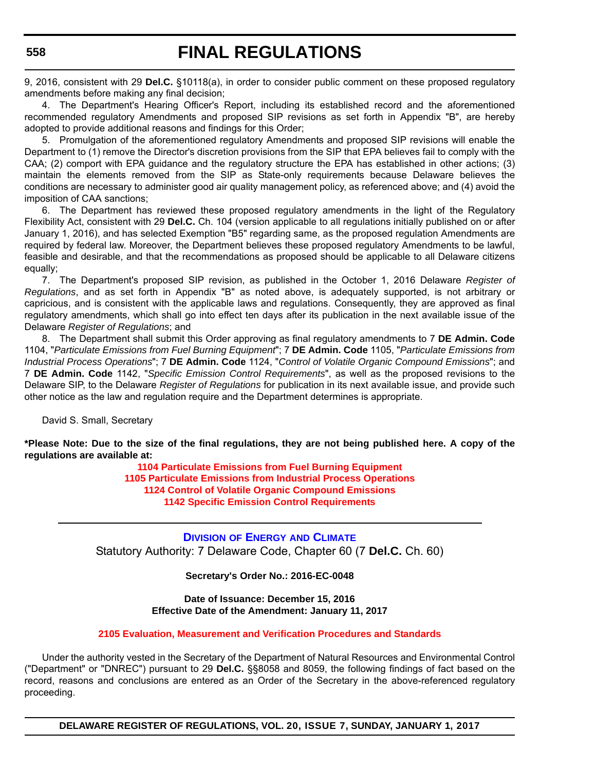9, 2016, consistent with 29 **Del.C.** §10118(a), in order to consider public comment on these proposed regulatory amendments before making any final decision;

4. The Department's Hearing Officer's Report, including its established record and the aforementioned recommended regulatory Amendments and proposed SIP revisions as set forth in Appendix "B", are hereby adopted to provide additional reasons and findings for this Order;

5. Promulgation of the aforementioned regulatory Amendments and proposed SIP revisions will enable the Department to (1) remove the Director's discretion provisions from the SIP that EPA believes fail to comply with the CAA; (2) comport with EPA guidance and the regulatory structure the EPA has established in other actions; (3) maintain the elements removed from the SIP as State-only requirements because Delaware believes the conditions are necessary to administer good air quality management policy, as referenced above; and (4) avoid the imposition of CAA sanctions;

6. The Department has reviewed these proposed regulatory amendments in the light of the Regulatory Flexibility Act, consistent with 29 **Del.C.** Ch. 104 (version applicable to all regulations initially published on or after January 1, 2016), and has selected Exemption "B5" regarding same, as the proposed regulation Amendments are required by federal law. Moreover, the Department believes these proposed regulatory Amendments to be lawful, feasible and desirable, and that the recommendations as proposed should be applicable to all Delaware citizens equally;

7. The Department's proposed SIP revision, as published in the October 1, 2016 Delaware *Register of Regulations*, and as set forth in Appendix "B" as noted above, is adequately supported, is not arbitrary or capricious, and is consistent with the applicable laws and regulations. Consequently, they are approved as final regulatory amendments, which shall go into effect ten days after its publication in the next available issue of the Delaware *Register of Regulations*; and

8. The Department shall submit this Order approving as final regulatory amendments to 7 **DE Admin. Code** 1104, "*Particulate Emissions from Fuel Burning Equipment*"; 7 **DE Admin. Code** 1105, "*Particulate Emissions from Industrial Process Operations*"; 7 **DE Admin. Code** 1124, "*Control of Volatile Organic Compound Emissions*"; and 7 **DE Admin. Code** 1142, "*Specific Emission Control Requirements*", as well as the proposed revisions to the Delaware SIP, to the Delaware *Register of Regulations* for publication in its next available issue, and provide such other notice as the law and regulation require and the Department determines is appropriate.

David S. Small, Secretary

**\*Please Note: Due to the size of the final regulations, they are not being published here. A copy of the regulations are available at:**

**[1104 Particulate Emissions from Fuel Burning Equipment](http://regulations.delaware.gov/register/january2017/final/20 DE Reg 556 01-01-17.htm) [1105 Particulate Emissions from Industrial Process Operations](http://regulations.delaware.gov/register/january2017/final/20 DE Reg 556a 01-01-17.htm) [1124 Control of Volatile Organic Compound Emissions](http://regulations.delaware.gov/register/january2017/final/20 DE Reg 556b 01-01-17.htm) [1142 Specific Emission Control Requirements](http://regulations.delaware.gov/register/january2017/final/20 DE Reg 556c 01-01-17.htm)**

**DIVISION OF ENERGY [AND CLIMATE](http://www.dnrec.delaware.gov/energy/Pages/portal.aspx)** Statutory Authority: 7 Delaware Code, Chapter 60 (7 **Del.C.** Ch. 60)

**Secretary's Order No.: 2016-EC-0048**

**Date of Issuance: December 15, 2016 Effective Date of the Amendment: January 11, 2017**

**[2105 Evaluation, Measurement and Verification Procedures and Standards](#page-4-0)**

Under the authority vested in the Secretary of the Department of Natural Resources and Environmental Control ("Department" or "DNREC") pursuant to 29 **Del.C.** §§8058 and 8059, the following findings of fact based on the record, reasons and conclusions are entered as an Order of the Secretary in the above-referenced regulatory proceeding.

**DELAWARE REGISTER OF REGULATIONS, VOL. 20, ISSUE 7, SUNDAY, JANUARY 1, 2017**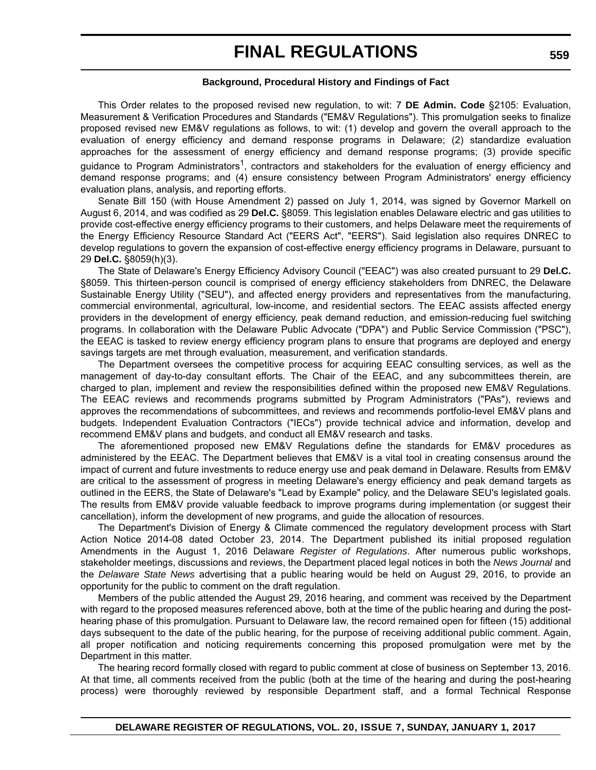#### **Background, Procedural History and Findings of Fact**

This Order relates to the proposed revised new regulation, to wit: 7 **DE Admin. Code** §2105: Evaluation, Measurement & Verification Procedures and Standards ("EM&V Regulations"). This promulgation seeks to finalize proposed revised new EM&V regulations as follows, to wit: (1) develop and govern the overall approach to the evaluation of energy efficiency and demand response programs in Delaware; (2) standardize evaluation approaches for the assessment of energy efficiency and demand response programs; (3) provide specific guidance to Program Administrators<sup>1</sup>, contractors and stakeholders for the evaluation of energy efficiency and demand response programs; and (4) ensure consistency between Program Administrators' energy efficiency evaluation plans, analysis, and reporting efforts.

Senate Bill 150 (with House Amendment 2) passed on July 1, 2014, was signed by Governor Markell on August 6, 2014, and was codified as 29 **Del.C.** §8059. This legislation enables Delaware electric and gas utilities to provide cost-effective energy efficiency programs to their customers, and helps Delaware meet the requirements of the Energy Efficiency Resource Standard Act ("EERS Act", "EERS"). Said legislation also requires DNREC to develop regulations to govern the expansion of cost-effective energy efficiency programs in Delaware, pursuant to 29 **Del.C.** §8059(h)(3).

The State of Delaware's Energy Efficiency Advisory Council ("EEAC") was also created pursuant to 29 **Del.C.** §8059. This thirteen-person council is comprised of energy efficiency stakeholders from DNREC, the Delaware Sustainable Energy Utility ("SEU"), and affected energy providers and representatives from the manufacturing, commercial environmental, agricultural, low-income, and residential sectors. The EEAC assists affected energy providers in the development of energy efficiency, peak demand reduction, and emission-reducing fuel switching programs. In collaboration with the Delaware Public Advocate ("DPA") and Public Service Commission ("PSC"), the EEAC is tasked to review energy efficiency program plans to ensure that programs are deployed and energy savings targets are met through evaluation, measurement, and verification standards.

The Department oversees the competitive process for acquiring EEAC consulting services, as well as the management of day-to-day consultant efforts. The Chair of the EEAC, and any subcommittees therein, are charged to plan, implement and review the responsibilities defined within the proposed new EM&V Regulations. The EEAC reviews and recommends programs submitted by Program Administrators ("PAs"), reviews and approves the recommendations of subcommittees, and reviews and recommends portfolio-level EM&V plans and budgets. Independent Evaluation Contractors ("IECs") provide technical advice and information, develop and recommend EM&V plans and budgets, and conduct all EM&V research and tasks.

The aforementioned proposed new EM&V Regulations define the standards for EM&V procedures as administered by the EEAC. The Department believes that EM&V is a vital tool in creating consensus around the impact of current and future investments to reduce energy use and peak demand in Delaware. Results from EM&V are critical to the assessment of progress in meeting Delaware's energy efficiency and peak demand targets as outlined in the EERS, the State of Delaware's "Lead by Example" policy, and the Delaware SEU's legislated goals. The results from EM&V provide valuable feedback to improve programs during implementation (or suggest their cancellation), inform the development of new programs, and guide the allocation of resources.

The Department's Division of Energy & Climate commenced the regulatory development process with Start Action Notice 2014-08 dated October 23, 2014. The Department published its initial proposed regulation Amendments in the August 1, 2016 Delaware *Register of Regulations*. After numerous public workshops, stakeholder meetings, discussions and reviews, the Department placed legal notices in both the *News Journal* and the *Delaware State News* advertising that a public hearing would be held on August 29, 2016, to provide an opportunity for the public to comment on the draft regulation.

Members of the public attended the August 29, 2016 hearing, and comment was received by the Department with regard to the proposed measures referenced above, both at the time of the public hearing and during the posthearing phase of this promulgation. Pursuant to Delaware law, the record remained open for fifteen (15) additional days subsequent to the date of the public hearing, for the purpose of receiving additional public comment. Again, all proper notification and noticing requirements concerning this proposed promulgation were met by the Department in this matter.

The hearing record formally closed with regard to public comment at close of business on September 13, 2016. At that time, all comments received from the public (both at the time of the hearing and during the post-hearing process) were thoroughly reviewed by responsible Department staff, and a formal Technical Response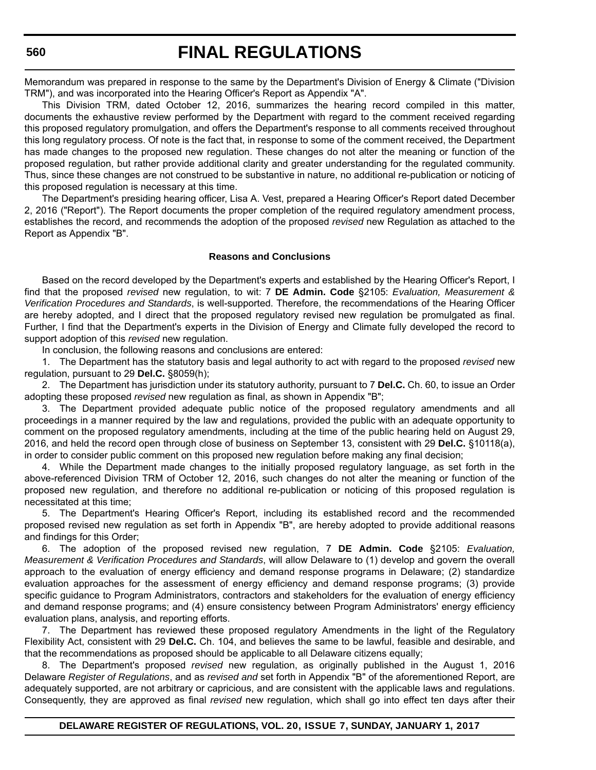Memorandum was prepared in response to the same by the Department's Division of Energy & Climate ("Division TRM"), and was incorporated into the Hearing Officer's Report as Appendix "A".

This Division TRM, dated October 12, 2016, summarizes the hearing record compiled in this matter, documents the exhaustive review performed by the Department with regard to the comment received regarding this proposed regulatory promulgation, and offers the Department's response to all comments received throughout this long regulatory process. Of note is the fact that, in response to some of the comment received, the Department has made changes to the proposed new regulation. These changes do not alter the meaning or function of the proposed regulation, but rather provide additional clarity and greater understanding for the regulated community. Thus, since these changes are not construed to be substantive in nature, no additional re-publication or noticing of this proposed regulation is necessary at this time.

The Department's presiding hearing officer, Lisa A. Vest, prepared a Hearing Officer's Report dated December 2, 2016 ("Report"). The Report documents the proper completion of the required regulatory amendment process, establishes the record, and recommends the adoption of the proposed *revised* new Regulation as attached to the Report as Appendix "B".

#### **Reasons and Conclusions**

Based on the record developed by the Department's experts and established by the Hearing Officer's Report, I find that the proposed *revised* new regulation, to wit: 7 **DE Admin. Code** §2105: *Evaluation, Measurement & Verification Procedures and Standards*, is well-supported. Therefore, the recommendations of the Hearing Officer are hereby adopted, and I direct that the proposed regulatory revised new regulation be promulgated as final. Further, I find that the Department's experts in the Division of Energy and Climate fully developed the record to support adoption of this *revised* new regulation.

In conclusion, the following reasons and conclusions are entered:

1. The Department has the statutory basis and legal authority to act with regard to the proposed *revised* new regulation, pursuant to 29 **Del.C.** §8059(h);

2. The Department has jurisdiction under its statutory authority, pursuant to 7 **Del.C.** Ch. 60, to issue an Order adopting these proposed *revised* new regulation as final, as shown in Appendix "B";

3. The Department provided adequate public notice of the proposed regulatory amendments and all proceedings in a manner required by the law and regulations, provided the public with an adequate opportunity to comment on the proposed regulatory amendments, including at the time of the public hearing held on August 29, 2016, and held the record open through close of business on September 13, consistent with 29 **Del.C.** §10118(a), in order to consider public comment on this proposed new regulation before making any final decision;

4. While the Department made changes to the initially proposed regulatory language, as set forth in the above-referenced Division TRM of October 12, 2016, such changes do not alter the meaning or function of the proposed new regulation, and therefore no additional re-publication or noticing of this proposed regulation is necessitated at this time;

5. The Department's Hearing Officer's Report, including its established record and the recommended proposed revised new regulation as set forth in Appendix "B", are hereby adopted to provide additional reasons and findings for this Order;

6. The adoption of the proposed revised new regulation, 7 **DE Admin. Code** §2105: *Evaluation, Measurement & Verification Procedures and Standards*, will allow Delaware to (1) develop and govern the overall approach to the evaluation of energy efficiency and demand response programs in Delaware; (2) standardize evaluation approaches for the assessment of energy efficiency and demand response programs; (3) provide specific guidance to Program Administrators, contractors and stakeholders for the evaluation of energy efficiency and demand response programs; and (4) ensure consistency between Program Administrators' energy efficiency evaluation plans, analysis, and reporting efforts.

7. The Department has reviewed these proposed regulatory Amendments in the light of the Regulatory Flexibility Act, consistent with 29 **Del.C.** Ch. 104, and believes the same to be lawful, feasible and desirable, and that the recommendations as proposed should be applicable to all Delaware citizens equally;

8. The Department's proposed *revised* new regulation, as originally published in the August 1, 2016 Delaware *Register of Regulations*, and as *revised and* set forth in Appendix "B" of the aforementioned Report, are adequately supported, are not arbitrary or capricious, and are consistent with the applicable laws and regulations. Consequently, they are approved as final *revised* new regulation, which shall go into effect ten days after their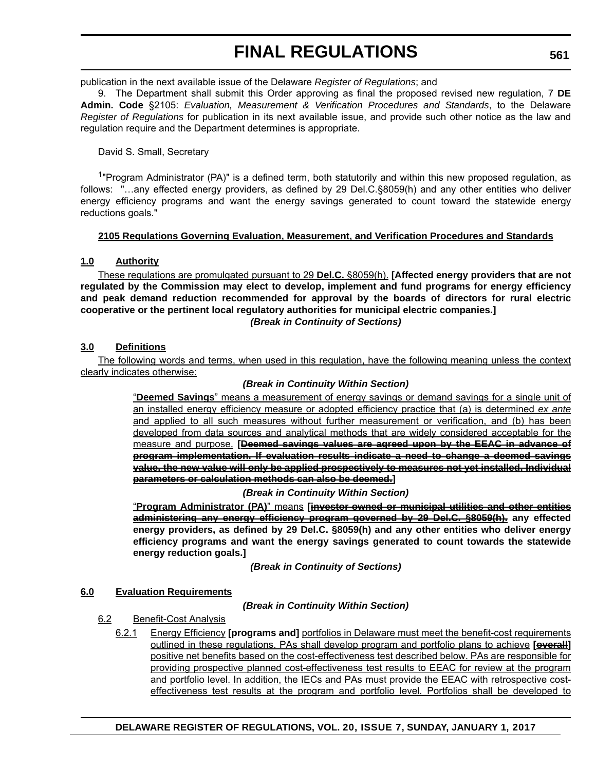publication in the next available issue of the Delaware *Register of Regulations*; and

9. The Department shall submit this Order approving as final the proposed revised new regulation, 7 **DE Admin. Code** §2105: *Evaluation, Measurement & Verification Procedures and Standards*, to the Delaware *Register of Regulations* for publication in its next available issue, and provide such other notice as the law and regulation require and the Department determines is appropriate.

David S. Small, Secretary

<sup>1</sup>"Program Administrator (PA)" is a defined term, both statutorily and within this new proposed regulation, as follows: "…any effected energy providers, as defined by 29 Del.C.§8059(h) and any other entities who deliver energy efficiency programs and want the energy savings generated to count toward the statewide energy reductions goals."

## **2105 Regulations Governing Evaluation, Measurement, and Verification Procedures and Standards**

## **1.0 Authority**

These regulations are promulgated pursuant to 29 **Del.C.** §8059(h). **[Affected energy providers that are not regulated by the Commission may elect to develop, implement and fund programs for energy efficiency and peak demand reduction recommended for approval by the boards of directors for rural electric cooperative or the pertinent local regulatory authorities for municipal electric companies.]** *(Break in Continuity of Sections)*

## **3.0 Definitions**

The following words and terms, when used in this regulation, have the following meaning unless the context clearly indicates otherwise:

## *(Break in Continuity Within Section)*

"**Deemed Savings**" means a measurement of energy savings or demand savings for a single unit of an installed energy efficiency measure or adopted efficiency practice that (a) is determined *ex ante* and applied to all such measures without further measurement or verification, and (b) has been developed from data sources and analytical methods that are widely considered acceptable for the measure and purpose. **[Deemed savings values are agreed upon by the EEAC in advance of program implementation. If evaluation results indicate a need to change a deemed savings value, the new value will only be applied prospectively to measures not yet installed. Individual parameters or calculation methods can also be deemed.]**

*(Break in Continuity Within Section)*

"**Program Administrator (PA)**" means **[investor-owned or municipal utilities and other entities administering any energy efficiency program governed by 29 Del.C. §8059(h). any effected energy providers, as defined by 29 Del.C. §8059(h) and any other entities who deliver energy efficiency programs and want the energy savings generated to count towards the statewide energy reduction goals.]**

*(Break in Continuity of Sections)*

## **6.0 Evaluation Requirements**

*(Break in Continuity Within Section)*

## 6.2 Benefit-Cost Analysis

6.2.1 Energy Efficiency **[programs and]** portfolios in Delaware must meet the benefit-cost requirements outlined in these regulations. PAs shall develop program and portfolio plans to achieve **[overall]** positive net benefits based on the cost-effectiveness test described below. PAs are responsible for providing prospective planned cost-effectiveness test results to EEAC for review at the program and portfolio level. In addition, the IECs and PAs must provide the EEAC with retrospective costeffectiveness test results at the program and portfolio level. Portfolios shall be developed to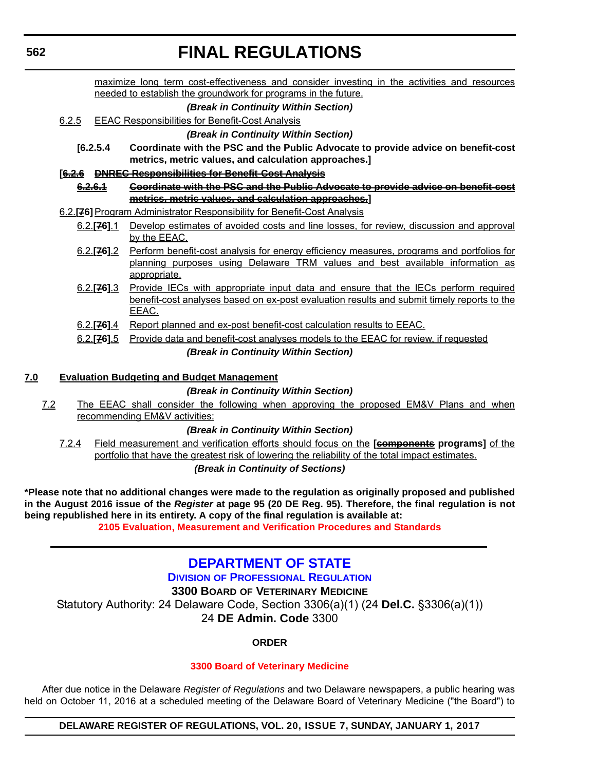maximize long term cost-effectiveness and consider investing in the activities and resources needed to establish the groundwork for programs in the future.

### *(Break in Continuity Within Section)*

6.2.5 EEAC Responsibilities for Benefit-Cost Analysis

*(Break in Continuity Within Section)*

**[6.2.5.4 Coordinate with the PSC and the Public Advocate to provide advice on benefit-cost metrics, metric values, and calculation approaches.]**

### **[6.2.6 DNREC Responsibilities for Benefit-Cost Analysis**

- **6.2.6.1 Coordinate with the PSC and the Public Advocate to provide advice on benefit-cost metrics, metric values, and calculation approaches.]**
- 6.2.**[76]**Program Administrator Responsibility for Benefit-Cost Analysis
	- 6.2.**[76]**.1 Develop estimates of avoided costs and line losses, for review, discussion and approval by the EEAC.
	- 6.2.**[76]**.2 Perform benefit-cost analysis for energy efficiency measures, programs and portfolios for planning purposes using Delaware TRM values and best available information as appropriate.
	- 6.2.**[76]**.3 Provide IECs with appropriate input data and ensure that the IECs perform required benefit-cost analyses based on ex-post evaluation results and submit timely reports to the EEAC.
	- 6.2.**[76]**.4 Report planned and ex-post benefit-cost calculation results to EEAC.
	- 6.2.**[76]**.5 Provide data and benefit-cost analyses models to the EEAC for review, if requested *(Break in Continuity Within Section)*

## **7.0 Evaluation Budgeting and Budget Management**

## *(Break in Continuity Within Section)*

7.2 The EEAC shall consider the following when approving the proposed EM&V Plans and when recommending EM&V activities:

## *(Break in Continuity Within Section)*

7.2.4 Field measurement and verification efforts should focus on the **[components programs]** of the portfolio that have the greatest risk of lowering the reliability of the total impact estimates.

## *(Break in Continuity of Sections)*

**\*Please note that no additional changes were made to the regulation as originally proposed and published in the August 2016 issue of the** *Register* **at page 95 (20 DE Reg. 95). Therefore, the final regulation is not being republished here in its entirety. A copy of the final regulation is available at: [2105 Evaluation, Measurement and Verification Procedures and Standards](http://regulations.delaware.gov/register/january2017/final/20 DE Reg 558 01-01-17.htm)**

## **[DEPARTMENT OF STATE](http://dpr.delaware.gov/)**

**DIVISION OF PROFESSIONAL REGULATION**

**3300 BOARD OF VETERINARY MEDICINE**

Statutory Authority: 24 Delaware Code, Section 3306(a)(1) (24 **Del.C.** §3306(a)(1)) 24 **DE Admin. Code** 3300

## **ORDER**

## **[3300 Board of Veterinary Medicine](#page-4-0)**

After due notice in the Delaware *Register of Regulations* and two Delaware newspapers, a public hearing was held on October 11, 2016 at a scheduled meeting of the Delaware Board of Veterinary Medicine ("the Board") to

## **DELAWARE REGISTER OF REGULATIONS, VOL. 20, ISSUE 7, SUNDAY, JANUARY 1, 2017**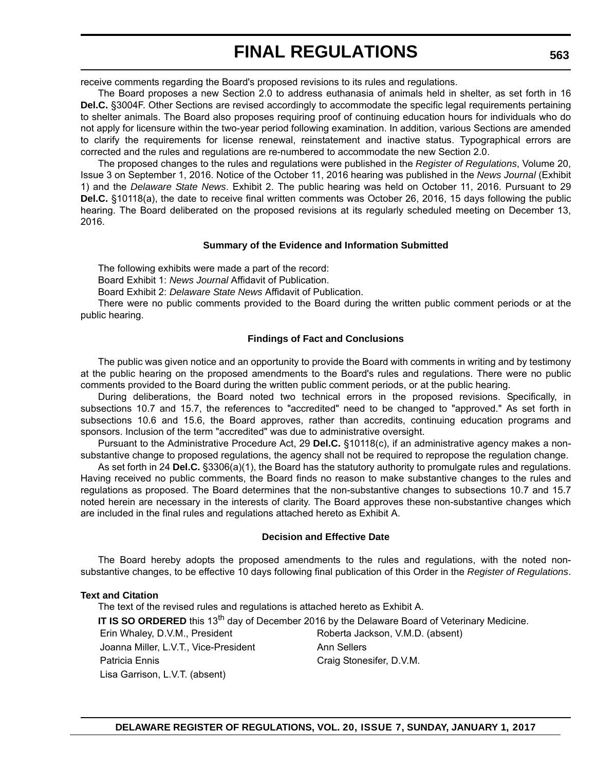receive comments regarding the Board's proposed revisions to its rules and regulations.

The Board proposes a new Section 2.0 to address euthanasia of animals held in shelter, as set forth in 16 **Del.C.** §3004F. Other Sections are revised accordingly to accommodate the specific legal requirements pertaining to shelter animals. The Board also proposes requiring proof of continuing education hours for individuals who do not apply for licensure within the two-year period following examination. In addition, various Sections are amended to clarify the requirements for license renewal, reinstatement and inactive status. Typographical errors are corrected and the rules and regulations are re-numbered to accommodate the new Section 2.0.

The proposed changes to the rules and regulations were published in the *Register of Regulations*, Volume 20, Issue 3 on September 1, 2016. Notice of the October 11, 2016 hearing was published in the *News Journal* (Exhibit 1) and the *Delaware State News*. Exhibit 2. The public hearing was held on October 11, 2016. Pursuant to 29 **Del.C.** §10118(a), the date to receive final written comments was October 26, 2016, 15 days following the public hearing. The Board deliberated on the proposed revisions at its regularly scheduled meeting on December 13, 2016.

### **Summary of the Evidence and Information Submitted**

The following exhibits were made a part of the record:

Board Exhibit 1: *News Journal* Affidavit of Publication.

Board Exhibit 2: *Delaware State News* Affidavit of Publication.

There were no public comments provided to the Board during the written public comment periods or at the public hearing.

## **Findings of Fact and Conclusions**

The public was given notice and an opportunity to provide the Board with comments in writing and by testimony at the public hearing on the proposed amendments to the Board's rules and regulations. There were no public comments provided to the Board during the written public comment periods, or at the public hearing.

During deliberations, the Board noted two technical errors in the proposed revisions. Specifically, in subsections 10.7 and 15.7, the references to "accredited" need to be changed to "approved." As set forth in subsections 10.6 and 15.6, the Board approves, rather than accredits, continuing education programs and sponsors. Inclusion of the term "accredited" was due to administrative oversight.

Pursuant to the Administrative Procedure Act, 29 **Del.C.** §10118(c), if an administrative agency makes a nonsubstantive change to proposed regulations, the agency shall not be required to repropose the regulation change.

As set forth in 24 **Del.C.** §3306(a)(1), the Board has the statutory authority to promulgate rules and regulations. Having received no public comments, the Board finds no reason to make substantive changes to the rules and regulations as proposed. The Board determines that the non-substantive changes to subsections 10.7 and 15.7 noted herein are necessary in the interests of clarity. The Board approves these non-substantive changes which are included in the final rules and regulations attached hereto as Exhibit A.

#### **Decision and Effective Date**

The Board hereby adopts the proposed amendments to the rules and regulations, with the noted nonsubstantive changes, to be effective 10 days following final publication of this Order in the *Register of Regulations*.

#### **Text and Citation**

The text of the revised rules and regulations is attached hereto as Exhibit A. **IT IS SO ORDERED** this 13<sup>th</sup> day of December 2016 by the Delaware Board of Veterinary Medicine. Erin Whaley, D.V.M., President Roberta Jackson, V.M.D. (absent) Joanna Miller, L.V.T., Vice-President Ann Sellers Patricia Ennis Craig Stonesifer, D.V.M. Lisa Garrison, L.V.T. (absent)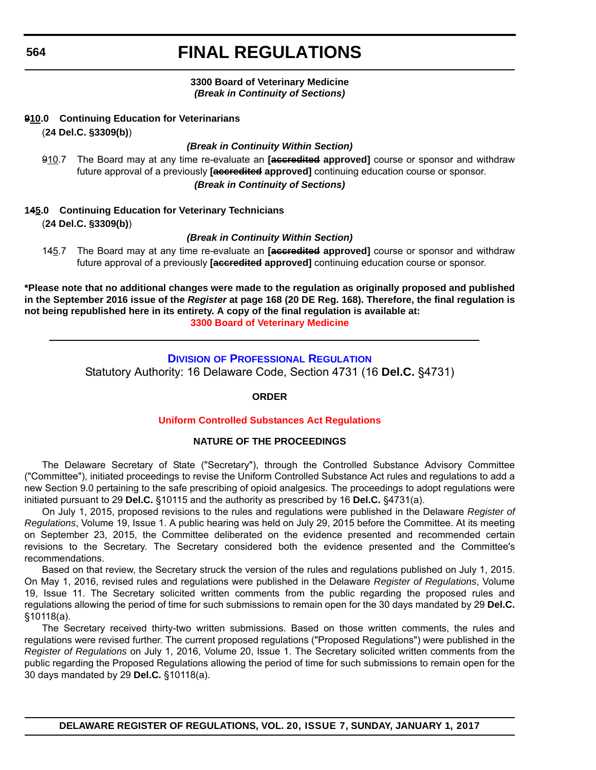### **3300 Board of Veterinary Medicine** *(Break in Continuity of Sections)*

### **910.0 Continuing Education for Veterinarians** (**24 Del.C. §3309(b)**)

### *(Break in Continuity Within Section)*

910.7 The Board may at any time re-evaluate an **[accredited approved]** course or sponsor and withdraw future approval of a previously **[accredited approved]** continuing education course or sponsor. *(Break in Continuity of Sections)*

## **145.0 Continuing Education for Veterinary Technicians** (**24 Del.C. §3309(b)**)

### *(Break in Continuity Within Section)*

145.7 The Board may at any time re-evaluate an **[accredited approved]** course or sponsor and withdraw future approval of a previously **[accredited approved]** continuing education course or sponsor.

**\*Please note that no additional changes were made to the regulation as originally proposed and published in the September 2016 issue of the** *Register* **at page 168 (20 DE Reg. 168). Therefore, the final regulation is not being republished here in its entirety. A copy of the final regulation is available at: [3300 Board of Veterinary Medicine](http://regulations.delaware.gov/register/january2017/final/20 DE Reg 562 01-01-17.htm)**

## **DIVISION [OF PROFESSIONAL REGULATION](http://dpr.delaware.gov/)** Statutory Authority: 16 Delaware Code, Section 4731 (16 **Del.C.** §4731)

### **ORDER**

## **[Uniform Controlled Substances Act Regulations](#page-4-0)**

#### **NATURE OF THE PROCEEDINGS**

The Delaware Secretary of State ("Secretary"), through the Controlled Substance Advisory Committee ("Committee"), initiated proceedings to revise the Uniform Controlled Substance Act rules and regulations to add a new Section 9.0 pertaining to the safe prescribing of opioid analgesics. The proceedings to adopt regulations were initiated pursuant to 29 **Del.C.** §10115 and the authority as prescribed by 16 **Del.C.** §4731(a).

On July 1, 2015, proposed revisions to the rules and regulations were published in the Delaware *Register of Regulations*, Volume 19, Issue 1. A public hearing was held on July 29, 2015 before the Committee. At its meeting on September 23, 2015, the Committee deliberated on the evidence presented and recommended certain revisions to the Secretary. The Secretary considered both the evidence presented and the Committee's recommendations.

Based on that review, the Secretary struck the version of the rules and regulations published on July 1, 2015. On May 1, 2016, revised rules and regulations were published in the Delaware *Register of Regulations*, Volume 19, Issue 11. The Secretary solicited written comments from the public regarding the proposed rules and regulations allowing the period of time for such submissions to remain open for the 30 days mandated by 29 **Del.C.** §10118(a).

The Secretary received thirty-two written submissions. Based on those written comments, the rules and regulations were revised further. The current proposed regulations ("Proposed Regulations") were published in the *Register of Regulations* on July 1, 2016, Volume 20, Issue 1. The Secretary solicited written comments from the public regarding the Proposed Regulations allowing the period of time for such submissions to remain open for the 30 days mandated by 29 **Del.C.** §10118(a).

**DELAWARE REGISTER OF REGULATIONS, VOL. 20, ISSUE 7, SUNDAY, JANUARY 1, 2017**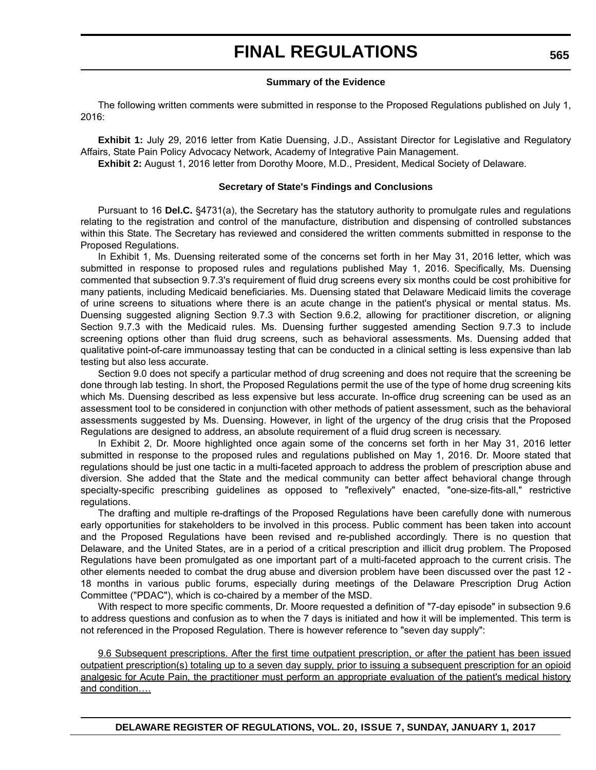#### **Summary of the Evidence**

The following written comments were submitted in response to the Proposed Regulations published on July 1, 2016:

**Exhibit 1:** July 29, 2016 letter from Katie Duensing, J.D., Assistant Director for Legislative and Regulatory Affairs, State Pain Policy Advocacy Network, Academy of Integrative Pain Management.

**Exhibit 2:** August 1, 2016 letter from Dorothy Moore, M.D., President, Medical Society of Delaware.

#### **Secretary of State's Findings and Conclusions**

Pursuant to 16 **Del.C.** §4731(a), the Secretary has the statutory authority to promulgate rules and regulations relating to the registration and control of the manufacture, distribution and dispensing of controlled substances within this State. The Secretary has reviewed and considered the written comments submitted in response to the Proposed Regulations.

In Exhibit 1, Ms. Duensing reiterated some of the concerns set forth in her May 31, 2016 letter, which was submitted in response to proposed rules and regulations published May 1, 2016. Specifically, Ms. Duensing commented that subsection 9.7.3's requirement of fluid drug screens every six months could be cost prohibitive for many patients, including Medicaid beneficiaries. Ms. Duensing stated that Delaware Medicaid limits the coverage of urine screens to situations where there is an acute change in the patient's physical or mental status. Ms. Duensing suggested aligning Section 9.7.3 with Section 9.6.2, allowing for practitioner discretion, or aligning Section 9.7.3 with the Medicaid rules. Ms. Duensing further suggested amending Section 9.7.3 to include screening options other than fluid drug screens, such as behavioral assessments. Ms. Duensing added that qualitative point-of-care immunoassay testing that can be conducted in a clinical setting is less expensive than lab testing but also less accurate.

Section 9.0 does not specify a particular method of drug screening and does not require that the screening be done through lab testing. In short, the Proposed Regulations permit the use of the type of home drug screening kits which Ms. Duensing described as less expensive but less accurate. In-office drug screening can be used as an assessment tool to be considered in conjunction with other methods of patient assessment, such as the behavioral assessments suggested by Ms. Duensing. However, in light of the urgency of the drug crisis that the Proposed Regulations are designed to address, an absolute requirement of a fluid drug screen is necessary.

In Exhibit 2, Dr. Moore highlighted once again some of the concerns set forth in her May 31, 2016 letter submitted in response to the proposed rules and regulations published on May 1, 2016. Dr. Moore stated that regulations should be just one tactic in a multi-faceted approach to address the problem of prescription abuse and diversion. She added that the State and the medical community can better affect behavioral change through specialty-specific prescribing guidelines as opposed to "reflexively" enacted, "one-size-fits-all," restrictive regulations.

The drafting and multiple re-draftings of the Proposed Regulations have been carefully done with numerous early opportunities for stakeholders to be involved in this process. Public comment has been taken into account and the Proposed Regulations have been revised and re-published accordingly. There is no question that Delaware, and the United States, are in a period of a critical prescription and illicit drug problem. The Proposed Regulations have been promulgated as one important part of a multi-faceted approach to the current crisis. The other elements needed to combat the drug abuse and diversion problem have been discussed over the past 12 - 18 months in various public forums, especially during meetings of the Delaware Prescription Drug Action Committee ("PDAC"), which is co-chaired by a member of the MSD.

With respect to more specific comments, Dr. Moore requested a definition of "7-day episode" in subsection 9.6 to address questions and confusion as to when the 7 days is initiated and how it will be implemented. This term is not referenced in the Proposed Regulation. There is however reference to "seven day supply":

9.6 Subsequent prescriptions. After the first time outpatient prescription, or after the patient has been issued outpatient prescription(s) totaling up to a seven day supply, prior to issuing a subsequent prescription for an opioid analgesic for Acute Pain, the practitioner must perform an appropriate evaluation of the patient's medical history and condition….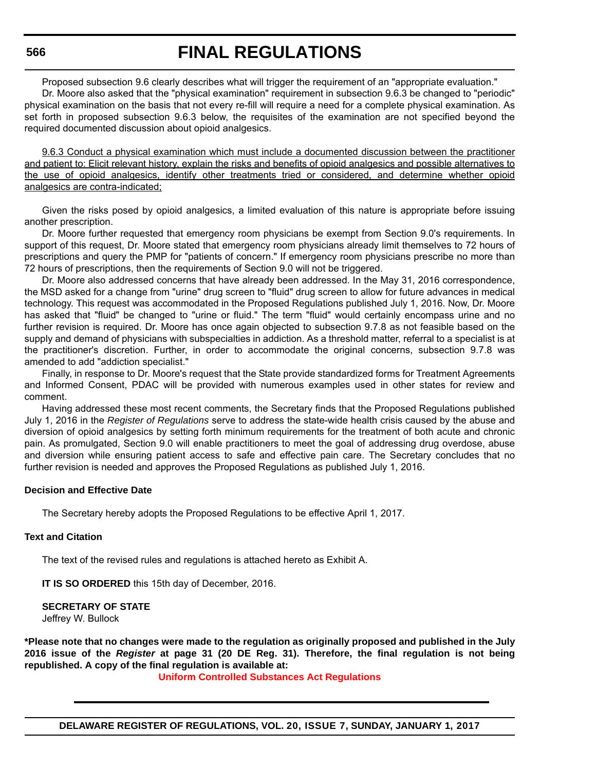#### **566**

## **FINAL REGULATIONS**

Proposed subsection 9.6 clearly describes what will trigger the requirement of an "appropriate evaluation."

Dr. Moore also asked that the "physical examination" requirement in subsection 9.6.3 be changed to "periodic" physical examination on the basis that not every re-fill will require a need for a complete physical examination. As set forth in proposed subsection 9.6.3 below, the requisites of the examination are not specified beyond the required documented discussion about opioid analgesics.

9.6.3 Conduct a physical examination which must include a documented discussion between the practitioner and patient to: Elicit relevant history, explain the risks and benefits of opioid analgesics and possible alternatives to the use of opioid analgesics, identify other treatments tried or considered, and determine whether opioid analgesics are contra-indicated;

Given the risks posed by opioid analgesics, a limited evaluation of this nature is appropriate before issuing another prescription.

Dr. Moore further requested that emergency room physicians be exempt from Section 9.0's requirements. In support of this request, Dr. Moore stated that emergency room physicians already limit themselves to 72 hours of prescriptions and query the PMP for "patients of concern." If emergency room physicians prescribe no more than 72 hours of prescriptions, then the requirements of Section 9.0 will not be triggered.

Dr. Moore also addressed concerns that have already been addressed. In the May 31, 2016 correspondence, the MSD asked for a change from "urine" drug screen to "fluid" drug screen to allow for future advances in medical technology. This request was accommodated in the Proposed Regulations published July 1, 2016. Now, Dr. Moore has asked that "fluid" be changed to "urine or fluid." The term "fluid" would certainly encompass urine and no further revision is required. Dr. Moore has once again objected to subsection 9.7.8 as not feasible based on the supply and demand of physicians with subspecialties in addiction. As a threshold matter, referral to a specialist is at the practitioner's discretion. Further, in order to accommodate the original concerns, subsection 9.7.8 was amended to add "addiction specialist."

Finally, in response to Dr. Moore's request that the State provide standardized forms for Treatment Agreements and Informed Consent, PDAC will be provided with numerous examples used in other states for review and comment.

Having addressed these most recent comments, the Secretary finds that the Proposed Regulations published July 1, 2016 in the *Register of Regulations* serve to address the state-wide health crisis caused by the abuse and diversion of opioid analgesics by setting forth minimum requirements for the treatment of both acute and chronic pain. As promulgated, Section 9.0 will enable practitioners to meet the goal of addressing drug overdose, abuse and diversion while ensuring patient access to safe and effective pain care. The Secretary concludes that no further revision is needed and approves the Proposed Regulations as published July 1, 2016.

#### **Decision and Effective Date**

The Secretary hereby adopts the Proposed Regulations to be effective April 1, 2017.

## **Text and Citation**

The text of the revised rules and regulations is attached hereto as Exhibit A.

**IT IS SO ORDERED** this 15th day of December, 2016.

## **SECRETARY OF STATE**

Jeffrey W. Bullock

**\*Please note that no changes were made to the regulation as originally proposed and published in the July 2016 issue of the** *Register* **at page 31 (20 DE Reg. 31). Therefore, the final regulation is not being republished. A copy of the final regulation is available at:**

**[Uniform Controlled Substances Act Regulations](http://regulations.delaware.gov/register/january2017/final/20 DE Reg 564 01-01-17.htm)**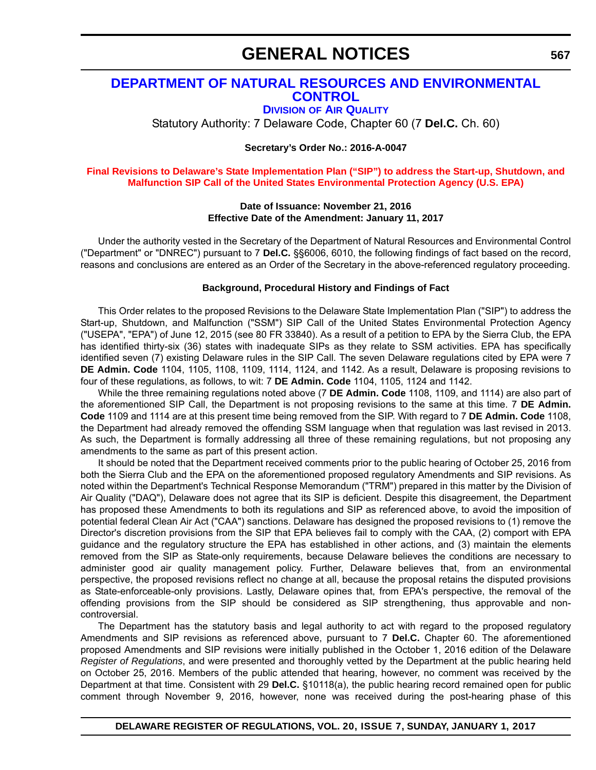## **[DEPARTMENT OF NATURAL RESOURCES AND ENVIRONMENTAL](http://www.dnrec.delaware.gov/air/Pages/Default.aspx)  CONTROL**

**DIVISION OF AIR QUALITY**

Statutory Authority: 7 Delaware Code, Chapter 60 (7 **Del.C.** Ch. 60)

**Secretary's Order No.: 2016-A-0047**

**[Final Revisions to Delaware's State Implementation Plan \("SIP"\) to address the Start-up, Shutdown, and](#page-4-0)  Malfunction SIP Call of the United States Environmental Protection Agency (U.S. EPA)**

#### **Date of Issuance: November 21, 2016 Effective Date of the Amendment: January 11, 2017**

Under the authority vested in the Secretary of the Department of Natural Resources and Environmental Control ("Department" or "DNREC") pursuant to 7 **Del.C.** §§6006, 6010, the following findings of fact based on the record, reasons and conclusions are entered as an Order of the Secretary in the above-referenced regulatory proceeding.

### **Background, Procedural History and Findings of Fact**

This Order relates to the proposed Revisions to the Delaware State Implementation Plan ("SIP") to address the Start-up, Shutdown, and Malfunction ("SSM") SIP Call of the United States Environmental Protection Agency ("USEPA", "EPA") of June 12, 2015 (see 80 FR 33840). As a result of a petition to EPA by the Sierra Club, the EPA has identified thirty-six (36) states with inadequate SIPs as they relate to SSM activities. EPA has specifically identified seven (7) existing Delaware rules in the SIP Call. The seven Delaware regulations cited by EPA were 7 **DE Admin. Code** 1104, 1105, 1108, 1109, 1114, 1124, and 1142. As a result, Delaware is proposing revisions to four of these regulations, as follows, to wit: 7 **DE Admin. Code** 1104, 1105, 1124 and 1142.

While the three remaining regulations noted above (7 **DE Admin. Code** 1108, 1109, and 1114) are also part of the aforementioned SIP Call, the Department is not proposing revisions to the same at this time. 7 **DE Admin. Code** 1109 and 1114 are at this present time being removed from the SIP. With regard to 7 **DE Admin. Code** 1108, the Department had already removed the offending SSM language when that regulation was last revised in 2013. As such, the Department is formally addressing all three of these remaining regulations, but not proposing any amendments to the same as part of this present action.

It should be noted that the Department received comments prior to the public hearing of October 25, 2016 from both the Sierra Club and the EPA on the aforementioned proposed regulatory Amendments and SIP revisions. As noted within the Department's Technical Response Memorandum ("TRM") prepared in this matter by the Division of Air Quality ("DAQ"), Delaware does not agree that its SIP is deficient. Despite this disagreement, the Department has proposed these Amendments to both its regulations and SIP as referenced above, to avoid the imposition of potential federal Clean Air Act ("CAA") sanctions. Delaware has designed the proposed revisions to (1) remove the Director's discretion provisions from the SIP that EPA believes fail to comply with the CAA, (2) comport with EPA guidance and the regulatory structure the EPA has established in other actions, and (3) maintain the elements removed from the SIP as State-only requirements, because Delaware believes the conditions are necessary to administer good air quality management policy. Further, Delaware believes that, from an environmental perspective, the proposed revisions reflect no change at all, because the proposal retains the disputed provisions as State-enforceable-only provisions. Lastly, Delaware opines that, from EPA's perspective, the removal of the offending provisions from the SIP should be considered as SIP strengthening, thus approvable and noncontroversial.

The Department has the statutory basis and legal authority to act with regard to the proposed regulatory Amendments and SIP revisions as referenced above, pursuant to 7 **Del.C.** Chapter 60. The aforementioned proposed Amendments and SIP revisions were initially published in the October 1, 2016 edition of the Delaware *Register of Regulations*, and were presented and thoroughly vetted by the Department at the public hearing held on October 25, 2016. Members of the public attended that hearing, however, no comment was received by the Department at that time. Consistent with 29 **Del.C.** §10118(a), the public hearing record remained open for public comment through November 9, 2016, however, none was received during the post-hearing phase of this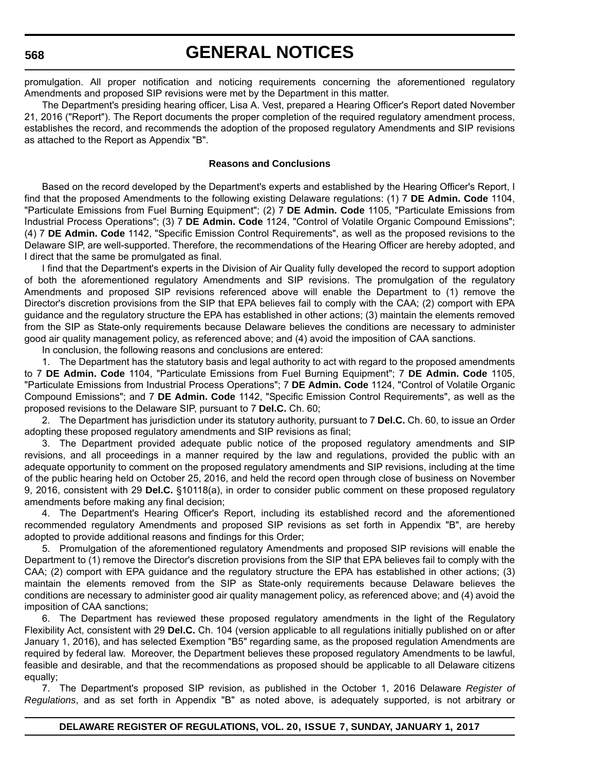#### **568**

## **GENERAL NOTICES**

promulgation. All proper notification and noticing requirements concerning the aforementioned regulatory Amendments and proposed SIP revisions were met by the Department in this matter.

The Department's presiding hearing officer, Lisa A. Vest, prepared a Hearing Officer's Report dated November 21, 2016 ("Report"). The Report documents the proper completion of the required regulatory amendment process, establishes the record, and recommends the adoption of the proposed regulatory Amendments and SIP revisions as attached to the Report as Appendix "B".

#### **Reasons and Conclusions**

Based on the record developed by the Department's experts and established by the Hearing Officer's Report, I find that the proposed Amendments to the following existing Delaware regulations: (1) 7 **DE Admin. Code** 1104, "Particulate Emissions from Fuel Burning Equipment"; (2) 7 **DE Admin. Code** 1105, "Particulate Emissions from Industrial Process Operations"; (3) 7 **DE Admin. Code** 1124, "Control of Volatile Organic Compound Emissions"; (4) 7 **DE Admin. Code** 1142, "Specific Emission Control Requirements", as well as the proposed revisions to the Delaware SIP, are well-supported. Therefore, the recommendations of the Hearing Officer are hereby adopted, and I direct that the same be promulgated as final.

I find that the Department's experts in the Division of Air Quality fully developed the record to support adoption of both the aforementioned regulatory Amendments and SIP revisions. The promulgation of the regulatory Amendments and proposed SIP revisions referenced above will enable the Department to (1) remove the Director's discretion provisions from the SIP that EPA believes fail to comply with the CAA; (2) comport with EPA guidance and the regulatory structure the EPA has established in other actions; (3) maintain the elements removed from the SIP as State-only requirements because Delaware believes the conditions are necessary to administer good air quality management policy, as referenced above; and (4) avoid the imposition of CAA sanctions.

In conclusion, the following reasons and conclusions are entered:

1. The Department has the statutory basis and legal authority to act with regard to the proposed amendments to 7 **DE Admin. Code** 1104, "Particulate Emissions from Fuel Burning Equipment"; 7 **DE Admin. Code** 1105, "Particulate Emissions from Industrial Process Operations"; 7 **DE Admin. Code** 1124, "Control of Volatile Organic Compound Emissions"; and 7 **DE Admin. Code** 1142, "Specific Emission Control Requirements", as well as the proposed revisions to the Delaware SIP, pursuant to 7 **Del.C.** Ch. 60;

2. The Department has jurisdiction under its statutory authority, pursuant to 7 **Del.C.** Ch. 60, to issue an Order adopting these proposed regulatory amendments and SIP revisions as final;

3. The Department provided adequate public notice of the proposed regulatory amendments and SIP revisions, and all proceedings in a manner required by the law and regulations, provided the public with an adequate opportunity to comment on the proposed regulatory amendments and SIP revisions, including at the time of the public hearing held on October 25, 2016, and held the record open through close of business on November 9, 2016, consistent with 29 **Del.C.** §10118(a), in order to consider public comment on these proposed regulatory amendments before making any final decision;

4. The Department's Hearing Officer's Report, including its established record and the aforementioned recommended regulatory Amendments and proposed SIP revisions as set forth in Appendix "B", are hereby adopted to provide additional reasons and findings for this Order;

5. Promulgation of the aforementioned regulatory Amendments and proposed SIP revisions will enable the Department to (1) remove the Director's discretion provisions from the SIP that EPA believes fail to comply with the CAA; (2) comport with EPA guidance and the regulatory structure the EPA has established in other actions; (3) maintain the elements removed from the SIP as State-only requirements because Delaware believes the conditions are necessary to administer good air quality management policy, as referenced above; and (4) avoid the imposition of CAA sanctions;

6. The Department has reviewed these proposed regulatory amendments in the light of the Regulatory Flexibility Act, consistent with 29 **Del.C.** Ch. 104 (version applicable to all regulations initially published on or after January 1, 2016), and has selected Exemption "B5" regarding same, as the proposed regulation Amendments are required by federal law. Moreover, the Department believes these proposed regulatory Amendments to be lawful, feasible and desirable, and that the recommendations as proposed should be applicable to all Delaware citizens equally;

7. The Department's proposed SIP revision, as published in the October 1, 2016 Delaware *Register of Regulations*, and as set forth in Appendix "B" as noted above, is adequately supported, is not arbitrary or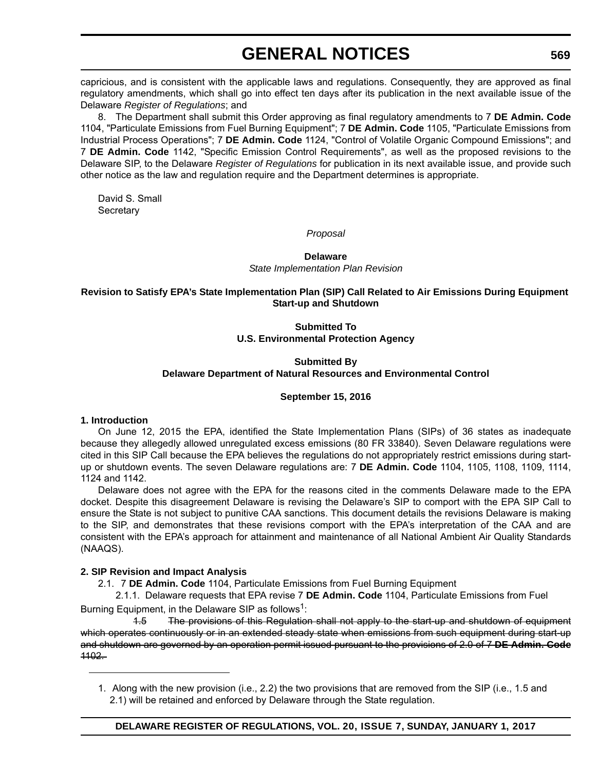capricious, and is consistent with the applicable laws and regulations. Consequently, they are approved as final regulatory amendments, which shall go into effect ten days after its publication in the next available issue of the Delaware *Register of Regulations*; and

8. The Department shall submit this Order approving as final regulatory amendments to 7 **DE Admin. Code** 1104, "Particulate Emissions from Fuel Burning Equipment"; 7 **DE Admin. Code** 1105, "Particulate Emissions from Industrial Process Operations"; 7 **DE Admin. Code** 1124, "Control of Volatile Organic Compound Emissions"; and 7 **DE Admin. Code** 1142, "Specific Emission Control Requirements", as well as the proposed revisions to the Delaware SIP, to the Delaware *Register of Regulations* for publication in its next available issue, and provide such other notice as the law and regulation require and the Department determines is appropriate.

David S. Small **Secretary** 

*Proposal*

### **Delaware** *State Implementation Plan Revision*

## **Revision to Satisfy EPA's State Implementation Plan (SIP) Call Related to Air Emissions During Equipment Start-up and Shutdown**

## **Submitted To U.S. Environmental Protection Agency**

## **Submitted By Delaware Department of Natural Resources and Environmental Control**

## **September 15, 2016**

## **1. Introduction**

On June 12, 2015 the EPA, identified the State Implementation Plans (SIPs) of 36 states as inadequate because they allegedly allowed unregulated excess emissions (80 FR 33840). Seven Delaware regulations were cited in this SIP Call because the EPA believes the regulations do not appropriately restrict emissions during startup or shutdown events. The seven Delaware regulations are: 7 **DE Admin. Code** 1104, 1105, 1108, 1109, 1114, 1124 and 1142.

Delaware does not agree with the EPA for the reasons cited in the comments Delaware made to the EPA docket. Despite this disagreement Delaware is revising the Delaware's SIP to comport with the EPA SIP Call to ensure the State is not subject to punitive CAA sanctions. This document details the revisions Delaware is making to the SIP, and demonstrates that these revisions comport with the EPA's interpretation of the CAA and are consistent with the EPA's approach for attainment and maintenance of all National Ambient Air Quality Standards (NAAQS).

## **2. SIP Revision and Impact Analysis**

2.1. 7 **DE Admin. Code** 1104, Particulate Emissions from Fuel Burning Equipment

2.1.1. Delaware requests that EPA revise 7 **DE Admin. Code** 1104, Particulate Emissions from Fuel Burning Equipment, in the Delaware SIP as follows<sup>1</sup>:

1.5 The provisions of this Regulation shall not apply to the start up and shutdown of equipment which operates continuously or in an extended steady state when emissions from such equipment during start-up and shutdown are governed by an operation permit issued pursuant to the provisions of 2.0 of 7 **DE Admin. Code** 1102.

1. Along with the new provision (i.e., 2.2) the two provisions that are removed from the SIP (i.e., 1.5 and 2.1) will be retained and enforced by Delaware through the State regulation.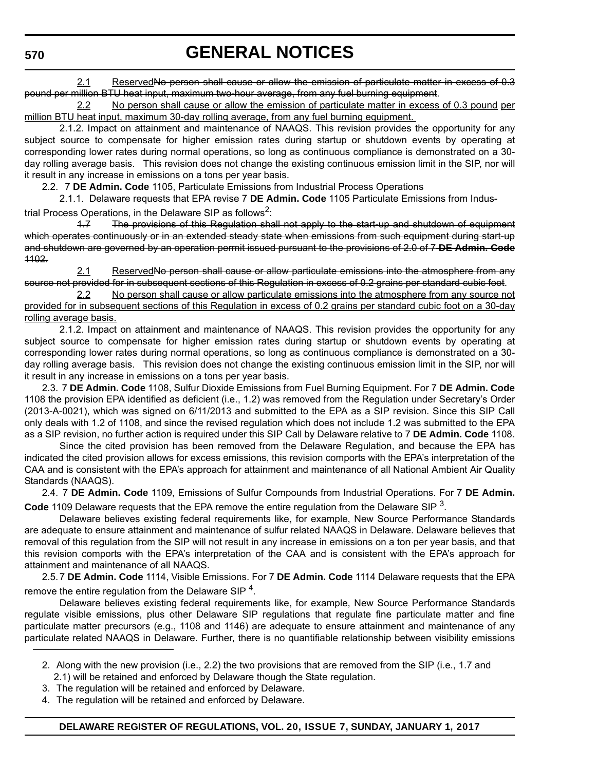2.1 ReservedNo person shall cause or allow the emission of particulate matter in excess of 0.3 pound per million BTU heat input, maximum two-hour average, from any fuel burning equipment.

2.2 No person shall cause or allow the emission of particulate matter in excess of 0.3 pound per million BTU heat input, maximum 30-day rolling average, from any fuel burning equipment.

2.1.2. Impact on attainment and maintenance of NAAQS. This revision provides the opportunity for any subject source to compensate for higher emission rates during startup or shutdown events by operating at corresponding lower rates during normal operations, so long as continuous compliance is demonstrated on a 30 day rolling average basis. This revision does not change the existing continuous emission limit in the SIP, nor will it result in any increase in emissions on a tons per year basis.

2.2. 7 **DE Admin. Code** 1105, Particulate Emissions from Industrial Process Operations

2.1.1. Delaware requests that EPA revise 7 **DE Admin. Code** 1105 Particulate Emissions from Industrial Process Operations, in the Delaware SIP as follows<sup>2</sup>:

1.7 The provisions of this Regulation shall not apply to the start up and shutdown of equipment which operates continuously or in an extended steady state when emissions from such equipment during start-up and shutdown are governed by an operation permit issued pursuant to the provisions of 2.0 of 7 **DE Admin. Code** 1102.

2.1 ReservedNo person shall cause or allow particulate emissions into the atmosphere from any source not provided for in subsequent sections of this Regulation in excess of 0.2 grains per standard cubic foot.

2.2 No person shall cause or allow particulate emissions into the atmosphere from any source not provided for in subsequent sections of this Regulation in excess of 0.2 grains per standard cubic foot on a 30-day rolling average basis.

2.1.2. Impact on attainment and maintenance of NAAQS. This revision provides the opportunity for any subject source to compensate for higher emission rates during startup or shutdown events by operating at corresponding lower rates during normal operations, so long as continuous compliance is demonstrated on a 30 day rolling average basis. This revision does not change the existing continuous emission limit in the SIP, nor will it result in any increase in emissions on a tons per year basis.

2.3. 7 **DE Admin. Code** 1108, Sulfur Dioxide Emissions from Fuel Burning Equipment. For 7 **DE Admin. Code** 1108 the provision EPA identified as deficient (i.e., 1.2) was removed from the Regulation under Secretary's Order (2013-A-0021), which was signed on 6/11/2013 and submitted to the EPA as a SIP revision. Since this SIP Call only deals with 1.2 of 1108, and since the revised regulation which does not include 1.2 was submitted to the EPA as a SIP revision, no further action is required under this SIP Call by Delaware relative to 7 **DE Admin. Code** 1108.

Since the cited provision has been removed from the Delaware Regulation, and because the EPA has indicated the cited provision allows for excess emissions, this revision comports with the EPA's interpretation of the CAA and is consistent with the EPA's approach for attainment and maintenance of all National Ambient Air Quality Standards (NAAQS).

2.4. 7 **DE Admin. Code** 1109, Emissions of Sulfur Compounds from Industrial Operations. For 7 **DE Admin. Code** 1109 Delaware requests that the EPA remove the entire regulation from the Delaware SIP 3.

Delaware believes existing federal requirements like, for example, New Source Performance Standards are adequate to ensure attainment and maintenance of sulfur related NAAQS in Delaware. Delaware believes that removal of this regulation from the SIP will not result in any increase in emissions on a ton per year basis, and that this revision comports with the EPA's interpretation of the CAA and is consistent with the EPA's approach for attainment and maintenance of all NAAQS.

2.5.7 **DE Admin. Code** 1114, Visible Emissions. For 7 **DE Admin. Code** 1114 Delaware requests that the EPA remove the entire regulation from the Delaware SIP<sup>4</sup>.

Delaware believes existing federal requirements like, for example, New Source Performance Standards regulate visible emissions, plus other Delaware SIP regulations that regulate fine particulate matter and fine particulate matter precursors (e.g., 1108 and 1146) are adequate to ensure attainment and maintenance of any particulate related NAAQS in Delaware. Further, there is no quantifiable relationship between visibility emissions

- 3. The regulation will be retained and enforced by Delaware.
- 4. The regulation will be retained and enforced by Delaware.

<sup>2.</sup> Along with the new provision (i.e., 2.2) the two provisions that are removed from the SIP (i.e., 1.7 and 2.1) will be retained and enforced by Delaware though the State regulation.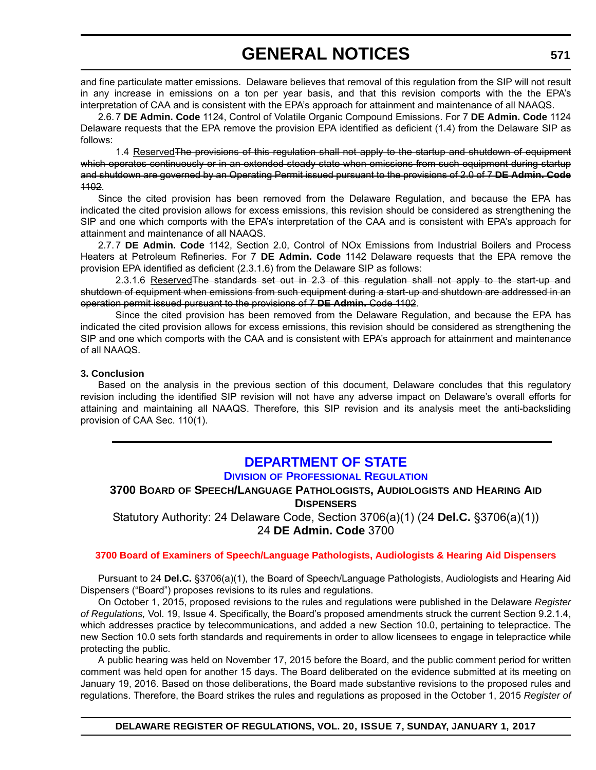and fine particulate matter emissions. Delaware believes that removal of this regulation from the SIP will not result in any increase in emissions on a ton per year basis, and that this revision comports with the the EPA's interpretation of CAA and is consistent with the EPA's approach for attainment and maintenance of all NAAQS.

2.6.7 **DE Admin. Code** 1124, Control of Volatile Organic Compound Emissions. For 7 **DE Admin. Code** 1124 Delaware requests that the EPA remove the provision EPA identified as deficient (1.4) from the Delaware SIP as follows:

1.4 Reserved The provisions of this regulation shall not apply to the startup and shutdown of equipment which operates continuously or in an extended steady state when emissions from such equipment during startup and shutdown are governed by an Operating Permit issued pursuant to the provisions of 2.0 of 7 **DE Admin. Code** 1102.

Since the cited provision has been removed from the Delaware Regulation, and because the EPA has indicated the cited provision allows for excess emissions, this revision should be considered as strengthening the SIP and one which comports with the EPA's interpretation of the CAA and is consistent with EPA's approach for attainment and maintenance of all NAAQS.

2.7.7 **DE Admin. Code** 1142, Section 2.0, Control of NOx Emissions from Industrial Boilers and Process Heaters at Petroleum Refineries. For 7 **DE Admin. Code** 1142 Delaware requests that the EPA remove the provision EPA identified as deficient (2.3.1.6) from the Delaware SIP as follows:

2.3.1.6 Reserved The standards set out in 2.3 of this regulation shall not apply to the start-up and shutdown of equipment when emissions from such equipment during a start-up and shutdown are addressed in an operation permit issued pursuant to the provisions of 7 **DE Admin.** Code 1102.

Since the cited provision has been removed from the Delaware Regulation, and because the EPA has indicated the cited provision allows for excess emissions, this revision should be considered as strengthening the SIP and one which comports with the CAA and is consistent with EPA's approach for attainment and maintenance of all NAAQS.

#### **3. Conclusion**

Based on the analysis in the previous section of this document, Delaware concludes that this regulatory revision including the identified SIP revision will not have any adverse impact on Delaware's overall efforts for attaining and maintaining all NAAQS. Therefore, this SIP revision and its analysis meet the anti-backsliding provision of CAA Sec. 110(1).

## **[DEPARTMENT OF STATE](http://dpr.delaware.gov/)**

## **DIVISION OF PROFESSIONAL REGULATION**

## **3700 BOARD OF SPEECH/LANGUAGE PATHOLOGISTS, AUDIOLOGISTS AND HEARING AID DISPENSERS**

Statutory Authority: 24 Delaware Code, Section 3706(a)(1) (24 **Del.C.** §3706(a)(1)) 24 **DE Admin. Code** 3700

#### **[3700 Board of Examiners of Speech/Language Pathologists, Audiologists & Hearing Aid Dispensers](#page-4-0)**

Pursuant to 24 **Del.C.** §3706(a)(1), the Board of Speech/Language Pathologists, Audiologists and Hearing Aid Dispensers ("Board") proposes revisions to its rules and regulations.

On October 1, 2015, proposed revisions to the rules and regulations were published in the Delaware *Register of Regulations,* Vol. 19, Issue 4. Specifically, the Board's proposed amendments struck the current Section 9.2.1.4, which addresses practice by telecommunications, and added a new Section 10.0, pertaining to telepractice. The new Section 10.0 sets forth standards and requirements in order to allow licensees to engage in telepractice while protecting the public.

A public hearing was held on November 17, 2015 before the Board, and the public comment period for written comment was held open for another 15 days. The Board deliberated on the evidence submitted at its meeting on January 19, 2016. Based on those deliberations, the Board made substantive revisions to the proposed rules and regulations. Therefore, the Board strikes the rules and regulations as proposed in the October 1, 2015 *Register of*

**DELAWARE REGISTER OF REGULATIONS, VOL. 20, ISSUE 7, SUNDAY, JANUARY 1, 2017**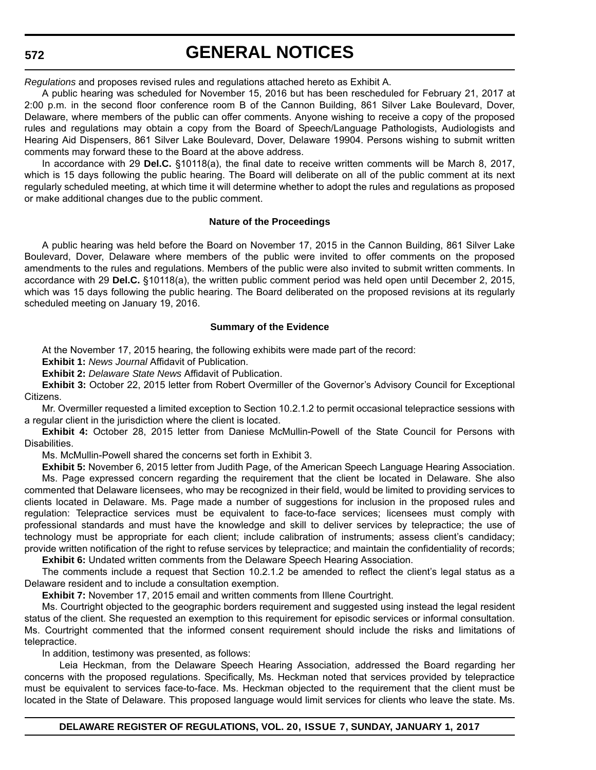**572**

**GENERAL NOTICES**

*Regulations* and proposes revised rules and regulations attached hereto as Exhibit A.

A public hearing was scheduled for November 15, 2016 but has been rescheduled for February 21, 2017 at 2:00 p.m. in the second floor conference room B of the Cannon Building, 861 Silver Lake Boulevard, Dover, Delaware, where members of the public can offer comments. Anyone wishing to receive a copy of the proposed rules and regulations may obtain a copy from the Board of Speech/Language Pathologists, Audiologists and Hearing Aid Dispensers, 861 Silver Lake Boulevard, Dover, Delaware 19904. Persons wishing to submit written comments may forward these to the Board at the above address.

In accordance with 29 **Del.C.** §10118(a), the final date to receive written comments will be March 8, 2017, which is 15 days following the public hearing. The Board will deliberate on all of the public comment at its next regularly scheduled meeting, at which time it will determine whether to adopt the rules and regulations as proposed or make additional changes due to the public comment.

#### **Nature of the Proceedings**

A public hearing was held before the Board on November 17, 2015 in the Cannon Building, 861 Silver Lake Boulevard, Dover, Delaware where members of the public were invited to offer comments on the proposed amendments to the rules and regulations. Members of the public were also invited to submit written comments. In accordance with 29 **Del.C.** §10118(a), the written public comment period was held open until December 2, 2015, which was 15 days following the public hearing. The Board deliberated on the proposed revisions at its regularly scheduled meeting on January 19, 2016.

#### **Summary of the Evidence**

At the November 17, 2015 hearing, the following exhibits were made part of the record:

**Exhibit 1:** *News Journal* Affidavit of Publication.

**Exhibit 2:** *Delaware State News* Affidavit of Publication.

**Exhibit 3:** October 22, 2015 letter from Robert Overmiller of the Governor's Advisory Council for Exceptional Citizens.

Mr. Overmiller requested a limited exception to Section 10.2.1.2 to permit occasional telepractice sessions with a regular client in the jurisdiction where the client is located.

**Exhibit 4:** October 28, 2015 letter from Daniese McMullin-Powell of the State Council for Persons with Disabilities.

Ms. McMullin-Powell shared the concerns set forth in Exhibit 3.

**Exhibit 5:** November 6, 2015 letter from Judith Page, of the American Speech Language Hearing Association. Ms. Page expressed concern regarding the requirement that the client be located in Delaware. She also commented that Delaware licensees, who may be recognized in their field, would be limited to providing services to clients located in Delaware. Ms. Page made a number of suggestions for inclusion in the proposed rules and regulation: Telepractice services must be equivalent to face-to-face services; licensees must comply with professional standards and must have the knowledge and skill to deliver services by telepractice; the use of technology must be appropriate for each client; include calibration of instruments; assess client's candidacy; provide written notification of the right to refuse services by telepractice; and maintain the confidentiality of records;

**Exhibit 6:** Undated written comments from the Delaware Speech Hearing Association.

The comments include a request that Section 10.2.1.2 be amended to reflect the client's legal status as a Delaware resident and to include a consultation exemption.

**Exhibit 7:** November 17, 2015 email and written comments from Illene Courtright.

Ms. Courtright objected to the geographic borders requirement and suggested using instead the legal resident status of the client. She requested an exemption to this requirement for episodic services or informal consultation. Ms. Courtright commented that the informed consent requirement should include the risks and limitations of telepractice.

In addition, testimony was presented, as follows:

Leia Heckman, from the Delaware Speech Hearing Association, addressed the Board regarding her concerns with the proposed regulations. Specifically, Ms. Heckman noted that services provided by telepractice must be equivalent to services face-to-face. Ms. Heckman objected to the requirement that the client must be located in the State of Delaware. This proposed language would limit services for clients who leave the state. Ms.

**DELAWARE REGISTER OF REGULATIONS, VOL. 20, ISSUE 7, SUNDAY, JANUARY 1, 2017**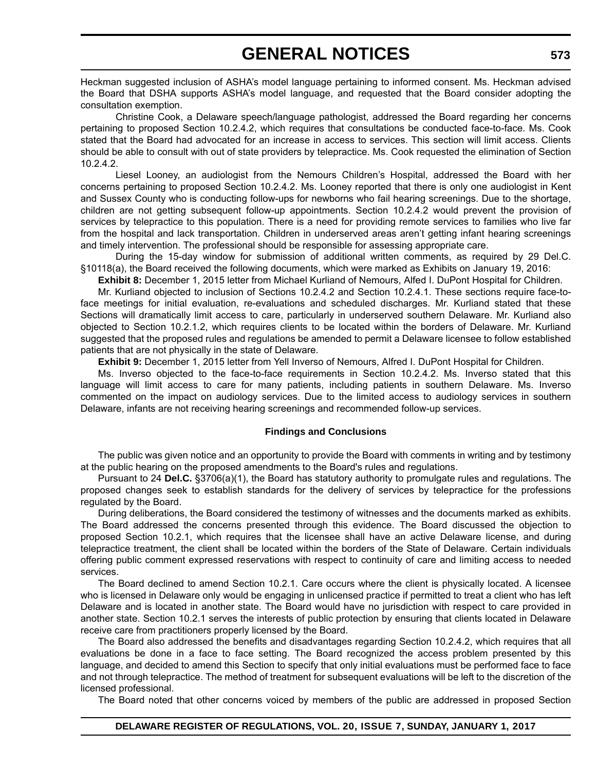Heckman suggested inclusion of ASHA's model language pertaining to informed consent. Ms. Heckman advised the Board that DSHA supports ASHA's model language, and requested that the Board consider adopting the consultation exemption.

Christine Cook, a Delaware speech/language pathologist, addressed the Board regarding her concerns pertaining to proposed Section 10.2.4.2, which requires that consultations be conducted face-to-face. Ms. Cook stated that the Board had advocated for an increase in access to services. This section will limit access. Clients should be able to consult with out of state providers by telepractice. Ms. Cook requested the elimination of Section 10.2.4.2.

Liesel Looney, an audiologist from the Nemours Children's Hospital, addressed the Board with her concerns pertaining to proposed Section 10.2.4.2. Ms. Looney reported that there is only one audiologist in Kent and Sussex County who is conducting follow-ups for newborns who fail hearing screenings. Due to the shortage, children are not getting subsequent follow-up appointments. Section 10.2.4.2 would prevent the provision of services by telepractice to this population. There is a need for providing remote services to families who live far from the hospital and lack transportation. Children in underserved areas aren't getting infant hearing screenings and timely intervention. The professional should be responsible for assessing appropriate care.

During the 15-day window for submission of additional written comments, as required by 29 Del.C. §10118(a), the Board received the following documents, which were marked as Exhibits on January 19, 2016:

**Exhibit 8:** December 1, 2015 letter from Michael Kurliand of Nemours, Alfed I. DuPont Hospital for Children.

Mr. Kurliand objected to inclusion of Sections 10.2.4.2 and Section 10.2.4.1. These sections require face-toface meetings for initial evaluation, re-evaluations and scheduled discharges. Mr. Kurliand stated that these Sections will dramatically limit access to care, particularly in underserved southern Delaware. Mr. Kurliand also objected to Section 10.2.1.2, which requires clients to be located within the borders of Delaware. Mr. Kurliand suggested that the proposed rules and regulations be amended to permit a Delaware licensee to follow established patients that are not physically in the state of Delaware.

**Exhibit 9:** December 1, 2015 letter from Yell Inverso of Nemours, Alfred I. DuPont Hospital for Children.

Ms. Inverso objected to the face-to-face requirements in Section 10.2.4.2. Ms. Inverso stated that this language will limit access to care for many patients, including patients in southern Delaware. Ms. Inverso commented on the impact on audiology services. Due to the limited access to audiology services in southern Delaware, infants are not receiving hearing screenings and recommended follow-up services.

#### **Findings and Conclusions**

The public was given notice and an opportunity to provide the Board with comments in writing and by testimony at the public hearing on the proposed amendments to the Board's rules and regulations.

Pursuant to 24 **Del.C.** §3706(a)(1), the Board has statutory authority to promulgate rules and regulations. The proposed changes seek to establish standards for the delivery of services by telepractice for the professions regulated by the Board.

During deliberations, the Board considered the testimony of witnesses and the documents marked as exhibits. The Board addressed the concerns presented through this evidence. The Board discussed the objection to proposed Section 10.2.1, which requires that the licensee shall have an active Delaware license, and during telepractice treatment, the client shall be located within the borders of the State of Delaware. Certain individuals offering public comment expressed reservations with respect to continuity of care and limiting access to needed services.

The Board declined to amend Section 10.2.1. Care occurs where the client is physically located. A licensee who is licensed in Delaware only would be engaging in unlicensed practice if permitted to treat a client who has left Delaware and is located in another state. The Board would have no jurisdiction with respect to care provided in another state. Section 10.2.1 serves the interests of public protection by ensuring that clients located in Delaware receive care from practitioners properly licensed by the Board.

The Board also addressed the benefits and disadvantages regarding Section 10.2.4.2, which requires that all evaluations be done in a face to face setting. The Board recognized the access problem presented by this language, and decided to amend this Section to specify that only initial evaluations must be performed face to face and not through telepractice. The method of treatment for subsequent evaluations will be left to the discretion of the licensed professional.

The Board noted that other concerns voiced by members of the public are addressed in proposed Section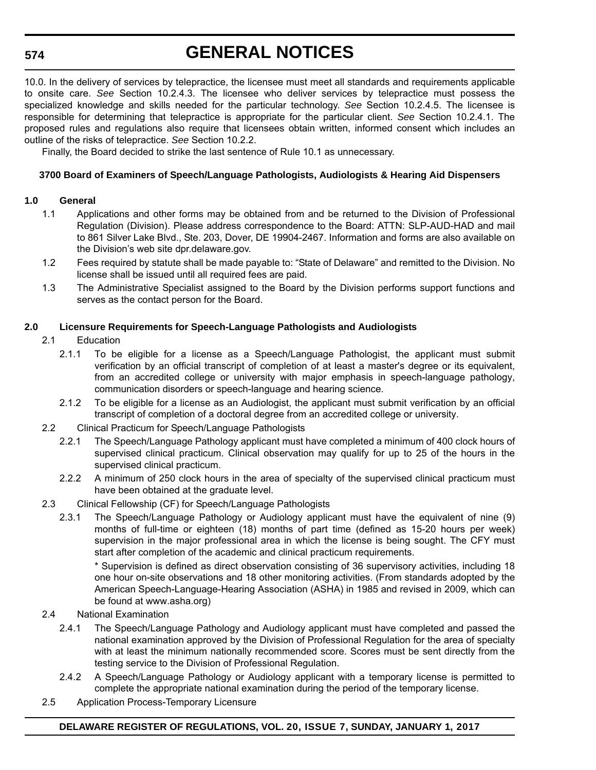## **574**

# **GENERAL NOTICES**

10.0. In the delivery of services by telepractice, the licensee must meet all standards and requirements applicable to onsite care. *See* Section 10.2.4.3. The licensee who deliver services by telepractice must possess the specialized knowledge and skills needed for the particular technology. *See* Section 10.2.4.5. The licensee is responsible for determining that telepractice is appropriate for the particular client. *See* Section 10.2.4.1. The proposed rules and regulations also require that licensees obtain written, informed consent which includes an outline of the risks of telepractice. *See* Section 10.2.2.

Finally, the Board decided to strike the last sentence of Rule 10.1 as unnecessary.

### **3700 Board of Examiners of Speech/Language Pathologists, Audiologists & Hearing Aid Dispensers**

#### **1.0 General**

- 1.1 Applications and other forms may be obtained from and be returned to the Division of Professional Regulation (Division). Please address correspondence to the Board: ATTN: SLP-AUD-HAD and mail to 861 Silver Lake Blvd., Ste. 203, Dover, DE 19904-2467. Information and forms are also available on the Division's web site dpr.delaware.gov.
- 1.2 Fees required by statute shall be made payable to: "State of Delaware" and remitted to the Division. No license shall be issued until all required fees are paid.
- 1.3 The Administrative Specialist assigned to the Board by the Division performs support functions and serves as the contact person for the Board.

#### **2.0 Licensure Requirements for Speech-Language Pathologists and Audiologists**

- 2.1 Education
	- 2.1.1 To be eligible for a license as a Speech/Language Pathologist, the applicant must submit verification by an official transcript of completion of at least a master's degree or its equivalent, from an accredited college or university with major emphasis in speech-language pathology, communication disorders or speech-language and hearing science.
	- 2.1.2 To be eligible for a license as an Audiologist, the applicant must submit verification by an official transcript of completion of a doctoral degree from an accredited college or university.
- 2.2 Clinical Practicum for Speech/Language Pathologists
	- 2.2.1 The Speech/Language Pathology applicant must have completed a minimum of 400 clock hours of supervised clinical practicum. Clinical observation may qualify for up to 25 of the hours in the supervised clinical practicum.
	- 2.2.2 A minimum of 250 clock hours in the area of specialty of the supervised clinical practicum must have been obtained at the graduate level.
- 2.3 Clinical Fellowship (CF) for Speech/Language Pathologists
	- 2.3.1 The Speech/Language Pathology or Audiology applicant must have the equivalent of nine (9) months of full-time or eighteen (18) months of part time (defined as 15-20 hours per week) supervision in the major professional area in which the license is being sought. The CFY must start after completion of the academic and clinical practicum requirements.

\* Supervision is defined as direct observation consisting of 36 supervisory activities, including 18 one hour on-site observations and 18 other monitoring activities. (From standards adopted by the American Speech-Language-Hearing Association (ASHA) in 1985 and revised in 2009, which can be found at www.asha.org)

- 2.4 National Examination
	- 2.4.1 The Speech/Language Pathology and Audiology applicant must have completed and passed the national examination approved by the Division of Professional Regulation for the area of specialty with at least the minimum nationally recommended score. Scores must be sent directly from the testing service to the Division of Professional Regulation.
	- 2.4.2 A Speech/Language Pathology or Audiology applicant with a temporary license is permitted to complete the appropriate national examination during the period of the temporary license.
- 2.5 Application Process-Temporary Licensure

### **DELAWARE REGISTER OF REGULATIONS, VOL. 20, ISSUE 7, SUNDAY, JANUARY 1, 2017**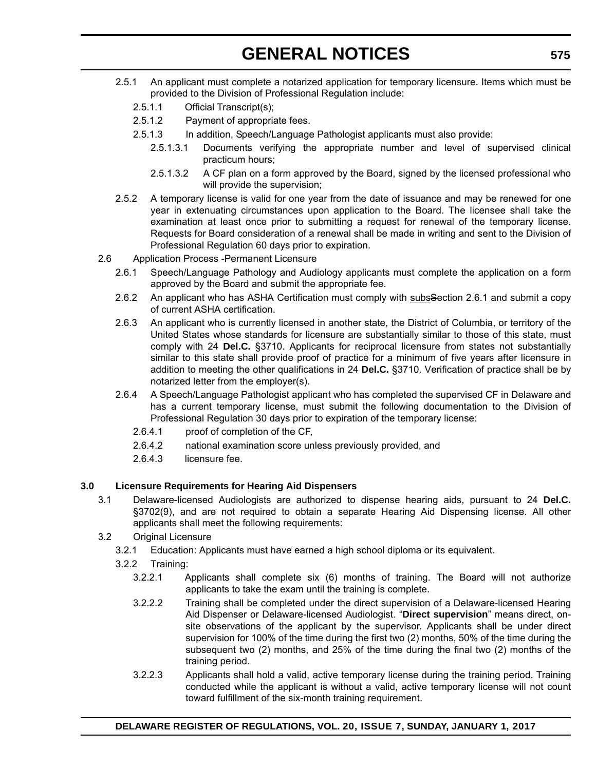- 2.5.1 An applicant must complete a notarized application for temporary licensure. Items which must be provided to the Division of Professional Regulation include:
	- 2.5.1.1 Official Transcript(s);
	- 2.5.1.2 Payment of appropriate fees.
	- 2.5.1.3 In addition, Speech/Language Pathologist applicants must also provide:
		- 2.5.1.3.1 Documents verifying the appropriate number and level of supervised clinical practicum hours;
		- 2.5.1.3.2 A CF plan on a form approved by the Board, signed by the licensed professional who will provide the supervision;
- 2.5.2 A temporary license is valid for one year from the date of issuance and may be renewed for one year in extenuating circumstances upon application to the Board. The licensee shall take the examination at least once prior to submitting a request for renewal of the temporary license. Requests for Board consideration of a renewal shall be made in writing and sent to the Division of Professional Regulation 60 days prior to expiration.
- 2.6 Application Process -Permanent Licensure
	- 2.6.1 Speech/Language Pathology and Audiology applicants must complete the application on a form approved by the Board and submit the appropriate fee.
	- 2.6.2 An applicant who has ASHA Certification must comply with subssection 2.6.1 and submit a copy of current ASHA certification.
	- 2.6.3 An applicant who is currently licensed in another state, the District of Columbia, or territory of the United States whose standards for licensure are substantially similar to those of this state, must comply with 24 **Del.C.** §3710. Applicants for reciprocal licensure from states not substantially similar to this state shall provide proof of practice for a minimum of five years after licensure in addition to meeting the other qualifications in 24 **Del.C.** §3710. Verification of practice shall be by notarized letter from the employer(s).
	- 2.6.4 A Speech/Language Pathologist applicant who has completed the supervised CF in Delaware and has a current temporary license, must submit the following documentation to the Division of Professional Regulation 30 days prior to expiration of the temporary license:
		- 2.6.4.1 proof of completion of the CF,
		- 2.6.4.2 national examination score unless previously provided, and
		- 2.6.4.3 licensure fee.

#### **3.0 Licensure Requirements for Hearing Aid Dispensers**

- 3.1 Delaware-licensed Audiologists are authorized to dispense hearing aids, pursuant to 24 **Del.C.** §3702(9), and are not required to obtain a separate Hearing Aid Dispensing license. All other applicants shall meet the following requirements:
- 3.2 Original Licensure
	- 3.2.1 Education: Applicants must have earned a high school diploma or its equivalent.
	- 3.2.2 Training:
		- 3.2.2.1 Applicants shall complete six (6) months of training. The Board will not authorize applicants to take the exam until the training is complete.
		- 3.2.2.2 Training shall be completed under the direct supervision of a Delaware-licensed Hearing Aid Dispenser or Delaware-licensed Audiologist. "**Direct supervision**" means direct, onsite observations of the applicant by the supervisor. Applicants shall be under direct supervision for 100% of the time during the first two (2) months, 50% of the time during the subsequent two (2) months, and 25% of the time during the final two (2) months of the training period.
		- 3.2.2.3 Applicants shall hold a valid, active temporary license during the training period. Training conducted while the applicant is without a valid, active temporary license will not count toward fulfillment of the six-month training requirement.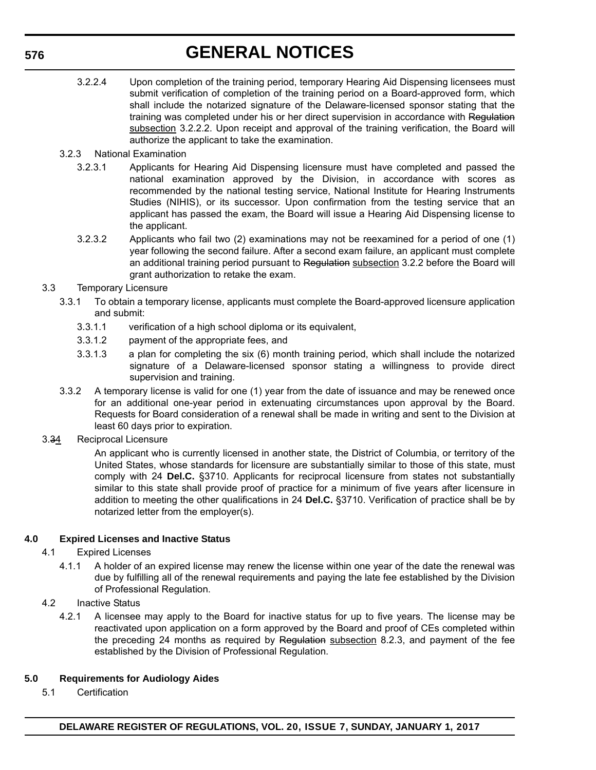- 3.2.2.4 Upon completion of the training period, temporary Hearing Aid Dispensing licensees must submit verification of completion of the training period on a Board-approved form, which shall include the notarized signature of the Delaware-licensed sponsor stating that the training was completed under his or her direct supervision in accordance with Regulation subsection 3.2.2.2. Upon receipt and approval of the training verification, the Board will authorize the applicant to take the examination.
- 3.2.3 National Examination
	- 3.2.3.1 Applicants for Hearing Aid Dispensing licensure must have completed and passed the national examination approved by the Division, in accordance with scores as recommended by the national testing service, National Institute for Hearing Instruments Studies (NIHIS), or its successor. Upon confirmation from the testing service that an applicant has passed the exam, the Board will issue a Hearing Aid Dispensing license to the applicant.
	- 3.2.3.2 Applicants who fail two (2) examinations may not be reexamined for a period of one (1) year following the second failure. After a second exam failure, an applicant must complete an additional training period pursuant to Regulation subsection 3.2.2 before the Board will grant authorization to retake the exam.
- 3.3 Temporary Licensure
	- 3.3.1 To obtain a temporary license, applicants must complete the Board-approved licensure application and submit:
		- 3.3.1.1 verification of a high school diploma or its equivalent,
		- 3.3.1.2 payment of the appropriate fees, and
		- 3.3.1.3 a plan for completing the six (6) month training period, which shall include the notarized signature of a Delaware-licensed sponsor stating a willingness to provide direct supervision and training.
	- 3.3.2 A temporary license is valid for one (1) year from the date of issuance and may be renewed once for an additional one-year period in extenuating circumstances upon approval by the Board. Requests for Board consideration of a renewal shall be made in writing and sent to the Division at least 60 days prior to expiration.
- 3.34 Reciprocal Licensure

An applicant who is currently licensed in another state, the District of Columbia, or territory of the United States, whose standards for licensure are substantially similar to those of this state, must comply with 24 **Del.C.** §3710. Applicants for reciprocal licensure from states not substantially similar to this state shall provide proof of practice for a minimum of five years after licensure in addition to meeting the other qualifications in 24 **Del.C.** §3710. Verification of practice shall be by notarized letter from the employer(s).

### **4.0 Expired Licenses and Inactive Status**

- 4.1 Expired Licenses
	- 4.1.1 A holder of an expired license may renew the license within one year of the date the renewal was due by fulfilling all of the renewal requirements and paying the late fee established by the Division of Professional Regulation.
- 4.2 Inactive Status
	- 4.2.1 A licensee may apply to the Board for inactive status for up to five years. The license may be reactivated upon application on a form approved by the Board and proof of CEs completed within the preceding 24 months as required by Regulation subsection 8.2.3, and payment of the fee established by the Division of Professional Regulation.

### **5.0 Requirements for Audiology Aides**

5.1 Certification

**DELAWARE REGISTER OF REGULATIONS, VOL. 20, ISSUE 7, SUNDAY, JANUARY 1, 2017**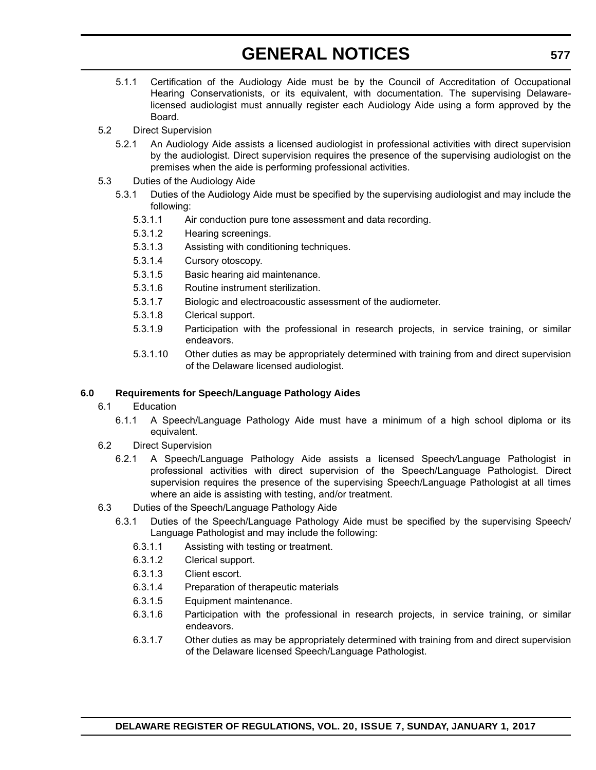- 5.1.1 Certification of the Audiology Aide must be by the Council of Accreditation of Occupational Hearing Conservationists, or its equivalent, with documentation. The supervising Delawarelicensed audiologist must annually register each Audiology Aide using a form approved by the Board.
- 5.2 Direct Supervision
	- 5.2.1 An Audiology Aide assists a licensed audiologist in professional activities with direct supervision by the audiologist. Direct supervision requires the presence of the supervising audiologist on the premises when the aide is performing professional activities.
- 5.3 Duties of the Audiology Aide
	- 5.3.1 Duties of the Audiology Aide must be specified by the supervising audiologist and may include the following:
		- 5.3.1.1 Air conduction pure tone assessment and data recording.
		- 5.3.1.2 Hearing screenings.
		- 5.3.1.3 Assisting with conditioning techniques.
		- 5.3.1.4 Cursory otoscopy.
		- 5.3.1.5 Basic hearing aid maintenance.
		- 5.3.1.6 Routine instrument sterilization.
		- 5.3.1.7 Biologic and electroacoustic assessment of the audiometer.
		- 5.3.1.8 Clerical support.
		- 5.3.1.9 Participation with the professional in research projects, in service training, or similar endeavors.
		- 5.3.1.10 Other duties as may be appropriately determined with training from and direct supervision of the Delaware licensed audiologist.

#### **6.0 Requirements for Speech/Language Pathology Aides**

- 6.1 Education
	- 6.1.1 A Speech/Language Pathology Aide must have a minimum of a high school diploma or its equivalent.
- 6.2 Direct Supervision
	- 6.2.1 A Speech/Language Pathology Aide assists a licensed Speech*/*Language Pathologist in professional activities with direct supervision of the Speech/Language Pathologist. Direct supervision requires the presence of the supervising Speech/Language Pathologist at all times where an aide is assisting with testing, and/or treatment.
- 6.3 Duties of the Speech/Language Pathology Aide
	- 6.3.1 Duties of the Speech/Language Pathology Aide must be specified by the supervising Speech/ Language Pathologist and may include the following:
		- 6.3.1.1 Assisting with testing or treatment.
		- 6.3.1.2 Clerical support.
		- 6.3.1.3 Client escort.
		- 6.3.1.4 Preparation of therapeutic materials
		- 6.3.1.5 Equipment maintenance.
		- 6.3.1.6 Participation with the professional in research projects, in service training, or similar endeavors.
		- 6.3.1.7 Other duties as may be appropriately determined with training from and direct supervision of the Delaware licensed Speech/Language Pathologist.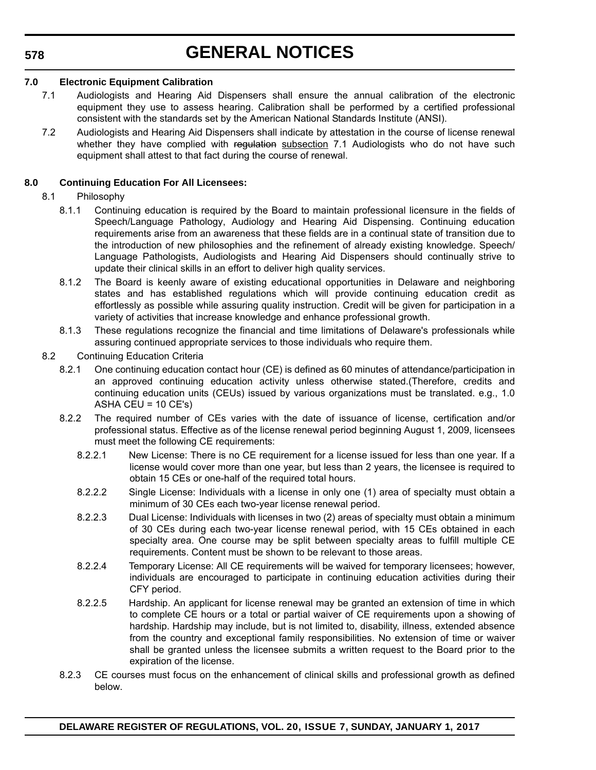### **578**

# **GENERAL NOTICES**

#### **7.0 Electronic Equipment Calibration**

- 7.1 Audiologists and Hearing Aid Dispensers shall ensure the annual calibration of the electronic equipment they use to assess hearing. Calibration shall be performed by a certified professional consistent with the standards set by the American National Standards Institute (ANSI).
- 7.2 Audiologists and Hearing Aid Dispensers shall indicate by attestation in the course of license renewal whether they have complied with regulation subsection 7.1 Audiologists who do not have such equipment shall attest to that fact during the course of renewal.

### **8.0 Continuing Education For All Licensees:**

#### 8.1 Philosophy

- 8.1.1 Continuing education is required by the Board to maintain professional licensure in the fields of Speech/Language Pathology, Audiology and Hearing Aid Dispensing. Continuing education requirements arise from an awareness that these fields are in a continual state of transition due to the introduction of new philosophies and the refinement of already existing knowledge. Speech/ Language Pathologists, Audiologists and Hearing Aid Dispensers should continually strive to update their clinical skills in an effort to deliver high quality services.
- 8.1.2 The Board is keenly aware of existing educational opportunities in Delaware and neighboring states and has established regulations which will provide continuing education credit as effortlessly as possible while assuring quality instruction. Credit will be given for participation in a variety of activities that increase knowledge and enhance professional growth.
- 8.1.3 These regulations recognize the financial and time limitations of Delaware's professionals while assuring continued appropriate services to those individuals who require them.

#### 8.2 Continuing Education Criteria

- 8.2.1 One continuing education contact hour (CE) is defined as 60 minutes of attendance/participation in an approved continuing education activity unless otherwise stated.(Therefore, credits and continuing education units (CEUs) issued by various organizations must be translated. e.g., 1.0 ASHA CEU =  $10$  CE's)
- 8.2.2 The required number of CEs varies with the date of issuance of license, certification and/or professional status. Effective as of the license renewal period beginning August 1, 2009, licensees must meet the following CE requirements:
	- 8.2.2.1 New License: There is no CE requirement for a license issued for less than one year. If a license would cover more than one year, but less than 2 years, the licensee is required to obtain 15 CEs or one-half of the required total hours.
	- 8.2.2.2 Single License: Individuals with a license in only one (1) area of specialty must obtain a minimum of 30 CEs each two-year license renewal period.
	- 8.2.2.3 Dual License: Individuals with licenses in two (2) areas of specialty must obtain a minimum of 30 CEs during each two-year license renewal period, with 15 CEs obtained in each specialty area. One course may be split between specialty areas to fulfill multiple CE requirements. Content must be shown to be relevant to those areas.
	- 8.2.2.4 Temporary License: All CE requirements will be waived for temporary licensees; however, individuals are encouraged to participate in continuing education activities during their CFY period.
	- 8.2.2.5 Hardship. An applicant for license renewal may be granted an extension of time in which to complete CE hours or a total or partial waiver of CE requirements upon a showing of hardship. Hardship may include, but is not limited to, disability, illness, extended absence from the country and exceptional family responsibilities. No extension of time or waiver shall be granted unless the licensee submits a written request to the Board prior to the expiration of the license.
- 8.2.3 CE courses must focus on the enhancement of clinical skills and professional growth as defined below.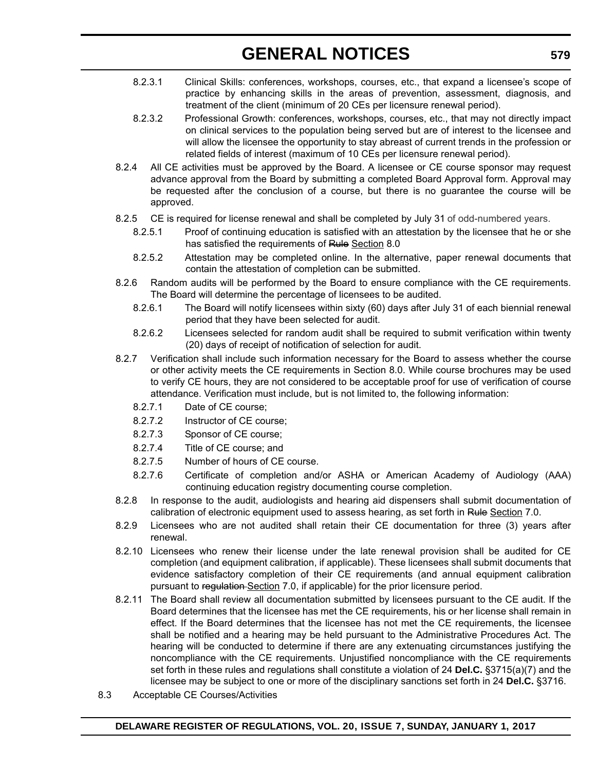- 8.2.3.1 Clinical Skills: conferences, workshops, courses, etc., that expand a licensee's scope of practice by enhancing skills in the areas of prevention, assessment, diagnosis, and treatment of the client (minimum of 20 CEs per licensure renewal period).
- 8.2.3.2 Professional Growth: conferences, workshops, courses, etc., that may not directly impact on clinical services to the population being served but are of interest to the licensee and will allow the licensee the opportunity to stay abreast of current trends in the profession or related fields of interest (maximum of 10 CEs per licensure renewal period).
- 8.2.4 All CE activities must be approved by the Board. A licensee or CE course sponsor may request advance approval from the Board by submitting a completed Board Approval form. Approval may be requested after the conclusion of a course, but there is no guarantee the course will be approved.
- 8.2.5 CE is required for license renewal and shall be completed by July 31 of odd-numbered years.
	- 8.2.5.1 Proof of continuing education is satisfied with an attestation by the licensee that he or she has satisfied the requirements of Rule Section 8.0
	- 8.2.5.2 Attestation may be completed online. In the alternative, paper renewal documents that contain the attestation of completion can be submitted.
- 8.2.6 Random audits will be performed by the Board to ensure compliance with the CE requirements. The Board will determine the percentage of licensees to be audited.
	- 8.2.6.1 The Board will notify licensees within sixty (60) days after July 31 of each biennial renewal period that they have been selected for audit.
	- 8.2.6.2 Licensees selected for random audit shall be required to submit verification within twenty (20) days of receipt of notification of selection for audit.
- 8.2.7 Verification shall include such information necessary for the Board to assess whether the course or other activity meets the CE requirements in Section 8.0. While course brochures may be used to verify CE hours, they are not considered to be acceptable proof for use of verification of course attendance. Verification must include, but is not limited to, the following information:
	- 8.2.7.1 Date of CE course;
	- 8.2.7.2 Instructor of CE course;
	- 8.2.7.3 Sponsor of CE course;
	- 8.2.7.4 Title of CE course; and
	- 8.2.7.5 Number of hours of CE course.
	- 8.2.7.6 Certificate of completion and/or ASHA or American Academy of Audiology (AAA) continuing education registry documenting course completion.
- 8.2.8 In response to the audit, audiologists and hearing aid dispensers shall submit documentation of calibration of electronic equipment used to assess hearing, as set forth in Rule Section 7.0.
- 8.2.9 Licensees who are not audited shall retain their CE documentation for three (3) years after renewal.
- 8.2.10 Licensees who renew their license under the late renewal provision shall be audited for CE completion (and equipment calibration, if applicable). These licensees shall submit documents that evidence satisfactory completion of their CE requirements (and annual equipment calibration pursuant to regulation-Section 7.0, if applicable) for the prior licensure period.
- 8.2.11 The Board shall review all documentation submitted by licensees pursuant to the CE audit. If the Board determines that the licensee has met the CE requirements, his or her license shall remain in effect. If the Board determines that the licensee has not met the CE requirements, the licensee shall be notified and a hearing may be held pursuant to the Administrative Procedures Act. The hearing will be conducted to determine if there are any extenuating circumstances justifying the noncompliance with the CE requirements. Unjustified noncompliance with the CE requirements set forth in these rules and regulations shall constitute a violation of 24 **Del.C.** §3715(a)(7) and the licensee may be subject to one or more of the disciplinary sanctions set forth in 24 **Del.C.** §3716.
- 8.3 Acceptable CE Courses/Activities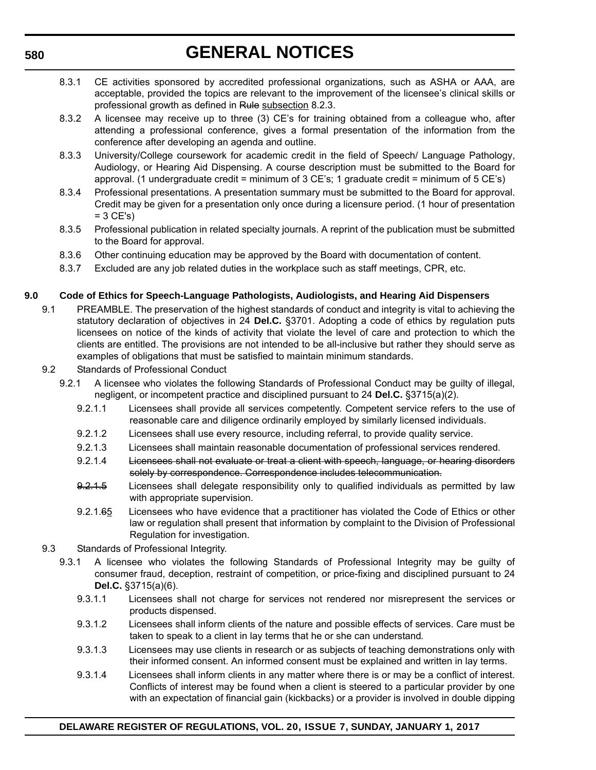- 8.3.1 CE activities sponsored by accredited professional organizations, such as ASHA or AAA, are acceptable, provided the topics are relevant to the improvement of the licensee's clinical skills or professional growth as defined in Rule subsection 8.2.3.
- 8.3.2 A licensee may receive up to three (3) CE's for training obtained from a colleague who, after attending a professional conference, gives a formal presentation of the information from the conference after developing an agenda and outline.
- 8.3.3 University/College coursework for academic credit in the field of Speech/ Language Pathology, Audiology, or Hearing Aid Dispensing. A course description must be submitted to the Board for approval. (1 undergraduate credit = minimum of 3 CE's; 1 graduate credit = minimum of 5 CE's)
- 8.3.4 Professional presentations. A presentation summary must be submitted to the Board for approval. Credit may be given for a presentation only once during a licensure period. (1 hour of presentation  $= 3$  CE's)
- 8.3.5 Professional publication in related specialty journals. A reprint of the publication must be submitted to the Board for approval.
- 8.3.6 Other continuing education may be approved by the Board with documentation of content.
- 8.3.7 Excluded are any job related duties in the workplace such as staff meetings, CPR, etc.

# **9.0 Code of Ethics for Speech-Language Pathologists, Audiologists, and Hearing Aid Dispensers**

- 9.1 PREAMBLE. The preservation of the highest standards of conduct and integrity is vital to achieving the statutory declaration of objectives in 24 **Del.C.** §3701. Adopting a code of ethics by regulation puts licensees on notice of the kinds of activity that violate the level of care and protection to which the clients are entitled. The provisions are not intended to be all-inclusive but rather they should serve as examples of obligations that must be satisfied to maintain minimum standards.
- 9.2 Standards of Professional Conduct
	- 9.2.1 A licensee who violates the following Standards of Professional Conduct may be guilty of illegal, negligent, or incompetent practice and disciplined pursuant to 24 **Del.C.** §3715(a)(2).
		- 9.2.1.1 Licensees shall provide all services competently. Competent service refers to the use of reasonable care and diligence ordinarily employed by similarly licensed individuals.
		- 9.2.1.2 Licensees shall use every resource, including referral, to provide quality service.
		- 9.2.1.3 Licensees shall maintain reasonable documentation of professional services rendered.
		- 9.2.1.4 Licensees shall not evaluate or treat a client with speech, language, or hearing disorders solely by correspondence. Correspondence includes telecommunication.
		- 9.2.1.5 Licensees shall delegate responsibility only to qualified individuals as permitted by law with appropriate supervision.
		- 9.2.1.65 Licensees who have evidence that a practitioner has violated the Code of Ethics or other law or regulation shall present that information by complaint to the Division of Professional Regulation for investigation.
- 9.3 Standards of Professional Integrity.
	- 9.3.1 A licensee who violates the following Standards of Professional Integrity may be guilty of consumer fraud, deception, restraint of competition, or price-fixing and disciplined pursuant to 24 **Del.C.** §3715(a)(6).
		- 9.3.1.1 Licensees shall not charge for services not rendered nor misrepresent the services or products dispensed.
		- 9.3.1.2 Licensees shall inform clients of the nature and possible effects of services. Care must be taken to speak to a client in lay terms that he or she can understand*.*
		- 9.3.1.3 Licensees may use clients in research or as subjects of teaching demonstrations only with their informed consent. An informed consent must be explained and written in lay terms.
		- 9.3.1.4 Licensees shall inform clients in any matter where there is or may be a conflict of interest. Conflicts of interest may be found when a client is steered to a particular provider by one with an expectation of financial gain (kickbacks) or a provider is involved in double dipping

### **DELAWARE REGISTER OF REGULATIONS, VOL. 20, ISSUE 7, SUNDAY, JANUARY 1, 2017**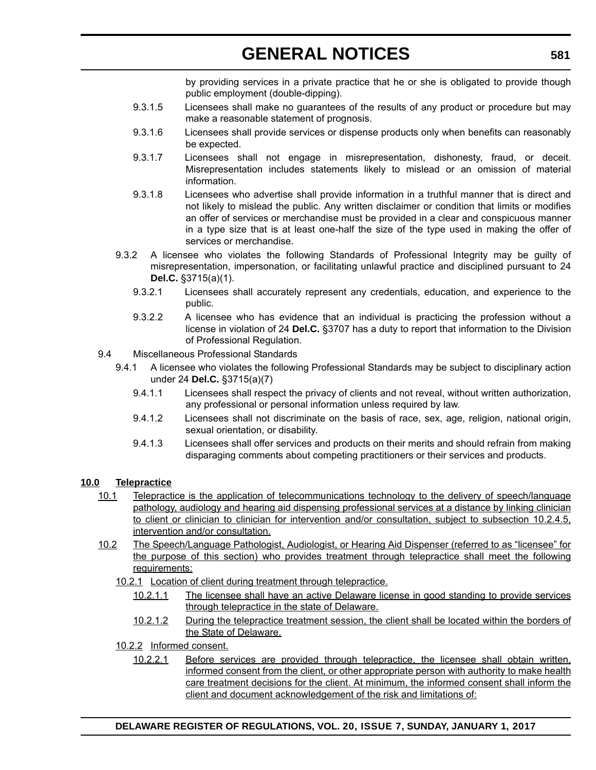by providing services in a private practice that he or she is obligated to provide though public employment (double-dipping).

- 9.3.1.5 Licensees shall make no guarantees of the results of any product or procedure but may make a reasonable statement of prognosis.
- 9.3.1.6 Licensees shall provide services or dispense products only when benefits can reasonably be expected.
- 9.3.1.7 Licensees shall not engage in misrepresentation, dishonesty, fraud, or deceit. Misrepresentation includes statements likely to mislead or an omission of material information.
- 9.3.1.8 Licensees who advertise shall provide information in a truthful manner that is direct and not likely to mislead the public. Any written disclaimer or condition that limits or modifies an offer of services or merchandise must be provided in a clear and conspicuous manner in a type size that is at least one-half the size of the type used in making the offer of services or merchandise.
- 9.3.2 A licensee who violates the following Standards of Professional Integrity may be guilty of misrepresentation, impersonation, or facilitating unlawful practice and disciplined pursuant to 24 **Del.C.** §3715(a)(1).
	- 9.3.2.1 Licensees shall accurately represent any credentials, education, and experience to the public.
	- 9.3.2.2 A licensee who has evidence that an individual is practicing the profession without a license in violation of 24 **Del.C.** §3707 has a duty to report that information to the Division of Professional Regulation.
- 9.4 Miscellaneous Professional Standards
	- 9.4.1 A licensee who violates the following Professional Standards may be subject to disciplinary action under 24 **Del.C.** §3715(a)(7)
		- 9.4.1.1 Licensees shall respect the privacy of clients and not reveal, without written authorization, any professional or personal information unless required by law.
		- 9.4.1.2 Licensees shall not discriminate on the basis of race, sex, age, religion, national origin, sexual orientation, or disability.
		- 9.4.1.3 Licensees shall offer services and products on their merits and should refrain from making disparaging comments about competing practitioners or their services and products.

#### **10.0 Telepractice**

- 10.1 Telepractice is the application of telecommunications technology to the delivery of speech/language pathology, audiology and hearing aid dispensing professional services at a distance by linking clinician to client or clinician to clinician for intervention and/or consultation, subject to subsection 10.2.4.5, intervention and/or consultation.
- 10.2 The Speech/Language Pathologist, Audiologist, or Hearing Aid Dispenser (referred to as "licensee" for the purpose of this section) who provides treatment through telepractice shall meet the following requirements:
	- 10.2.1 Location of client during treatment through telepractice.
		- 10.2.1.1 The licensee shall have an active Delaware license in good standing to provide services through telepractice in the state of Delaware.
		- 10.2.1.2 During the telepractice treatment session, the client shall be located within the borders of the State of Delaware.
	- 10.2.2 Informed consent.
		- 10.2.2.1 Before services are provided through telepractice, the licensee shall obtain written, informed consent from the client, or other appropriate person with authority to make health care treatment decisions for the client. At minimum, the informed consent shall inform the client and document acknowledgement of the risk and limitations of: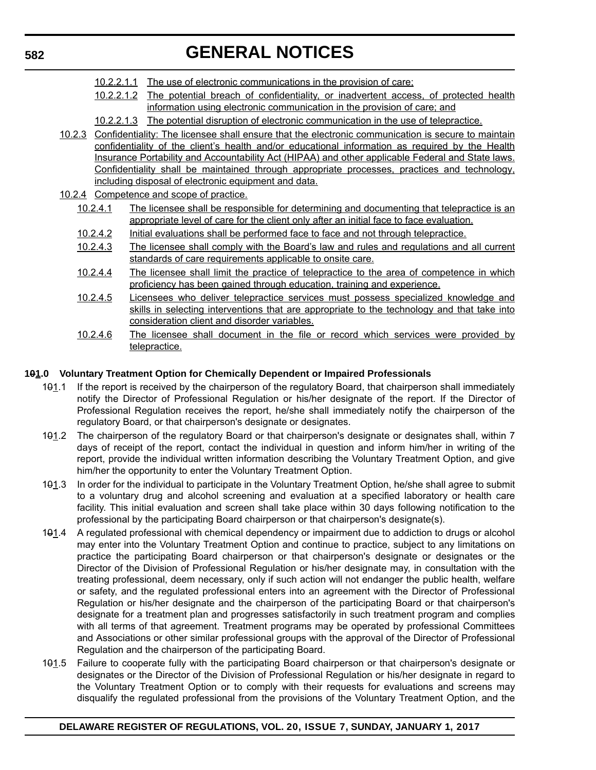- 10.2.2.1.1 The use of electronic communications in the provision of care;
- 10.2.2.1.2 The potential breach of confidentiality, or inadvertent access, of protected health information using electronic communication in the provision of care; and
- 10.2.2.1.3 The potential disruption of electronic communication in the use of telepractice.
- 10.2.3 Confidentiality: The licensee shall ensure that the electronic communication is secure to maintain confidentiality of the client's health and/or educational information as required by the Health Insurance Portability and Accountability Act (HIPAA) and other applicable Federal and State laws. Confidentiality shall be maintained through appropriate processes, practices and technology, including disposal of electronic equipment and data.
- 10.2.4 Competence and scope of practice.
	- 10.2.4.1 The licensee shall be responsible for determining and documenting that telepractice is an appropriate level of care for the client only after an initial face to face evaluation.
	- 10.2.4.2 Initial evaluations shall be performed face to face and not through telepractice.
	- 10.2.4.3 The licensee shall comply with the Board's law and rules and regulations and all current standards of care requirements applicable to onsite care.
	- 10.2.4.4 The licensee shall limit the practice of telepractice to the area of competence in which proficiency has been gained through education, training and experience.
	- 10.2.4.5 Licensees who deliver telepractice services must possess specialized knowledge and skills in selecting interventions that are appropriate to the technology and that take into consideration client and disorder variables.
	- 10.2.4.6 The licensee shall document in the file or record which services were provided by telepractice.

#### **101.0 Voluntary Treatment Option for Chemically Dependent or Impaired Professionals**

- 101.1 If the report is received by the chairperson of the regulatory Board, that chairperson shall immediately notify the Director of Professional Regulation or his/her designate of the report. If the Director of Professional Regulation receives the report, he/she shall immediately notify the chairperson of the regulatory Board, or that chairperson's designate or designates.
- 101.2 The chairperson of the regulatory Board or that chairperson's designate or designates shall, within 7 days of receipt of the report, contact the individual in question and inform him/her in writing of the report, provide the individual written information describing the Voluntary Treatment Option, and give him/her the opportunity to enter the Voluntary Treatment Option.
- 101.3 In order for the individual to participate in the Voluntary Treatment Option, he/she shall agree to submit to a voluntary drug and alcohol screening and evaluation at a specified laboratory or health care facility. This initial evaluation and screen shall take place within 30 days following notification to the professional by the participating Board chairperson or that chairperson's designate(s).
- 101.4 A regulated professional with chemical dependency or impairment due to addiction to drugs or alcohol may enter into the Voluntary Treatment Option and continue to practice, subject to any limitations on practice the participating Board chairperson or that chairperson's designate or designates or the Director of the Division of Professional Regulation or his/her designate may, in consultation with the treating professional, deem necessary, only if such action will not endanger the public health, welfare or safety, and the regulated professional enters into an agreement with the Director of Professional Regulation or his/her designate and the chairperson of the participating Board or that chairperson's designate for a treatment plan and progresses satisfactorily in such treatment program and complies with all terms of that agreement. Treatment programs may be operated by professional Committees and Associations or other similar professional groups with the approval of the Director of Professional Regulation and the chairperson of the participating Board.
- 101.5 Failure to cooperate fully with the participating Board chairperson or that chairperson's designate or designates or the Director of the Division of Professional Regulation or his/her designate in regard to the Voluntary Treatment Option or to comply with their requests for evaluations and screens may disqualify the regulated professional from the provisions of the Voluntary Treatment Option, and the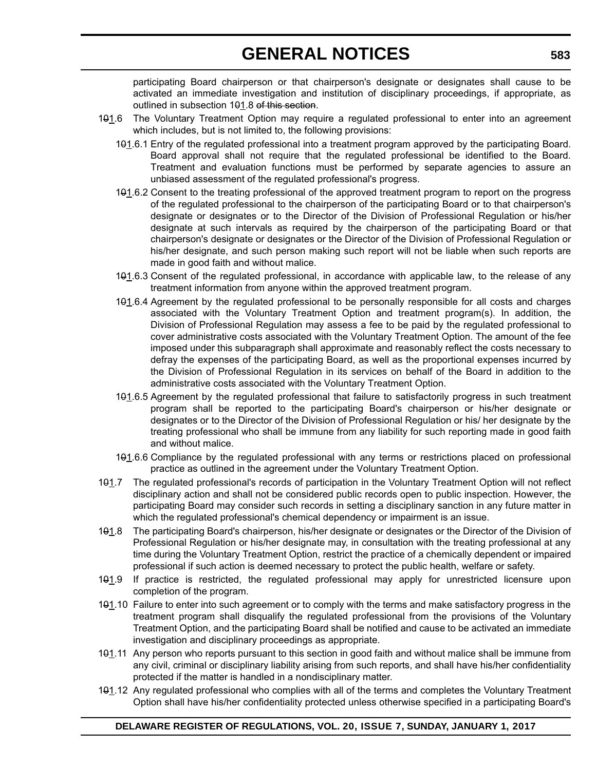participating Board chairperson or that chairperson's designate or designates shall cause to be activated an immediate investigation and institution of disciplinary proceedings, if appropriate, as outlined in subsection 191.8 of this section.

- 101.6 The Voluntary Treatment Option may require a regulated professional to enter into an agreement which includes, but is not limited to, the following provisions:
	- 101.6.1 Entry of the regulated professional into a treatment program approved by the participating Board. Board approval shall not require that the regulated professional be identified to the Board. Treatment and evaluation functions must be performed by separate agencies to assure an unbiased assessment of the regulated professional's progress.
	- 101.6.2 Consent to the treating professional of the approved treatment program to report on the progress of the regulated professional to the chairperson of the participating Board or to that chairperson's designate or designates or to the Director of the Division of Professional Regulation or his/her designate at such intervals as required by the chairperson of the participating Board or that chairperson's designate or designates or the Director of the Division of Professional Regulation or his/her designate, and such person making such report will not be liable when such reports are made in good faith and without malice.
	- 101.6.3 Consent of the regulated professional, in accordance with applicable law, to the release of any treatment information from anyone within the approved treatment program.
	- 101.6.4 Agreement by the regulated professional to be personally responsible for all costs and charges associated with the Voluntary Treatment Option and treatment program(s). In addition, the Division of Professional Regulation may assess a fee to be paid by the regulated professional to cover administrative costs associated with the Voluntary Treatment Option. The amount of the fee imposed under this subparagraph shall approximate and reasonably reflect the costs necessary to defray the expenses of the participating Board, as well as the proportional expenses incurred by the Division of Professional Regulation in its services on behalf of the Board in addition to the administrative costs associated with the Voluntary Treatment Option.
	- 101.6.5 Agreement by the regulated professional that failure to satisfactorily progress in such treatment program shall be reported to the participating Board's chairperson or his/her designate or designates or to the Director of the Division of Professional Regulation or his/ her designate by the treating professional who shall be immune from any liability for such reporting made in good faith and without malice.
	- 101.6.6 Compliance by the regulated professional with any terms or restrictions placed on professional practice as outlined in the agreement under the Voluntary Treatment Option.
- 101.7 The regulated professional's records of participation in the Voluntary Treatment Option will not reflect disciplinary action and shall not be considered public records open to public inspection. However, the participating Board may consider such records in setting a disciplinary sanction in any future matter in which the regulated professional's chemical dependency or impairment is an issue.
- 101.8 The participating Board's chairperson, his/her designate or designates or the Director of the Division of Professional Regulation or his/her designate may, in consultation with the treating professional at any time during the Voluntary Treatment Option, restrict the practice of a chemically dependent or impaired professional if such action is deemed necessary to protect the public health, welfare or safety.
- 101.9 If practice is restricted, the regulated professional may apply for unrestricted licensure upon completion of the program.
- 101.10 Failure to enter into such agreement or to comply with the terms and make satisfactory progress in the treatment program shall disqualify the regulated professional from the provisions of the Voluntary Treatment Option, and the participating Board shall be notified and cause to be activated an immediate investigation and disciplinary proceedings as appropriate.
- 101.11 Any person who reports pursuant to this section in good faith and without malice shall be immune from any civil, criminal or disciplinary liability arising from such reports, and shall have his/her confidentiality protected if the matter is handled in a nondisciplinary matter.
- 101.12 Any regulated professional who complies with all of the terms and completes the Voluntary Treatment Option shall have his/her confidentiality protected unless otherwise specified in a participating Board's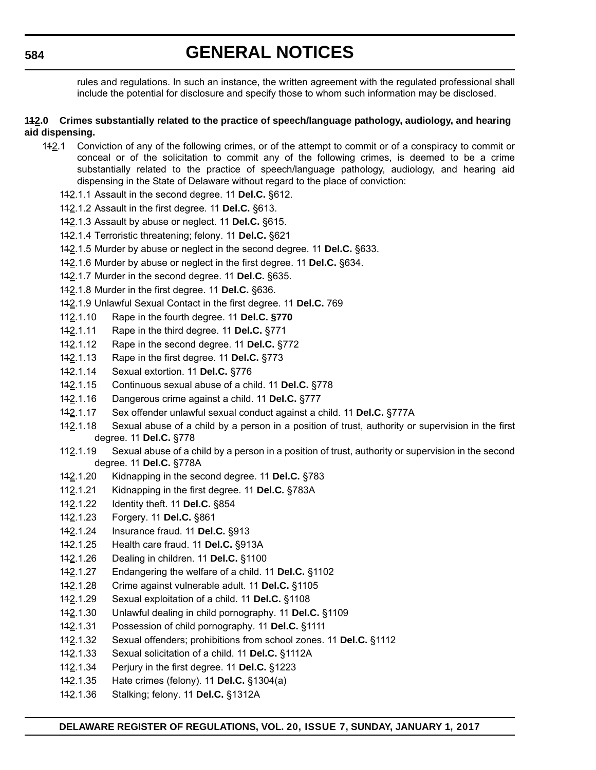rules and regulations. In such an instance, the written agreement with the regulated professional shall include the potential for disclosure and specify those to whom such information may be disclosed.

#### **112.0 Crimes substantially related to the practice of speech/language pathology, audiology, and hearing aid dispensing.**

- 112.1 Conviction of any of the following crimes, or of the attempt to commit or of a conspiracy to commit or conceal or of the solicitation to commit any of the following crimes, is deemed to be a crime substantially related to the practice of speech/language pathology, audiology, and hearing aid dispensing in the State of Delaware without regard to the place of conviction:
	- 112.1.1 Assault in the second degree. 11 **Del.C.** §612.
	- 112.1.2 Assault in the first degree. 11 **Del.C.** §613.
	- 112.1.3 Assault by abuse or neglect. 11 **Del.C.** §615.
	- 112.1.4 Terroristic threatening; felony. 11 **Del.C.** §621
	- 112.1.5 Murder by abuse or neglect in the second degree. 11 **Del.C.** §633.
	- 112.1.6 Murder by abuse or neglect in the first degree. 11 **Del.C.** §634.
	- 112.1.7 Murder in the second degree. 11 **Del.C.** §635.
	- 112.1.8 Murder in the first degree. 11 **Del.C.** §636.
	- 112.1.9 Unlawful Sexual Contact in the first degree. 11 **Del.C.** 769
	- 112.1.10 Rape in the fourth degree. 11 **Del.C. §770**
	- 112.1.11 Rape in the third degree. 11 **Del.C.** §771
	- 112.1.12 Rape in the second degree. 11 **Del.C.** §772
	- 112.1.13 Rape in the first degree. 11 **Del.C.** §773
	- 112.1.14 Sexual extortion. 11 **Del.C.** §776
	- 112.1.15 Continuous sexual abuse of a child. 11 **Del.C.** §778
	- 112.1.16 Dangerous crime against a child. 11 **Del.C.** §777
	- 112.1.17 Sex offender unlawful sexual conduct against a child. 11 **Del.C.** §777A
	- 112.1.18 Sexual abuse of a child by a person in a position of trust, authority or supervision in the first degree. 11 **Del.C.** §778
	- 142.1.19 Sexual abuse of a child by a person in a position of trust, authority or supervision in the second degree. 11 **Del.C.** §778A
	- 112.1.20 Kidnapping in the second degree. 11 **Del.C.** §783
	- 112.1.21 Kidnapping in the first degree. 11 **Del.C.** §783A
	- 112.1.22 Identity theft. 11 **Del.C.** §854
	- 112.1.23 Forgery. 11 **Del.C.** §861
	- 112.1.24 Insurance fraud. 11 **Del.C.** §913
	- 112.1.25 Health care fraud. 11 **Del.C.** §913A
	- 112.1.26 Dealing in children. 11 **Del.C.** §1100
	- 112.1.27 Endangering the welfare of a child. 11 **Del.C.** §1102
	- 112.1.28 Crime against vulnerable adult. 11 **Del.C.** §1105
	- 112.1.29 Sexual exploitation of a child. 11 **Del.C.** §1108
	- 112.1.30 Unlawful dealing in child pornography. 11 **Del.C.** §1109
	- 112.1.31 Possession of child pornography. 11 **Del.C.** §1111
	- 112.1.32 Sexual offenders; prohibitions from school zones. 11 **Del.C.** §1112
	- 112.1.33 Sexual solicitation of a child. 11 **Del.C.** §1112A
	- 112.1.34 Perjury in the first degree. 11 **Del.C.** §1223
	- 112.1.35 Hate crimes (felony). 11 **Del.C.** §1304(a)
	- 112.1.36 Stalking; felony. 11 **Del.C.** §1312A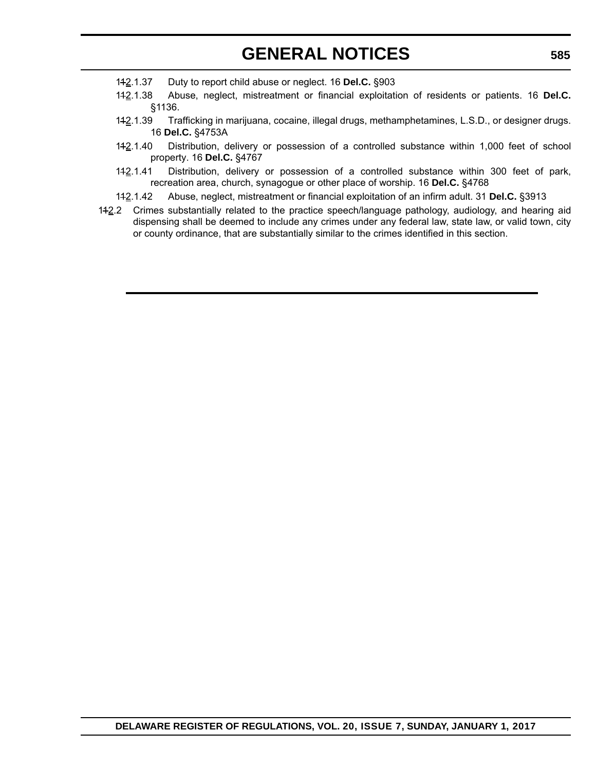- 112.1.37 Duty to report child abuse or neglect. 16 **Del.C.** §903
- 112.1.38 Abuse, neglect, mistreatment or financial exploitation of residents or patients. 16 **Del.C.** §1136.
- 112.1.39 Trafficking in marijuana, cocaine, illegal drugs, methamphetamines, L.S.D., or designer drugs. 16 **Del.C.** §4753A
- 112.1.40 Distribution, delivery or possession of a controlled substance within 1,000 feet of school property. 16 **Del.C.** §4767
- 112.1.41 Distribution, delivery or possession of a controlled substance within 300 feet of park, recreation area, church, synagogue or other place of worship. 16 **Del.C.** §4768
- 112.1.42 Abuse, neglect, mistreatment or financial exploitation of an infirm adult. 31 **Del.C.** §3913
- 112.2 Crimes substantially related to the practice speech/language pathology, audiology, and hearing aid dispensing shall be deemed to include any crimes under any federal law, state law, or valid town, city or county ordinance, that are substantially similar to the crimes identified in this section.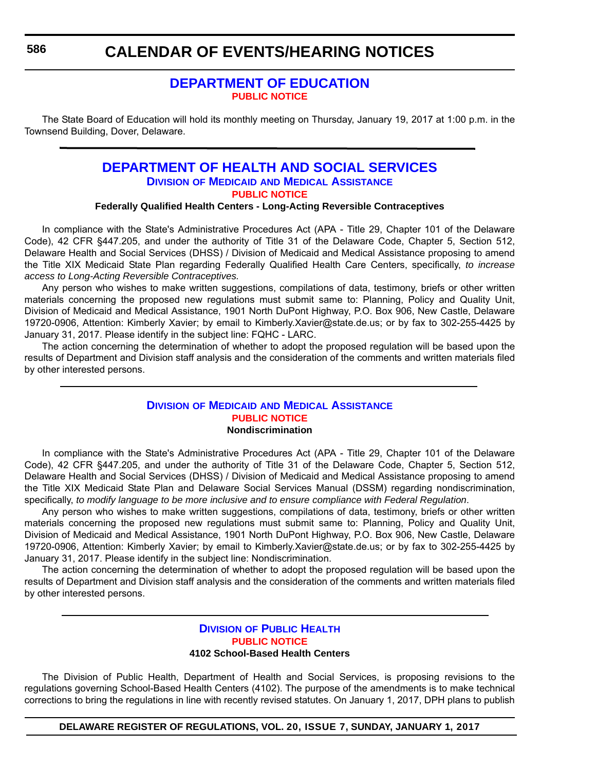# **[DEPARTMENT OF EDUCATION](http://www.doe.k12.de.us/) [PUBLIC NOTICE](#page-4-0)**

The State Board of Education will hold its monthly meeting on Thursday, January 19, 2017 at 1:00 p.m. in the Townsend Building, Dover, Delaware.

# **[DEPARTMENT OF HEALTH AND SOCIAL SERVICES](http://www.dhss.delaware.gov/dhss/dmma/) DIVISION OF MEDICAID AND MEDICAL ASSISTANCE [PUBLIC NOTICE](#page-4-0)**

#### **Federally Qualified Health Centers - Long-Acting Reversible Contraceptives**

In compliance with the State's Administrative Procedures Act (APA - Title 29, Chapter 101 of the Delaware Code), 42 CFR §447.205, and under the authority of Title 31 of the Delaware Code, Chapter 5, Section 512, Delaware Health and Social Services (DHSS) / Division of Medicaid and Medical Assistance proposing to amend the Title XIX Medicaid State Plan regarding Federally Qualified Health Care Centers, specifically, *to increase access to Long-Acting Reversible Contraceptives.*

Any person who wishes to make written suggestions, compilations of data, testimony, briefs or other written materials concerning the proposed new regulations must submit same to: Planning, Policy and Quality Unit, Division of Medicaid and Medical Assistance, 1901 North DuPont Highway, P.O. Box 906, New Castle, Delaware 19720-0906, Attention: Kimberly Xavier; by email to Kimberly.Xavier@state.de.us; or by fax to 302-255-4425 by January 31, 2017. Please identify in the subject line: FQHC - LARC.

The action concerning the determination of whether to adopt the proposed regulation will be based upon the results of Department and Division staff analysis and the consideration of the comments and written materials filed by other interested persons.

#### **DIVISION OF MEDICAID [AND MEDICAL ASSISTANCE](http://www.dhss.delaware.gov/dhss/dmma/) [PUBLIC NOTICE](#page-4-0) Nondiscrimination**

In compliance with the State's Administrative Procedures Act (APA - Title 29, Chapter 101 of the Delaware Code), 42 CFR §447.205, and under the authority of Title 31 of the Delaware Code, Chapter 5, Section 512, Delaware Health and Social Services (DHSS) / Division of Medicaid and Medical Assistance proposing to amend the Title XIX Medicaid State Plan and Delaware Social Services Manual (DSSM) regarding nondiscrimination, specifically, *to modify language to be more inclusive and to ensure compliance with Federal Regulation*.

Any person who wishes to make written suggestions, compilations of data, testimony, briefs or other written materials concerning the proposed new regulations must submit same to: Planning, Policy and Quality Unit, Division of Medicaid and Medical Assistance, 1901 North DuPont Highway, P.O. Box 906, New Castle, Delaware 19720-0906, Attention: Kimberly Xavier; by email to Kimberly.Xavier@state.de.us; or by fax to 302-255-4425 by January 31, 2017. Please identify in the subject line: Nondiscrimination.

The action concerning the determination of whether to adopt the proposed regulation will be based upon the results of Department and Division staff analysis and the consideration of the comments and written materials filed by other interested persons.

#### **DIVISION [OF PUBLIC HEALTH](http://www.dhss.delaware.gov/dhss/dph/index.html) [PUBLIC NOTICE](#page-4-0) 4102 School-Based Health Centers**

The Division of Public Health, Department of Health and Social Services, is proposing revisions to the regulations governing School-Based Health Centers (4102). The purpose of the amendments is to make technical corrections to bring the regulations in line with recently revised statutes. On January 1, 2017, DPH plans to publish

**DELAWARE REGISTER OF REGULATIONS, VOL. 20, ISSUE 7, SUNDAY, JANUARY 1, 2017**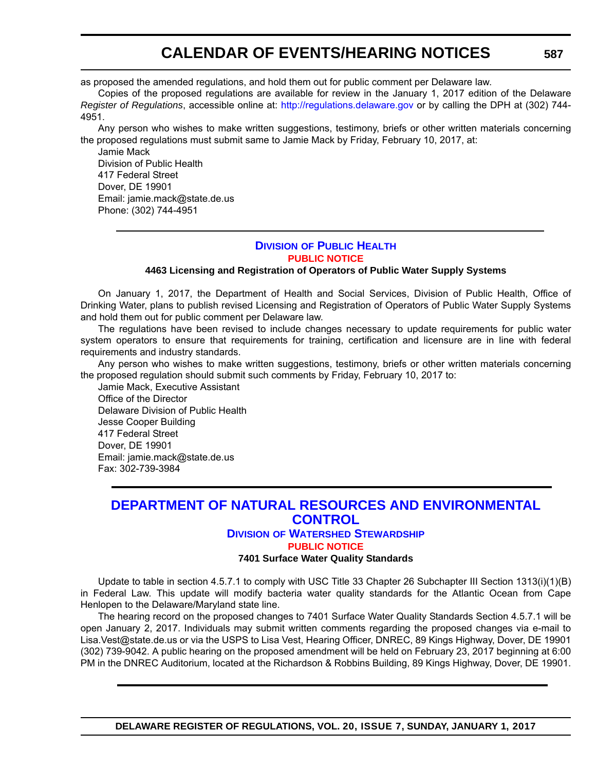as proposed the amended regulations, and hold them out for public comment per Delaware law.

Copies of the proposed regulations are available for review in the January 1, 2017 edition of the Delaware *Register of Regulations*, accessible online at: <http://regulations.delaware.gov>or by calling the DPH at (302) 744- 4951.

Any person who wishes to make written suggestions, testimony, briefs or other written materials concerning the proposed regulations must submit same to Jamie Mack by Friday, February 10, 2017, at:

Jamie Mack Division of Public Health 417 Federal Street Dover, DE 19901 Email: jamie.mack@state.de.us Phone: (302) 744-4951

#### **DIVISION [OF PUBLIC HEALTH](http://www.dhss.delaware.gov/dhss/dph/index.html) [PUBLIC NOTICE](#page-4-0)**

#### **4463 Licensing and Registration of Operators of Public Water Supply Systems**

On January 1, 2017, the Department of Health and Social Services, Division of Public Health, Office of Drinking Water, plans to publish revised Licensing and Registration of Operators of Public Water Supply Systems and hold them out for public comment per Delaware law.

The regulations have been revised to include changes necessary to update requirements for public water system operators to ensure that requirements for training, certification and licensure are in line with federal requirements and industry standards.

Any person who wishes to make written suggestions, testimony, briefs or other written materials concerning the proposed regulation should submit such comments by Friday, February 10, 2017 to:

Jamie Mack, Executive Assistant Office of the Director Delaware Division of Public Health Jesse Cooper Building 417 Federal Street Dover, DE 19901 Email: jamie.mack@state.de.us Fax: 302-739-3984

# **[DEPARTMENT OF NATURAL RESOURCES AND ENVIRONMENTAL](http://www.dnrec.delaware.gov/swc/Pages/portal.aspx)  CONTROL DIVISION OF WATERSHED STEWARDSHIP**

#### **[PUBLIC NOTICE](#page-4-0)**

#### **7401 Surface Water Quality Standards**

Update to table in section 4.5.7.1 to comply with USC Title 33 Chapter 26 Subchapter III Section 1313(i)(1)(B) in Federal Law. This update will modify bacteria water quality standards for the Atlantic Ocean from Cape Henlopen to the Delaware/Maryland state line.

The hearing record on the proposed changes to 7401 Surface Water Quality Standards Section 4.5.7.1 will be open January 2, 2017. Individuals may submit written comments regarding the proposed changes via e-mail to Lisa.Vest@state.de.us or via the USPS to Lisa Vest, Hearing Officer, DNREC, 89 Kings Highway, Dover, DE 19901 (302) 739-9042. A public hearing on the proposed amendment will be held on February 23, 2017 beginning at 6:00 PM in the DNREC Auditorium, located at the Richardson & Robbins Building, 89 Kings Highway, Dover, DE 19901.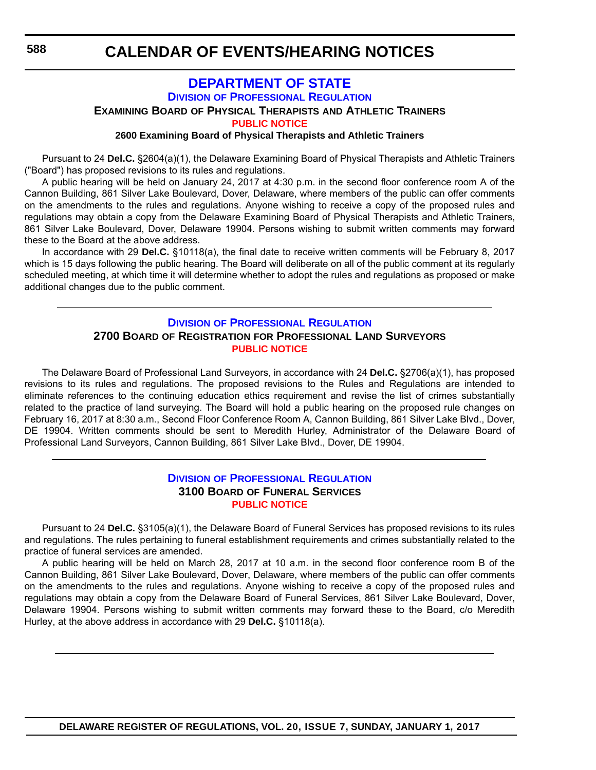## **[DEPARTMENT OF STATE](http://dpr.delaware.gov/) DIVISION OF PROFESSIONAL REGULATION**

**EXAMINING BOARD OF PHYSICAL THERAPISTS AND ATHLETIC TRAINERS**

**[PUBLIC NOTICE](#page-4-0)**

**2600 Examining Board of Physical Therapists and Athletic Trainers**

Pursuant to 24 **Del.C.** §2604(a)(1), the Delaware Examining Board of Physical Therapists and Athletic Trainers ("Board") has proposed revisions to its rules and regulations.

A public hearing will be held on January 24, 2017 at 4:30 p.m. in the second floor conference room A of the Cannon Building, 861 Silver Lake Boulevard, Dover, Delaware, where members of the public can offer comments on the amendments to the rules and regulations. Anyone wishing to receive a copy of the proposed rules and regulations may obtain a copy from the Delaware Examining Board of Physical Therapists and Athletic Trainers, 861 Silver Lake Boulevard, Dover, Delaware 19904. Persons wishing to submit written comments may forward these to the Board at the above address.

In accordance with 29 **Del.C.** §10118(a), the final date to receive written comments will be February 8, 2017 which is 15 days following the public hearing. The Board will deliberate on all of the public comment at its regularly scheduled meeting, at which time it will determine whether to adopt the rules and regulations as proposed or make additional changes due to the public comment.

## **DIVISION [OF PROFESSIONAL REGULATION](http://dpr.delaware.gov/) 2700 BOARD OF REGISTRATION FOR PROFESSIONAL LAND SURVEYORS [PUBLIC NOTICE](#page-4-0)**

The Delaware Board of Professional Land Surveyors, in accordance with 24 **Del.C.** §2706(a)(1), has proposed revisions to its rules and regulations. The proposed revisions to the Rules and Regulations are intended to eliminate references to the continuing education ethics requirement and revise the list of crimes substantially related to the practice of land surveying. The Board will hold a public hearing on the proposed rule changes on February 16, 2017 at 8:30 a.m., Second Floor Conference Room A, Cannon Building, 861 Silver Lake Blvd., Dover, DE 19904. Written comments should be sent to Meredith Hurley, Administrator of the Delaware Board of Professional Land Surveyors, Cannon Building, 861 Silver Lake Blvd., Dover, DE 19904.

## **DIVISION [OF PROFESSIONAL REGULATION](http://dpr.delaware.gov/) 3100 BOARD OF FUNERAL SERVICES [PUBLIC NOTICE](#page-4-0)**

Pursuant to 24 **Del.C.** §3105(a)(1), the Delaware Board of Funeral Services has proposed revisions to its rules and regulations. The rules pertaining to funeral establishment requirements and crimes substantially related to the practice of funeral services are amended.

A public hearing will be held on March 28, 2017 at 10 a.m. in the second floor conference room B of the Cannon Building, 861 Silver Lake Boulevard, Dover, Delaware, where members of the public can offer comments on the amendments to the rules and regulations. Anyone wishing to receive a copy of the proposed rules and regulations may obtain a copy from the Delaware Board of Funeral Services, 861 Silver Lake Boulevard, Dover, Delaware 19904. Persons wishing to submit written comments may forward these to the Board, c/o Meredith Hurley, at the above address in accordance with 29 **Del.C.** §10118(a).

**DELAWARE REGISTER OF REGULATIONS, VOL. 20, ISSUE 7, SUNDAY, JANUARY 1, 2017**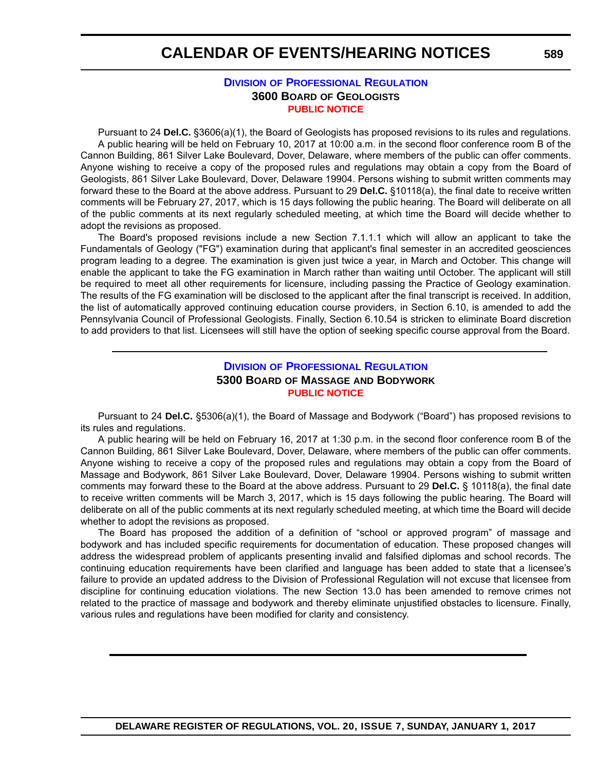#### **DIVISION [OF PROFESSIONAL REGULATION](http://dpr.delaware.gov/) 3600 BOARD OF GEOLOGISTS [PUBLIC NOTICE](#page-4-0)**

Pursuant to 24 **Del.C.** §3606(a)(1), the Board of Geologists has proposed revisions to its rules and regulations. A public hearing will be held on February 10, 2017 at 10:00 a.m. in the second floor conference room B of the Cannon Building, 861 Silver Lake Boulevard, Dover, Delaware, where members of the public can offer comments. Anyone wishing to receive a copy of the proposed rules and regulations may obtain a copy from the Board of Geologists, 861 Silver Lake Boulevard, Dover, Delaware 19904. Persons wishing to submit written comments may forward these to the Board at the above address. Pursuant to 29 **Del.C.** §10118(a), the final date to receive written comments will be February 27, 2017, which is 15 days following the public hearing. The Board will deliberate on all of the public comments at its next regularly scheduled meeting, at which time the Board will decide whether to adopt the revisions as proposed.

The Board's proposed revisions include a new Section 7.1.1.1 which will allow an applicant to take the Fundamentals of Geology ("FG") examination during that applicant's final semester in an accredited geosciences program leading to a degree. The examination is given just twice a year, in March and October. This change will enable the applicant to take the FG examination in March rather than waiting until October. The applicant will still be required to meet all other requirements for licensure, including passing the Practice of Geology examination. The results of the FG examination will be disclosed to the applicant after the final transcript is received. In addition, the list of automatically approved continuing education course providers, in Section 6.10, is amended to add the Pennsylvania Council of Professional Geologists. Finally, Section 6.10.54 is stricken to eliminate Board discretion to add providers to that list. Licensees will still have the option of seeking specific course approval from the Board.

### **DIVISION [OF PROFESSIONAL REGULATION](http://dpr.delaware.gov/) 5300 BOARD OF MASSAGE AND BODYWORK [PUBLIC NOTICE](#page-4-0)**

Pursuant to 24 **Del.C.** §5306(a)(1), the Board of Massage and Bodywork ("Board") has proposed revisions to its rules and regulations.

A public hearing will be held on February 16, 2017 at 1:30 p.m. in the second floor conference room B of the Cannon Building, 861 Silver Lake Boulevard, Dover, Delaware, where members of the public can offer comments. Anyone wishing to receive a copy of the proposed rules and regulations may obtain a copy from the Board of Massage and Bodywork, 861 Silver Lake Boulevard, Dover, Delaware 19904. Persons wishing to submit written comments may forward these to the Board at the above address. Pursuant to 29 **Del.C.** § 10118(a), the final date to receive written comments will be March 3, 2017, which is 15 days following the public hearing. The Board will deliberate on all of the public comments at its next regularly scheduled meeting, at which time the Board will decide whether to adopt the revisions as proposed.

The Board has proposed the addition of a definition of "school or approved program" of massage and bodywork and has included specific requirements for documentation of education. These proposed changes will address the widespread problem of applicants presenting invalid and falsified diplomas and school records. The continuing education requirements have been clarified and language has been added to state that a licensee's failure to provide an updated address to the Division of Professional Regulation will not excuse that licensee from discipline for continuing education violations. The new Section 13.0 has been amended to remove crimes not related to the practice of massage and bodywork and thereby eliminate unjustified obstacles to licensure. Finally, various rules and regulations have been modified for clarity and consistency.